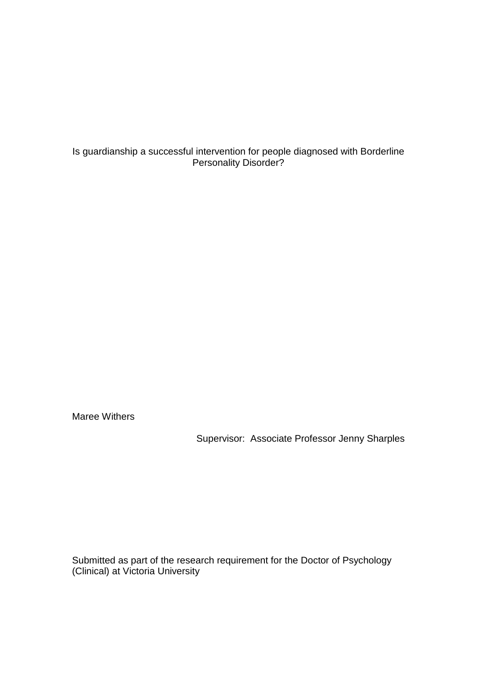Is guardianship a successful intervention for people diagnosed with Borderline Personality Disorder?

Maree Withers

Supervisor: Associate Professor Jenny Sharples

Submitted as part of the research requirement for the Doctor of Psychology (Clinical) at Victoria University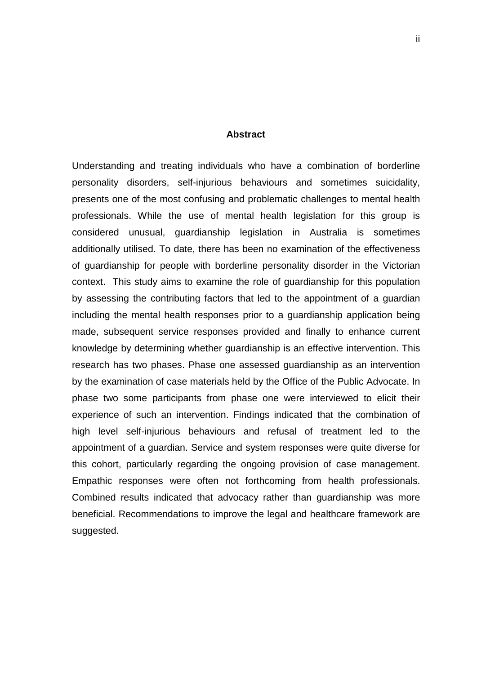#### **Abstract**

<span id="page-1-0"></span>Understanding and treating individuals who have a combination of borderline personality disorders, self-injurious behaviours and sometimes suicidality, presents one of the most confusing and problematic challenges to mental health professionals. While the use of mental health legislation for this group is considered unusual, guardianship legislation in Australia is sometimes additionally utilised. To date, there has been no examination of the effectiveness of guardianship for people with borderline personality disorder in the Victorian context. This study aims to examine the role of guardianship for this population by assessing the contributing factors that led to the appointment of a guardian including the mental health responses prior to a guardianship application being made, subsequent service responses provided and finally to enhance current knowledge by determining whether guardianship is an effective intervention. This research has two phases. Phase one assessed guardianship as an intervention by the examination of case materials held by the Office of the Public Advocate. In phase two some participants from phase one were interviewed to elicit their experience of such an intervention. Findings indicated that the combination of high level self-injurious behaviours and refusal of treatment led to the appointment of a guardian. Service and system responses were quite diverse for this cohort, particularly regarding the ongoing provision of case management. Empathic responses were often not forthcoming from health professionals. Combined results indicated that advocacy rather than guardianship was more beneficial. Recommendations to improve the legal and healthcare framework are suggested.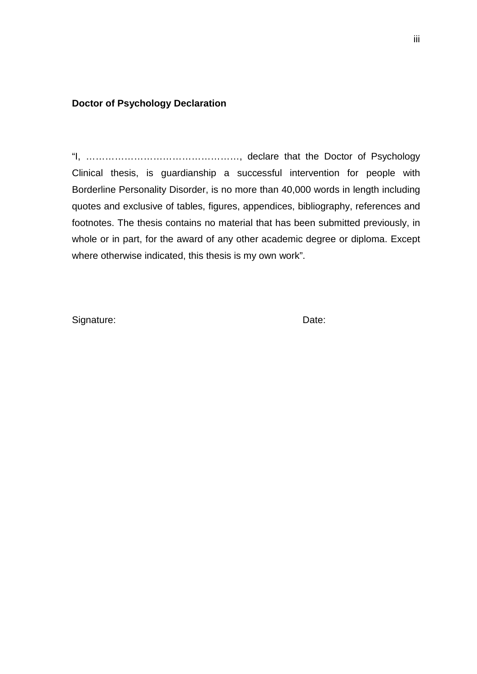# <span id="page-2-0"></span>**Doctor of Psychology Declaration**

"I, …………………………………………, declare that the Doctor of Psychology Clinical thesis, is guardianship a successful intervention for people with Borderline Personality Disorder, is no more than 40,000 words in length including quotes and exclusive of tables, figures, appendices, bibliography, references and footnotes. The thesis contains no material that has been submitted previously, in whole or in part, for the award of any other academic degree or diploma. Except where otherwise indicated, this thesis is my own work".

Signature: Date: Date: Date: Date: Date: Date: Date: Date: Date: Date: Date: Date: Date: Date: Date: Date: Date: Date: Date: Date: Date: Date: Date: Date: Date: Date: Date: Date: Date: Date: Date: Date: Date: Date: Date: D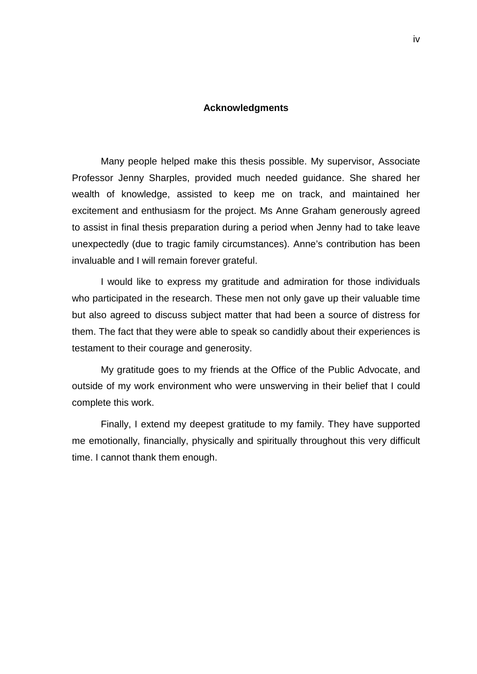#### **Acknowledgments**

<span id="page-3-0"></span>Many people helped make this thesis possible. My supervisor, Associate Professor Jenny Sharples, provided much needed guidance. She shared her wealth of knowledge, assisted to keep me on track, and maintained her excitement and enthusiasm for the project. Ms Anne Graham generously agreed to assist in final thesis preparation during a period when Jenny had to take leave unexpectedly (due to tragic family circumstances). Anne's contribution has been invaluable and I will remain forever grateful.

I would like to express my gratitude and admiration for those individuals who participated in the research. These men not only gave up their valuable time but also agreed to discuss subject matter that had been a source of distress for them. The fact that they were able to speak so candidly about their experiences is testament to their courage and generosity.

My gratitude goes to my friends at the Office of the Public Advocate, and outside of my work environment who were unswerving in their belief that I could complete this work.

Finally, I extend my deepest gratitude to my family. They have supported me emotionally, financially, physically and spiritually throughout this very difficult time. I cannot thank them enough.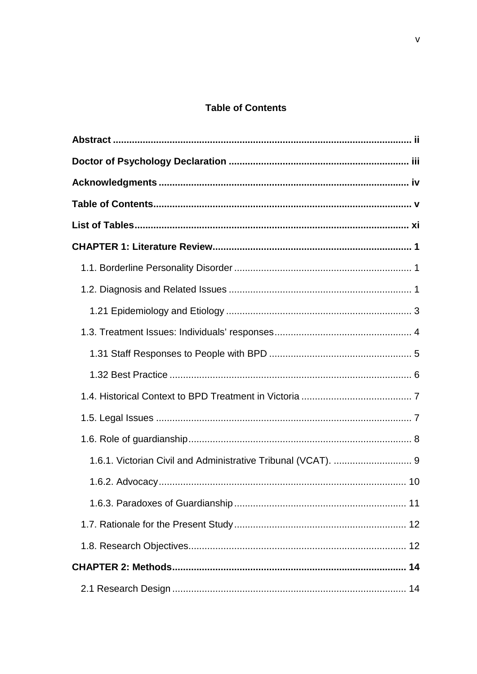# **Table of Contents**

<span id="page-4-0"></span>

| 1.6.1. Victorian Civil and Administrative Tribunal (VCAT).  9 |
|---------------------------------------------------------------|
|                                                               |
|                                                               |
|                                                               |
|                                                               |
|                                                               |
|                                                               |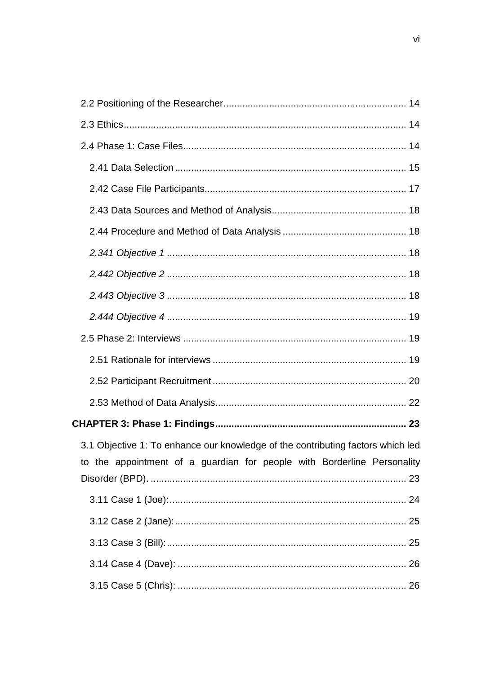| 3.1 Objective 1: To enhance our knowledge of the contributing factors which led |  |
|---------------------------------------------------------------------------------|--|
| to the appointment of a guardian for people with Borderline Personality         |  |
|                                                                                 |  |
|                                                                                 |  |
|                                                                                 |  |
|                                                                                 |  |
|                                                                                 |  |
|                                                                                 |  |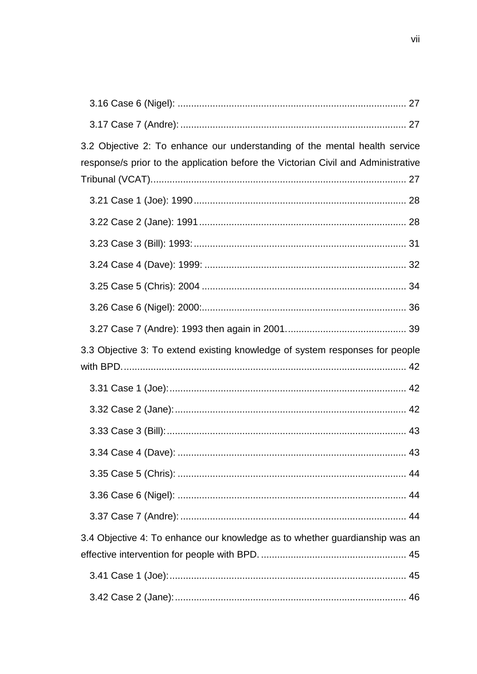| 3.2 Objective 2: To enhance our understanding of the mental health service<br>response/s prior to the application before the Victorian Civil and Administrative |  |
|-----------------------------------------------------------------------------------------------------------------------------------------------------------------|--|
|                                                                                                                                                                 |  |
|                                                                                                                                                                 |  |
|                                                                                                                                                                 |  |
|                                                                                                                                                                 |  |
|                                                                                                                                                                 |  |
|                                                                                                                                                                 |  |
|                                                                                                                                                                 |  |
| 3.3 Objective 3: To extend existing knowledge of system responses for people                                                                                    |  |
|                                                                                                                                                                 |  |
|                                                                                                                                                                 |  |
|                                                                                                                                                                 |  |
|                                                                                                                                                                 |  |
|                                                                                                                                                                 |  |
|                                                                                                                                                                 |  |
|                                                                                                                                                                 |  |
| 3.4 Objective 4: To enhance our knowledge as to whether guardianship was an                                                                                     |  |
|                                                                                                                                                                 |  |
|                                                                                                                                                                 |  |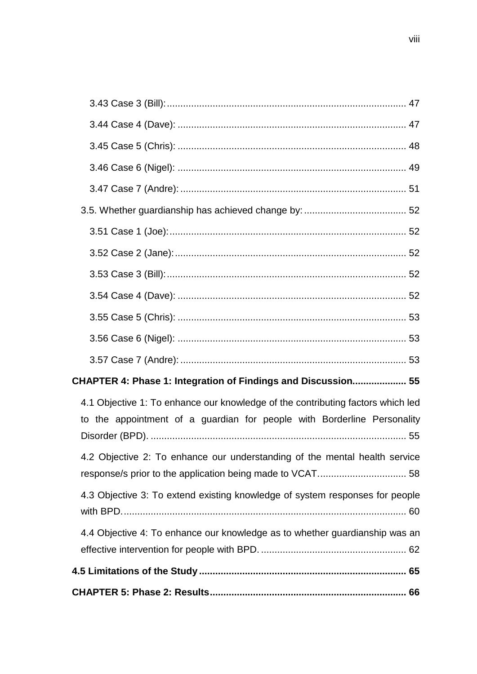| CHAPTER 4: Phase 1: Integration of Findings and Discussion 55                                                                                              |
|------------------------------------------------------------------------------------------------------------------------------------------------------------|
| 4.1 Objective 1: To enhance our knowledge of the contributing factors which led<br>to the appointment of a guardian for people with Borderline Personality |
| 4.2 Objective 2: To enhance our understanding of the mental health service                                                                                 |
| 4.3 Objective 3: To extend existing knowledge of system responses for people                                                                               |
| 4.4 Objective 4: To enhance our knowledge as to whether guardianship was an                                                                                |
|                                                                                                                                                            |
|                                                                                                                                                            |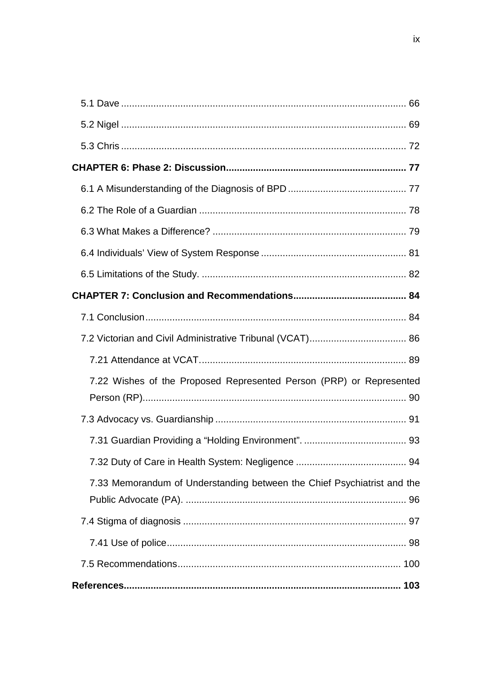| 7.22 Wishes of the Proposed Represented Person (PRP) or Represented     |  |
|-------------------------------------------------------------------------|--|
|                                                                         |  |
|                                                                         |  |
|                                                                         |  |
| 7.33 Memorandum of Understanding between the Chief Psychiatrist and the |  |
|                                                                         |  |
|                                                                         |  |
|                                                                         |  |
|                                                                         |  |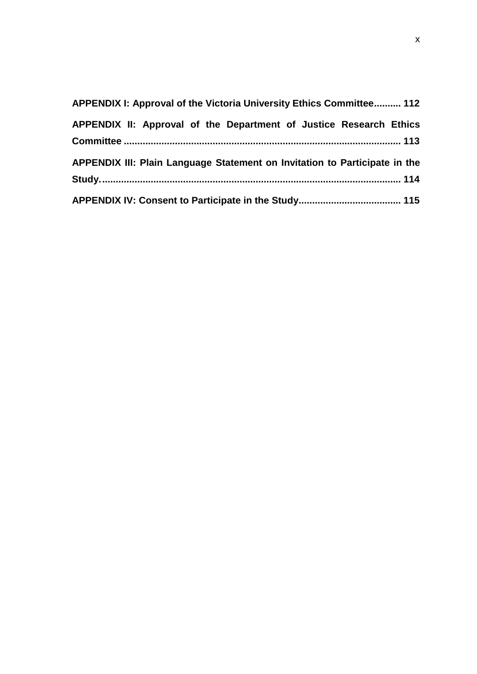| APPENDIX I: Approval of the Victoria University Ethics Committee 112       |
|----------------------------------------------------------------------------|
| APPENDIX II: Approval of the Department of Justice Research Ethics         |
| APPENDIX III: Plain Language Statement on Invitation to Participate in the |
|                                                                            |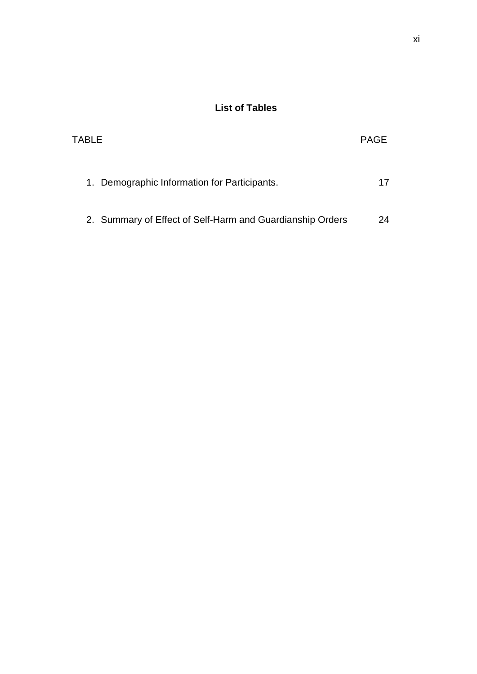# **List of Tables**

<span id="page-10-0"></span>

| TABLE                                                     | <b>PAGE</b> |
|-----------------------------------------------------------|-------------|
| 1. Demographic Information for Participants.              |             |
| 2. Summary of Effect of Self-Harm and Guardianship Orders | 24          |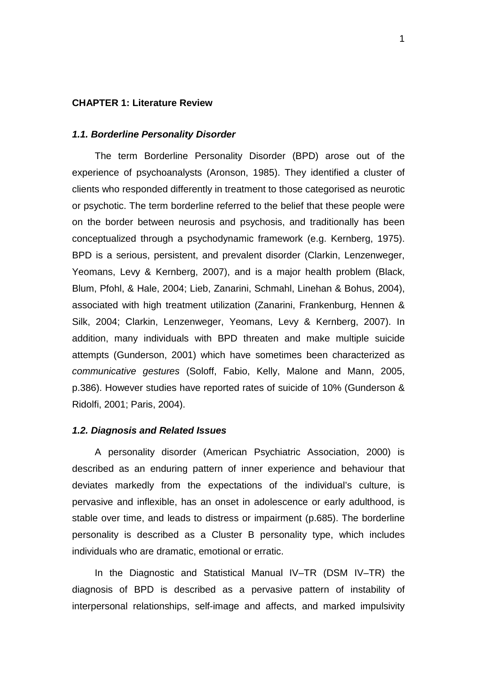# <span id="page-11-0"></span>**CHAPTER 1: Literature Review**

#### <span id="page-11-1"></span>*1.1. Borderline Personality Disorder*

The term Borderline Personality Disorder (BPD) arose out of the experience of psychoanalysts (Aronson, 1985). They identified a cluster of clients who responded differently in treatment to those categorised as neurotic or psychotic. The term borderline referred to the belief that these people were on the border between neurosis and psychosis, and traditionally has been conceptualized through a psychodynamic framework (e.g. Kernberg, 1975). BPD is a serious, persistent, and prevalent disorder (Clarkin, Lenzenweger, Yeomans, Levy & Kernberg, 2007), and is a major health problem (Black, Blum, Pfohl, & Hale, 2004; Lieb, Zanarini, Schmahl, Linehan & Bohus, 2004), associated with high treatment utilization (Zanarini, Frankenburg, Hennen & Silk, 2004; Clarkin, Lenzenweger, Yeomans, Levy & Kernberg, 2007). In addition, many individuals with BPD threaten and make multiple suicide attempts (Gunderson, 2001) which have sometimes been characterized as *communicative gestures* (Soloff, Fabio, Kelly, Malone and Mann, 2005, p.386). However studies have reported rates of suicide of 10% (Gunderson & Ridolfi, 2001; Paris, 2004).

#### <span id="page-11-2"></span>*1.2. Diagnosis and Related Issues*

A personality disorder (American Psychiatric Association, 2000) is described as an enduring pattern of inner experience and behaviour that deviates markedly from the expectations of the individual's culture, is pervasive and inflexible, has an onset in adolescence or early adulthood, is stable over time, and leads to distress or impairment (p.685). The borderline personality is described as a Cluster B personality type, which includes individuals who are dramatic, emotional or erratic.

In the Diagnostic and Statistical Manual IV–TR (DSM IV–TR) the diagnosis of BPD is described as a pervasive pattern of instability of interpersonal relationships, self-image and affects, and marked impulsivity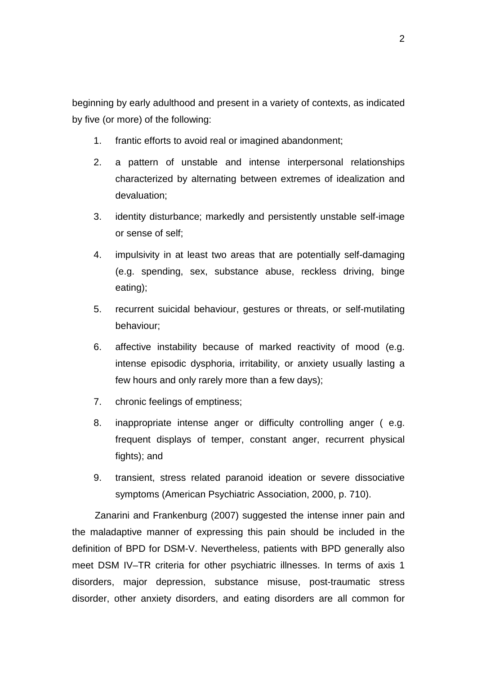beginning by early adulthood and present in a variety of contexts, as indicated by five (or more) of the following:

- 1. frantic efforts to avoid real or imagined abandonment;
- 2. a pattern of unstable and intense interpersonal relationships characterized by alternating between extremes of idealization and devaluation;
- 3. identity disturbance; markedly and persistently unstable self-image or sense of self;
- 4. impulsivity in at least two areas that are potentially self-damaging (e.g. spending, sex, substance abuse, reckless driving, binge eating);
- 5. recurrent suicidal behaviour, gestures or threats, or self-mutilating behaviour;
- 6. affective instability because of marked reactivity of mood (e.g. intense episodic dysphoria, irritability, or anxiety usually lasting a few hours and only rarely more than a few days);
- 7. chronic feelings of emptiness;
- 8. inappropriate intense anger or difficulty controlling anger ( e.g. frequent displays of temper, constant anger, recurrent physical fights); and
- 9. transient, stress related paranoid ideation or severe dissociative symptoms (American Psychiatric Association, 2000, p. 710).

Zanarini and Frankenburg (2007) suggested the intense inner pain and the maladaptive manner of expressing this pain should be included in the definition of BPD for DSM-V. Nevertheless, patients with BPD generally also meet DSM IV–TR criteria for other psychiatric illnesses. In terms of axis 1 disorders, major depression, substance misuse, post-traumatic stress disorder, other anxiety disorders, and eating disorders are all common for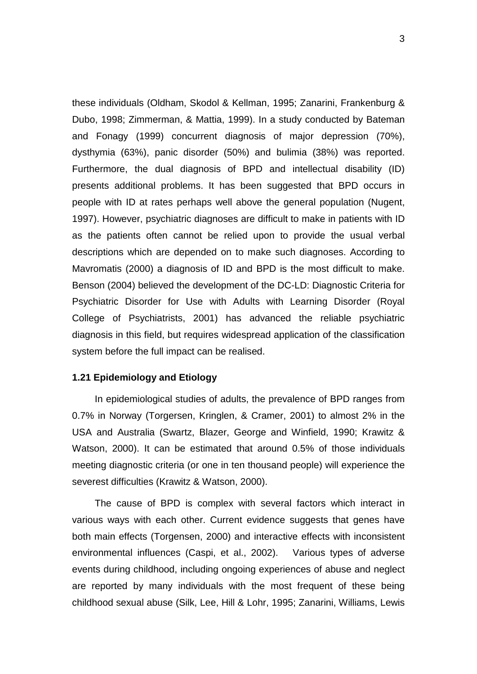these individuals (Oldham, Skodol & Kellman, 1995; Zanarini, Frankenburg & Dubo, 1998; Zimmerman, & Mattia, 1999). In a study conducted by Bateman and Fonagy (1999) concurrent diagnosis of major depression (70%), dysthymia (63%), panic disorder (50%) and bulimia (38%) was reported. Furthermore, the dual diagnosis of BPD and intellectual disability (ID) presents additional problems. It has been suggested that BPD occurs in people with ID at rates perhaps well above the general population (Nugent, 1997). However, psychiatric diagnoses are difficult to make in patients with ID as the patients often cannot be relied upon to provide the usual verbal descriptions which are depended on to make such diagnoses. According to Mavromatis (2000) a diagnosis of ID and BPD is the most difficult to make. Benson (2004) believed the development of the DC-LD: Diagnostic Criteria for Psychiatric Disorder for Use with Adults with Learning Disorder (Royal College of Psychiatrists, 2001) has advanced the reliable psychiatric diagnosis in this field, but requires widespread application of the classification system before the full impact can be realised.

#### <span id="page-13-0"></span>**1.21 Epidemiology and Etiology**

In epidemiological studies of adults, the prevalence of BPD ranges from 0.7% in Norway (Torgersen, Kringlen, & Cramer, 2001) to almost 2% in the USA and Australia (Swartz, Blazer, George and Winfield, 1990; Krawitz & Watson, 2000). It can be estimated that around 0.5% of those individuals meeting diagnostic criteria (or one in ten thousand people) will experience the severest difficulties (Krawitz & Watson, 2000).

The cause of BPD is complex with several factors which interact in various ways with each other. Current evidence suggests that genes have both main effects (Torgensen, 2000) and interactive effects with inconsistent environmental influences (Caspi, et al., 2002). Various types of adverse events during childhood, including ongoing experiences of abuse and neglect are reported by many individuals with the most frequent of these being childhood sexual abuse (Silk, Lee, Hill & Lohr, 1995; Zanarini, Williams, Lewis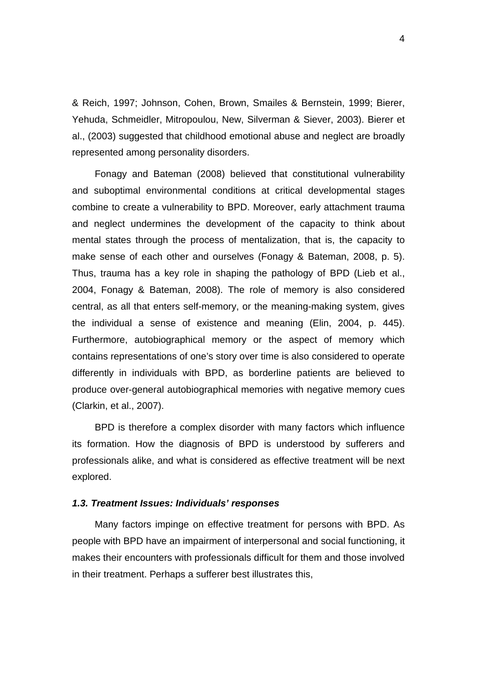& Reich, 1997; Johnson, Cohen, Brown, Smailes & Bernstein, 1999; Bierer, Yehuda, Schmeidler, Mitropoulou, New, Silverman & Siever, 2003). Bierer et al., (2003) suggested that childhood emotional abuse and neglect are broadly represented among personality disorders.

Fonagy and Bateman (2008) believed that constitutional vulnerability and suboptimal environmental conditions at critical developmental stages combine to create a vulnerability to BPD. Moreover, early attachment trauma and neglect undermines the development of the capacity to think about mental states through the process of mentalization, that is, the capacity to make sense of each other and ourselves (Fonagy & Bateman, 2008, p. 5). Thus, trauma has a key role in shaping the pathology of BPD (Lieb et al., 2004, Fonagy & Bateman, 2008). The role of memory is also considered central, as all that enters self-memory, or the meaning-making system, gives the individual a sense of existence and meaning (Elin, 2004, p. 445). Furthermore, autobiographical memory or the aspect of memory which contains representations of one's story over time is also considered to operate differently in individuals with BPD, as borderline patients are believed to produce over-general autobiographical memories with negative memory cues (Clarkin, et al., 2007).

BPD is therefore a complex disorder with many factors which influence its formation. How the diagnosis of BPD is understood by sufferers and professionals alike, and what is considered as effective treatment will be next explored.

#### <span id="page-14-0"></span>*1.3. Treatment Issues: Individuals' responses*

Many factors impinge on effective treatment for persons with BPD. As people with BPD have an impairment of interpersonal and social functioning, it makes their encounters with professionals difficult for them and those involved in their treatment. Perhaps a sufferer best illustrates this,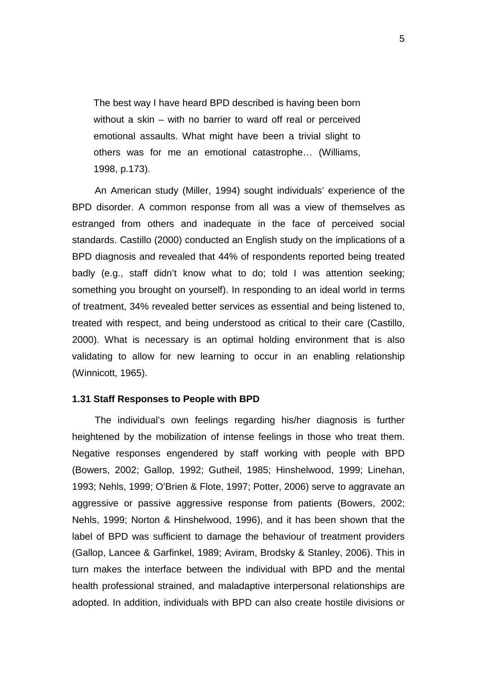The best way I have heard BPD described is having been born without a skin – with no barrier to ward off real or perceived emotional assaults. What might have been a trivial slight to others was for me an emotional catastrophe… (Williams, 1998, p.173).

An American study (Miller, 1994) sought individuals' experience of the BPD disorder. A common response from all was a view of themselves as estranged from others and inadequate in the face of perceived social standards. Castillo (2000) conducted an English study on the implications of a BPD diagnosis and revealed that 44% of respondents reported being treated badly (e.g., staff didn't know what to do; told I was attention seeking; something you brought on yourself). In responding to an ideal world in terms of treatment, 34% revealed better services as essential and being listened to, treated with respect, and being understood as critical to their care (Castillo, 2000). What is necessary is an optimal holding environment that is also validating to allow for new learning to occur in an enabling relationship (Winnicott, 1965).

## <span id="page-15-0"></span>**1.31 Staff Responses to People with BPD**

The individual's own feelings regarding his/her diagnosis is further heightened by the mobilization of intense feelings in those who treat them. Negative responses engendered by staff working with people with BPD (Bowers, 2002; Gallop, 1992; Gutheil, 1985; Hinshelwood, 1999; Linehan, 1993; Nehls, 1999; O'Brien & Flote, 1997; Potter, 2006) serve to aggravate an aggressive or passive aggressive response from patients (Bowers, 2002; Nehls, 1999; Norton & Hinshelwood, 1996), and it has been shown that the label of BPD was sufficient to damage the behaviour of treatment providers (Gallop, Lancee & Garfinkel, 1989; Aviram, Brodsky & Stanley, 2006). This in turn makes the interface between the individual with BPD and the mental health professional strained, and maladaptive interpersonal relationships are adopted. In addition, individuals with BPD can also create hostile divisions or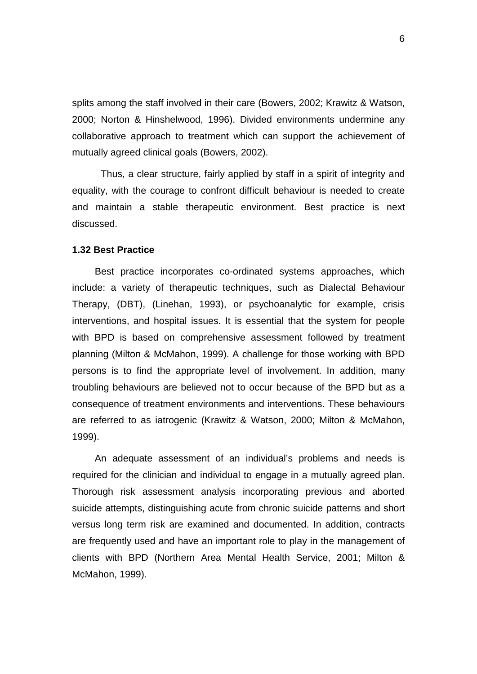splits among the staff involved in their care (Bowers, 2002; Krawitz & Watson, 2000; Norton & Hinshelwood, 1996). Divided environments undermine any collaborative approach to treatment which can support the achievement of mutually agreed clinical goals (Bowers, 2002).

Thus, a clear structure, fairly applied by staff in a spirit of integrity and equality, with the courage to confront difficult behaviour is needed to create and maintain a stable therapeutic environment. Best practice is next discussed.

# <span id="page-16-0"></span>**1.32 Best Practice**

Best practice incorporates co-ordinated systems approaches, which include: a variety of therapeutic techniques, such as Dialectal Behaviour Therapy, (DBT), (Linehan, 1993), or psychoanalytic for example, crisis interventions, and hospital issues. It is essential that the system for people with BPD is based on comprehensive assessment followed by treatment planning (Milton & McMahon, 1999). A challenge for those working with BPD persons is to find the appropriate level of involvement. In addition, many troubling behaviours are believed not to occur because of the BPD but as a consequence of treatment environments and interventions. These behaviours are referred to as iatrogenic (Krawitz & Watson, 2000; Milton & McMahon, 1999).

An adequate assessment of an individual's problems and needs is required for the clinician and individual to engage in a mutually agreed plan. Thorough risk assessment analysis incorporating previous and aborted suicide attempts, distinguishing acute from chronic suicide patterns and short versus long term risk are examined and documented. In addition, contracts are frequently used and have an important role to play in the management of clients with BPD (Northern Area Mental Health Service, 2001; Milton & McMahon, 1999).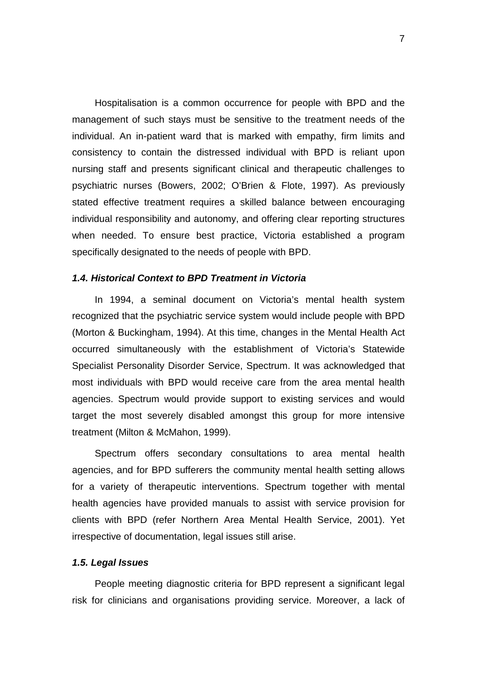Hospitalisation is a common occurrence for people with BPD and the management of such stays must be sensitive to the treatment needs of the individual. An in-patient ward that is marked with empathy, firm limits and consistency to contain the distressed individual with BPD is reliant upon nursing staff and presents significant clinical and therapeutic challenges to psychiatric nurses (Bowers, 2002; O'Brien & Flote, 1997). As previously stated effective treatment requires a skilled balance between encouraging individual responsibility and autonomy, and offering clear reporting structures when needed. To ensure best practice, Victoria established a program specifically designated to the needs of people with BPD.

# <span id="page-17-0"></span>*1.4. Historical Context to BPD Treatment in Victoria*

In 1994, a seminal document on Victoria's mental health system recognized that the psychiatric service system would include people with BPD (Morton & Buckingham, 1994). At this time, changes in the Mental Health Act occurred simultaneously with the establishment of Victoria's Statewide Specialist Personality Disorder Service, Spectrum. It was acknowledged that most individuals with BPD would receive care from the area mental health agencies. Spectrum would provide support to existing services and would target the most severely disabled amongst this group for more intensive treatment (Milton & McMahon, 1999).

Spectrum offers secondary consultations to area mental health agencies, and for BPD sufferers the community mental health setting allows for a variety of therapeutic interventions. Spectrum together with mental health agencies have provided manuals to assist with service provision for clients with BPD (refer Northern Area Mental Health Service, 2001). Yet irrespective of documentation, legal issues still arise.

# <span id="page-17-1"></span>*1.5. Legal Issues*

People meeting diagnostic criteria for BPD represent a significant legal risk for clinicians and organisations providing service. Moreover, a lack of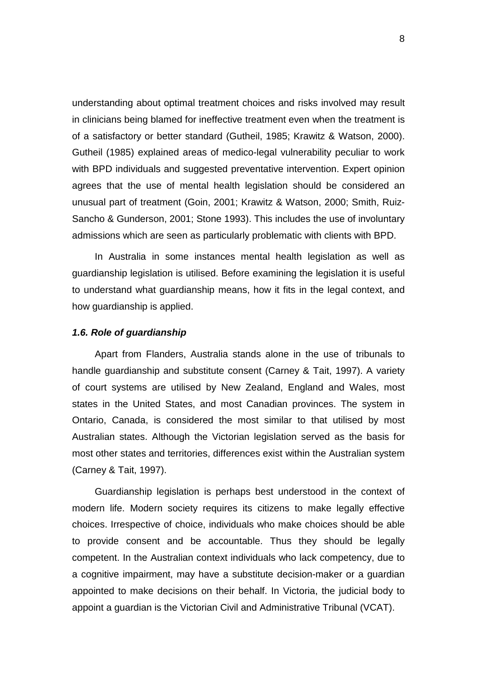understanding about optimal treatment choices and risks involved may result in clinicians being blamed for ineffective treatment even when the treatment is of a satisfactory or better standard (Gutheil, 1985; Krawitz & Watson, 2000). Gutheil (1985) explained areas of medico-legal vulnerability peculiar to work with BPD individuals and suggested preventative intervention. Expert opinion agrees that the use of mental health legislation should be considered an unusual part of treatment (Goin, 2001; Krawitz & Watson, 2000; Smith, Ruiz-Sancho & Gunderson, 2001; Stone 1993). This includes the use of involuntary admissions which are seen as particularly problematic with clients with BPD.

In Australia in some instances mental health legislation as well as guardianship legislation is utilised. Before examining the legislation it is useful to understand what guardianship means, how it fits in the legal context, and how guardianship is applied.

#### <span id="page-18-0"></span>*1.6. Role of guardianship*

Apart from Flanders, Australia stands alone in the use of tribunals to handle guardianship and substitute consent (Carney & Tait, 1997). A variety of court systems are utilised by New Zealand, England and Wales, most states in the United States, and most Canadian provinces. The system in Ontario, Canada, is considered the most similar to that utilised by most Australian states. Although the Victorian legislation served as the basis for most other states and territories, differences exist within the Australian system (Carney & Tait, 1997).

Guardianship legislation is perhaps best understood in the context of modern life. Modern society requires its citizens to make legally effective choices. Irrespective of choice, individuals who make choices should be able to provide consent and be accountable. Thus they should be legally competent. In the Australian context individuals who lack competency, due to a cognitive impairment, may have a substitute decision-maker or a guardian appointed to make decisions on their behalf. In Victoria, the judicial body to appoint a guardian is the Victorian Civil and Administrative Tribunal (VCAT).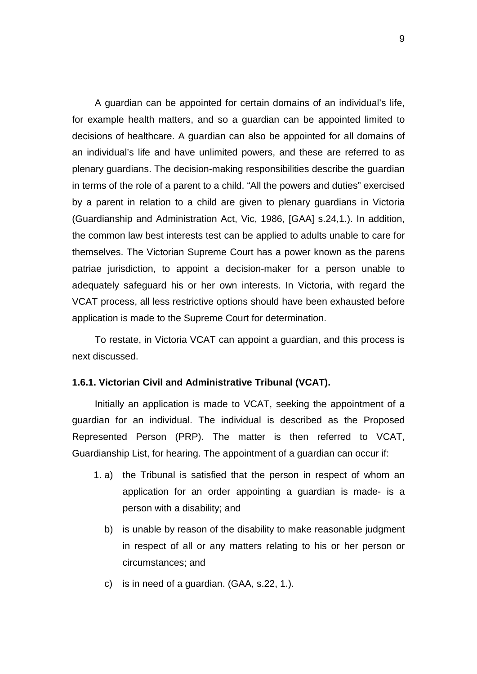A guardian can be appointed for certain domains of an individual's life, for example health matters, and so a guardian can be appointed limited to decisions of healthcare. A guardian can also be appointed for all domains of an individual's life and have unlimited powers, and these are referred to as plenary guardians. The decision-making responsibilities describe the guardian in terms of the role of a parent to a child. "All the powers and duties" exercised by a parent in relation to a child are given to plenary guardians in Victoria (Guardianship and Administration Act, Vic, 1986, [GAA] s.24,1.). In addition, the common law best interests test can be applied to adults unable to care for themselves. The Victorian Supreme Court has a power known as the parens patriae jurisdiction, to appoint a decision-maker for a person unable to adequately safeguard his or her own interests. In Victoria, with regard the VCAT process, all less restrictive options should have been exhausted before application is made to the Supreme Court for determination.

To restate, in Victoria VCAT can appoint a guardian, and this process is next discussed.

# <span id="page-19-0"></span>**1.6.1. Victorian Civil and Administrative Tribunal (VCAT).**

Initially an application is made to VCAT, seeking the appointment of a guardian for an individual. The individual is described as the Proposed Represented Person (PRP). The matter is then referred to VCAT, Guardianship List, for hearing. The appointment of a guardian can occur if:

- 1. a) the Tribunal is satisfied that the person in respect of whom an application for an order appointing a guardian is made- is a person with a disability; and
	- b) is unable by reason of the disability to make reasonable judgment in respect of all or any matters relating to his or her person or circumstances; and
	- c) is in need of a guardian. (GAA, s.22, 1.).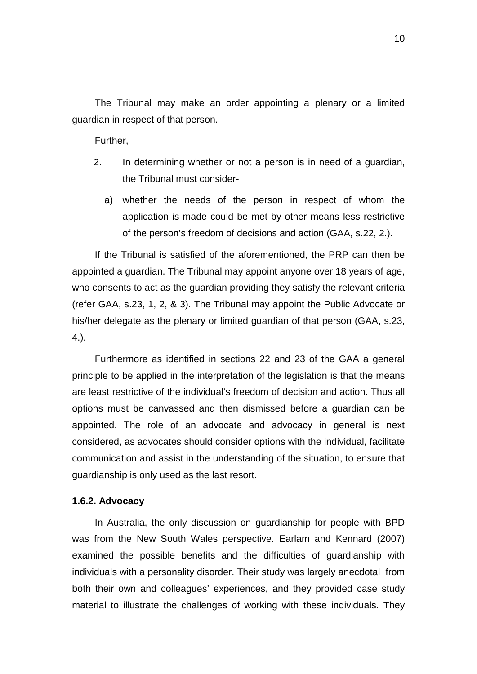The Tribunal may make an order appointing a plenary or a limited guardian in respect of that person.

Further,

- 2. In determining whether or not a person is in need of a guardian, the Tribunal must consider
	- a) whether the needs of the person in respect of whom the application is made could be met by other means less restrictive of the person's freedom of decisions and action (GAA, s.22, 2.).

If the Tribunal is satisfied of the aforementioned, the PRP can then be appointed a guardian. The Tribunal may appoint anyone over 18 years of age, who consents to act as the guardian providing they satisfy the relevant criteria (refer GAA, s.23, 1, 2, & 3). The Tribunal may appoint the Public Advocate or his/her delegate as the plenary or limited guardian of that person (GAA, s.23, 4.).

Furthermore as identified in sections 22 and 23 of the GAA a general principle to be applied in the interpretation of the legislation is that the means are least restrictive of the individual's freedom of decision and action. Thus all options must be canvassed and then dismissed before a guardian can be appointed. The role of an advocate and advocacy in general is next considered, as advocates should consider options with the individual, facilitate communication and assist in the understanding of the situation, to ensure that guardianship is only used as the last resort.

#### <span id="page-20-0"></span>**1.6.2. Advocacy**

In Australia, the only discussion on guardianship for people with BPD was from the New South Wales perspective. Earlam and Kennard (2007) examined the possible benefits and the difficulties of guardianship with individuals with a personality disorder. Their study was largely anecdotal from both their own and colleagues' experiences, and they provided case study material to illustrate the challenges of working with these individuals. They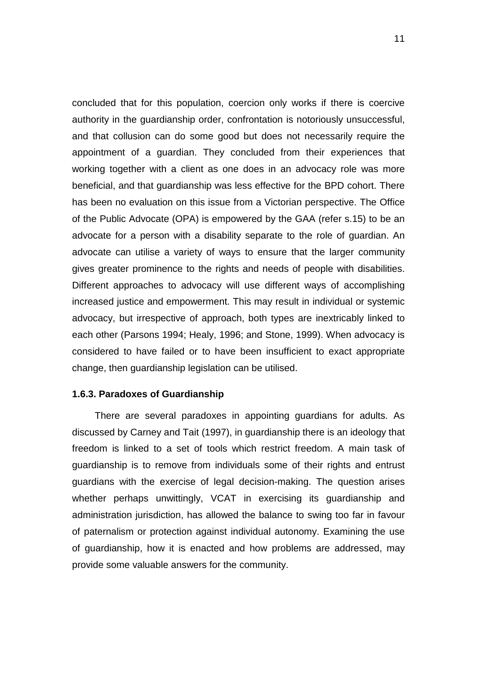concluded that for this population, coercion only works if there is coercive authority in the guardianship order, confrontation is notoriously unsuccessful, and that collusion can do some good but does not necessarily require the appointment of a guardian. They concluded from their experiences that working together with a client as one does in an advocacy role was more beneficial, and that guardianship was less effective for the BPD cohort. There has been no evaluation on this issue from a Victorian perspective. The Office of the Public Advocate (OPA) is empowered by the GAA (refer s.15) to be an advocate for a person with a disability separate to the role of guardian. An advocate can utilise a variety of ways to ensure that the larger community gives greater prominence to the rights and needs of people with disabilities. Different approaches to advocacy will use different ways of accomplishing increased justice and empowerment. This may result in individual or systemic advocacy, but irrespective of approach, both types are inextricably linked to each other (Parsons 1994; Healy, 1996; and Stone, 1999). When advocacy is considered to have failed or to have been insufficient to exact appropriate change, then guardianship legislation can be utilised.

#### <span id="page-21-0"></span>**1.6.3. Paradoxes of Guardianship**

There are several paradoxes in appointing guardians for adults. As discussed by Carney and Tait (1997), in guardianship there is an ideology that freedom is linked to a set of tools which restrict freedom. A main task of guardianship is to remove from individuals some of their rights and entrust guardians with the exercise of legal decision-making. The question arises whether perhaps unwittingly, VCAT in exercising its guardianship and administration jurisdiction, has allowed the balance to swing too far in favour of paternalism or protection against individual autonomy. Examining the use of guardianship, how it is enacted and how problems are addressed, may provide some valuable answers for the community.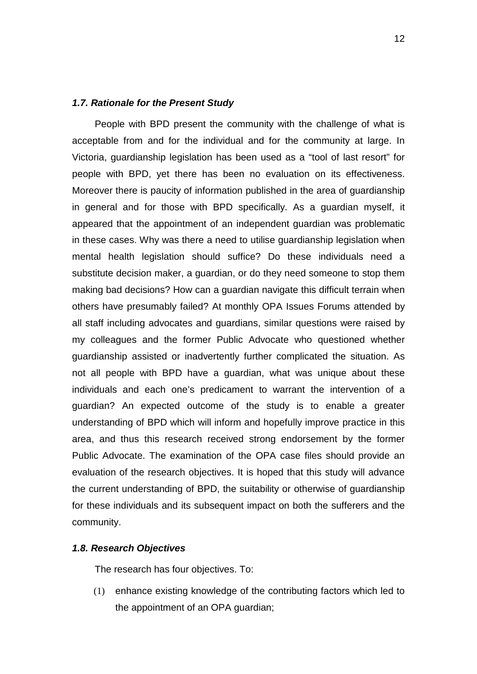#### <span id="page-22-0"></span>*1.7. Rationale for the Present Study*

People with BPD present the community with the challenge of what is acceptable from and for the individual and for the community at large. In Victoria, guardianship legislation has been used as a "tool of last resort" for people with BPD, yet there has been no evaluation on its effectiveness. Moreover there is paucity of information published in the area of guardianship in general and for those with BPD specifically. As a guardian myself, it appeared that the appointment of an independent guardian was problematic in these cases. Why was there a need to utilise guardianship legislation when mental health legislation should suffice? Do these individuals need a substitute decision maker, a guardian, or do they need someone to stop them making bad decisions? How can a guardian navigate this difficult terrain when others have presumably failed? At monthly OPA Issues Forums attended by all staff including advocates and guardians, similar questions were raised by my colleagues and the former Public Advocate who questioned whether guardianship assisted or inadvertently further complicated the situation. As not all people with BPD have a guardian, what was unique about these individuals and each one's predicament to warrant the intervention of a guardian? An expected outcome of the study is to enable a greater understanding of BPD which will inform and hopefully improve practice in this area, and thus this research received strong endorsement by the former Public Advocate. The examination of the OPA case files should provide an evaluation of the research objectives. It is hoped that this study will advance the current understanding of BPD, the suitability or otherwise of guardianship for these individuals and its subsequent impact on both the sufferers and the community.

# <span id="page-22-1"></span>*1.8. Research Objectives*

The research has four objectives. To:

(1) enhance existing knowledge of the contributing factors which led to the appointment of an OPA guardian;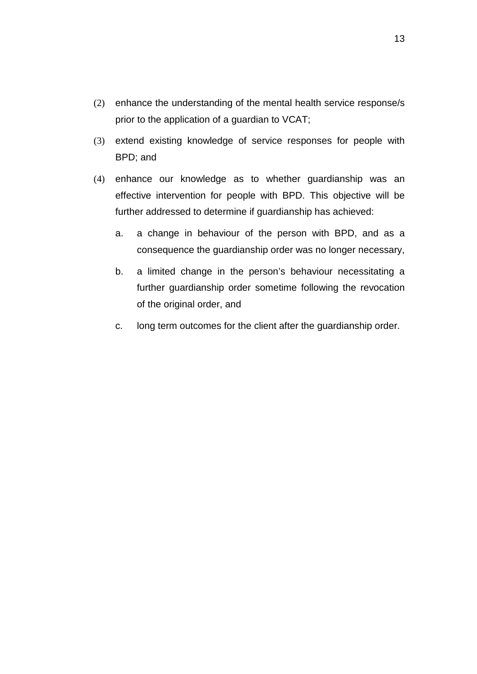- (2) enhance the understanding of the mental health service response/s prior to the application of a guardian to VCAT;
- (3) extend existing knowledge of service responses for people with BPD; and
- (4) enhance our knowledge as to whether guardianship was an effective intervention for people with BPD. This objective will be further addressed to determine if guardianship has achieved:
	- a. a change in behaviour of the person with BPD, and as a consequence the guardianship order was no longer necessary,
	- b. a limited change in the person's behaviour necessitating a further guardianship order sometime following the revocation of the original order, and
	- c. long term outcomes for the client after the guardianship order.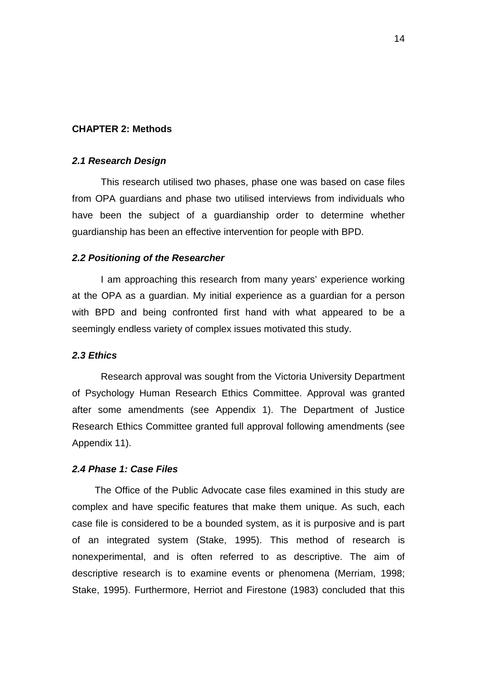# <span id="page-24-0"></span>**CHAPTER 2: Methods**

#### <span id="page-24-1"></span>*2.1 Research Design*

This research utilised two phases, phase one was based on case files from OPA guardians and phase two utilised interviews from individuals who have been the subject of a guardianship order to determine whether guardianship has been an effective intervention for people with BPD.

# <span id="page-24-2"></span>*2.2 Positioning of the Researcher*

I am approaching this research from many years' experience working at the OPA as a guardian. My initial experience as a guardian for a person with BPD and being confronted first hand with what appeared to be a seemingly endless variety of complex issues motivated this study.

# <span id="page-24-3"></span>*2.3 Ethics*

Research approval was sought from the Victoria University Department of Psychology Human Research Ethics Committee. Approval was granted after some amendments (see Appendix 1). The Department of Justice Research Ethics Committee granted full approval following amendments (see Appendix 11).

# <span id="page-24-4"></span>*2.4 Phase 1: Case Files*

The Office of the Public Advocate case files examined in this study are complex and have specific features that make them unique. As such, each case file is considered to be a bounded system, as it is purposive and is part of an integrated system (Stake, 1995). This method of research is nonexperimental, and is often referred to as descriptive. The aim of descriptive research is to examine events or phenomena (Merriam, 1998; Stake, 1995). Furthermore, Herriot and Firestone (1983) concluded that this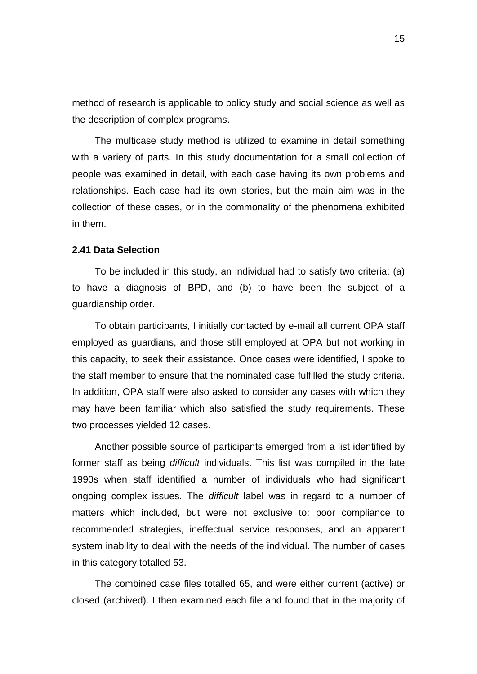method of research is applicable to policy study and social science as well as the description of complex programs.

The multicase study method is utilized to examine in detail something with a variety of parts. In this study documentation for a small collection of people was examined in detail, with each case having its own problems and relationships. Each case had its own stories, but the main aim was in the collection of these cases, or in the commonality of the phenomena exhibited in them.

# <span id="page-25-0"></span>**2.41 Data Selection**

To be included in this study, an individual had to satisfy two criteria: (a) to have a diagnosis of BPD, and (b) to have been the subject of a guardianship order.

To obtain participants, I initially contacted by e-mail all current OPA staff employed as guardians, and those still employed at OPA but not working in this capacity, to seek their assistance. Once cases were identified, I spoke to the staff member to ensure that the nominated case fulfilled the study criteria. In addition, OPA staff were also asked to consider any cases with which they may have been familiar which also satisfied the study requirements. These two processes yielded 12 cases.

Another possible source of participants emerged from a list identified by former staff as being *difficult* individuals. This list was compiled in the late 1990s when staff identified a number of individuals who had significant ongoing complex issues. The *difficult* label was in regard to a number of matters which included, but were not exclusive to: poor compliance to recommended strategies, ineffectual service responses, and an apparent system inability to deal with the needs of the individual. The number of cases in this category totalled 53.

The combined case files totalled 65, and were either current (active) or closed (archived). I then examined each file and found that in the majority of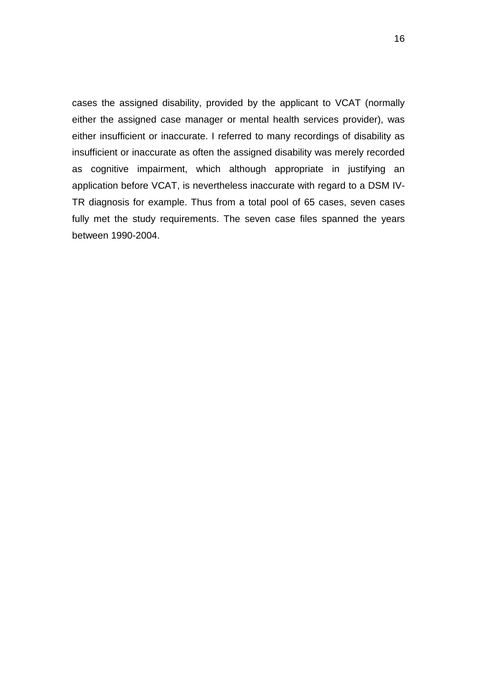cases the assigned disability, provided by the applicant to VCAT (normally either the assigned case manager or mental health services provider), was either insufficient or inaccurate. I referred to many recordings of disability as insufficient or inaccurate as often the assigned disability was merely recorded as cognitive impairment, which although appropriate in justifying an application before VCAT, is nevertheless inaccurate with regard to a DSM IV-TR diagnosis for example. Thus from a total pool of 65 cases, seven cases fully met the study requirements. The seven case files spanned the years between 1990-2004.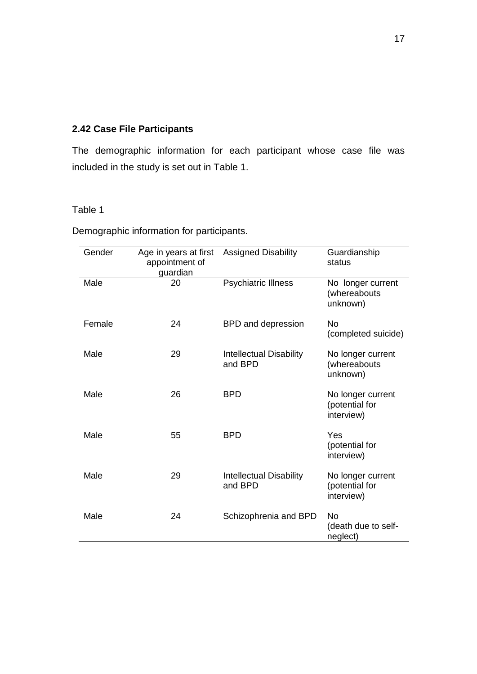# <span id="page-27-0"></span>**2.42 Case File Participants**

The demographic information for each participant whose case file was included in the study is set out in Table 1.

# Table 1

Demographic information for participants.

| Gender | Age in years at first<br>appointment of<br>guardian | <b>Assigned Disability</b>                | Guardianship<br>status                            |
|--------|-----------------------------------------------------|-------------------------------------------|---------------------------------------------------|
| Male   | 20                                                  | <b>Psychiatric Illness</b>                | No longer current<br>(whereabouts<br>unknown)     |
| Female | 24                                                  | BPD and depression                        | No<br>(completed suicide)                         |
| Male   | 29                                                  | <b>Intellectual Disability</b><br>and BPD | No longer current<br>(whereabouts<br>unknown)     |
| Male   | 26                                                  | <b>BPD</b>                                | No longer current<br>(potential for<br>interview) |
| Male   | 55                                                  | <b>BPD</b>                                | Yes<br>(potential for<br>interview)               |
| Male   | 29                                                  | <b>Intellectual Disability</b><br>and BPD | No longer current<br>(potential for<br>interview) |
| Male   | 24                                                  | Schizophrenia and BPD                     | No<br>(death due to self-<br>neglect)             |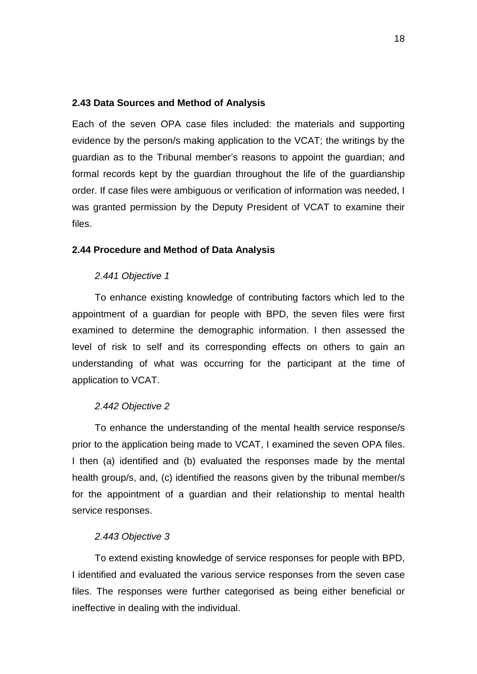### <span id="page-28-0"></span>**2.43 Data Sources and Method of Analysis**

Each of the seven OPA case files included: the materials and supporting evidence by the person/s making application to the VCAT; the writings by the guardian as to the Tribunal member's reasons to appoint the guardian; and formal records kept by the guardian throughout the life of the guardianship order. If case files were ambiguous or verification of information was needed, I was granted permission by the Deputy President of VCAT to examine their files.

# <span id="page-28-2"></span><span id="page-28-1"></span>**2.44 Procedure and Method of Data Analysis**

#### *2.441 Objective 1*

To enhance existing knowledge of contributing factors which led to the appointment of a guardian for people with BPD, the seven files were first examined to determine the demographic information. I then assessed the level of risk to self and its corresponding effects on others to gain an understanding of what was occurring for the participant at the time of application to VCAT.

#### <span id="page-28-3"></span>*2.442 Objective 2*

To enhance the understanding of the mental health service response/s prior to the application being made to VCAT, I examined the seven OPA files. I then (a) identified and (b) evaluated the responses made by the mental health group/s, and, (c) identified the reasons given by the tribunal member/s for the appointment of a guardian and their relationship to mental health service responses.

#### <span id="page-28-4"></span>*2.443 Objective 3*

To extend existing knowledge of service responses for people with BPD, I identified and evaluated the various service responses from the seven case files. The responses were further categorised as being either beneficial or ineffective in dealing with the individual.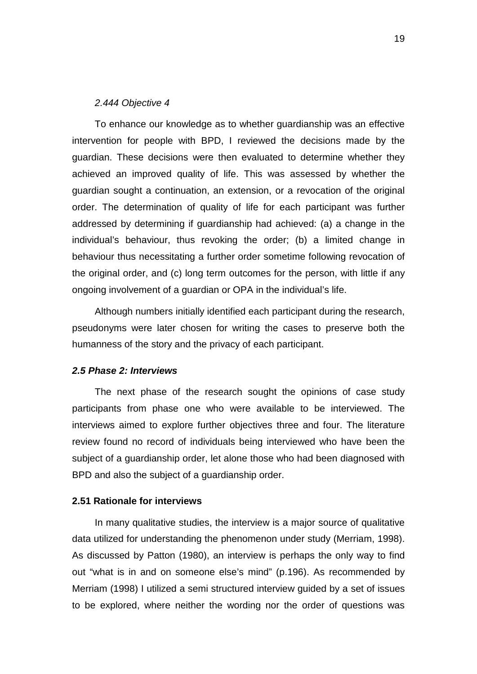# *2.444 Objective 4*

<span id="page-29-0"></span>To enhance our knowledge as to whether guardianship was an effective intervention for people with BPD, I reviewed the decisions made by the guardian. These decisions were then evaluated to determine whether they achieved an improved quality of life. This was assessed by whether the guardian sought a continuation, an extension, or a revocation of the original order. The determination of quality of life for each participant was further addressed by determining if guardianship had achieved: (a) a change in the individual's behaviour, thus revoking the order; (b) a limited change in behaviour thus necessitating a further order sometime following revocation of the original order, and (c) long term outcomes for the person, with little if any ongoing involvement of a guardian or OPA in the individual's life.

Although numbers initially identified each participant during the research, pseudonyms were later chosen for writing the cases to preserve both the humanness of the story and the privacy of each participant.

# <span id="page-29-1"></span>*2.5 Phase 2: Interviews*

The next phase of the research sought the opinions of case study participants from phase one who were available to be interviewed. The interviews aimed to explore further objectives three and four. The literature review found no record of individuals being interviewed who have been the subject of a guardianship order, let alone those who had been diagnosed with BPD and also the subject of a guardianship order.

#### <span id="page-29-2"></span>**2.51 Rationale for interviews**

In many qualitative studies, the interview is a major source of qualitative data utilized for understanding the phenomenon under study (Merriam, 1998). As discussed by Patton (1980), an interview is perhaps the only way to find out "what is in and on someone else's mind" (p.196). As recommended by Merriam (1998) I utilized a semi structured interview guided by a set of issues to be explored, where neither the wording nor the order of questions was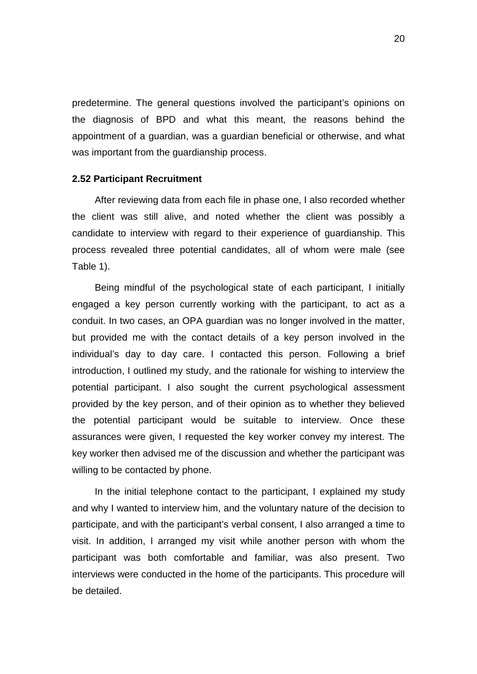predetermine. The general questions involved the participant's opinions on the diagnosis of BPD and what this meant, the reasons behind the appointment of a guardian, was a guardian beneficial or otherwise, and what was important from the guardianship process.

#### <span id="page-30-0"></span>**2.52 Participant Recruitment**

After reviewing data from each file in phase one, I also recorded whether the client was still alive, and noted whether the client was possibly a candidate to interview with regard to their experience of guardianship. This process revealed three potential candidates, all of whom were male (see Table 1).

Being mindful of the psychological state of each participant, I initially engaged a key person currently working with the participant, to act as a conduit. In two cases, an OPA guardian was no longer involved in the matter, but provided me with the contact details of a key person involved in the individual's day to day care. I contacted this person. Following a brief introduction, I outlined my study, and the rationale for wishing to interview the potential participant. I also sought the current psychological assessment provided by the key person, and of their opinion as to whether they believed the potential participant would be suitable to interview. Once these assurances were given, I requested the key worker convey my interest. The key worker then advised me of the discussion and whether the participant was willing to be contacted by phone.

In the initial telephone contact to the participant, I explained my study and why I wanted to interview him, and the voluntary nature of the decision to participate, and with the participant's verbal consent, I also arranged a time to visit. In addition, I arranged my visit while another person with whom the participant was both comfortable and familiar, was also present. Two interviews were conducted in the home of the participants. This procedure will be detailed.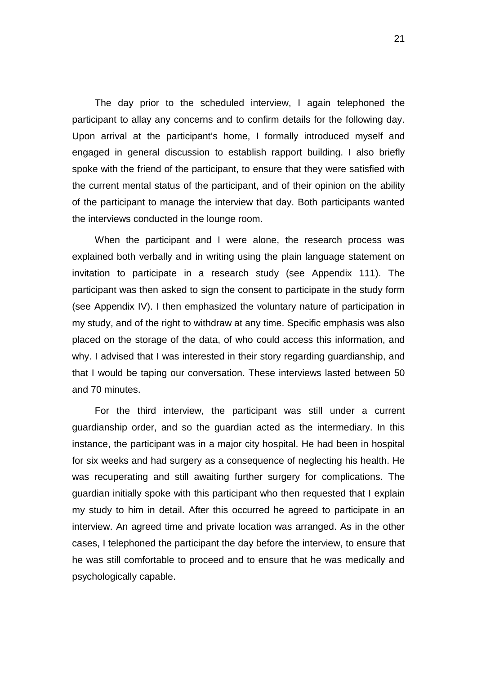The day prior to the scheduled interview, I again telephoned the participant to allay any concerns and to confirm details for the following day. Upon arrival at the participant's home, I formally introduced myself and engaged in general discussion to establish rapport building. I also briefly spoke with the friend of the participant, to ensure that they were satisfied with the current mental status of the participant, and of their opinion on the ability of the participant to manage the interview that day. Both participants wanted the interviews conducted in the lounge room.

When the participant and I were alone, the research process was explained both verbally and in writing using the plain language statement on invitation to participate in a research study (see Appendix 111). The participant was then asked to sign the consent to participate in the study form (see Appendix IV). I then emphasized the voluntary nature of participation in my study, and of the right to withdraw at any time. Specific emphasis was also placed on the storage of the data, of who could access this information, and why. I advised that I was interested in their story regarding guardianship, and that I would be taping our conversation. These interviews lasted between 50 and 70 minutes.

For the third interview, the participant was still under a current guardianship order, and so the guardian acted as the intermediary. In this instance, the participant was in a major city hospital. He had been in hospital for six weeks and had surgery as a consequence of neglecting his health. He was recuperating and still awaiting further surgery for complications. The guardian initially spoke with this participant who then requested that I explain my study to him in detail. After this occurred he agreed to participate in an interview. An agreed time and private location was arranged. As in the other cases, I telephoned the participant the day before the interview, to ensure that he was still comfortable to proceed and to ensure that he was medically and psychologically capable.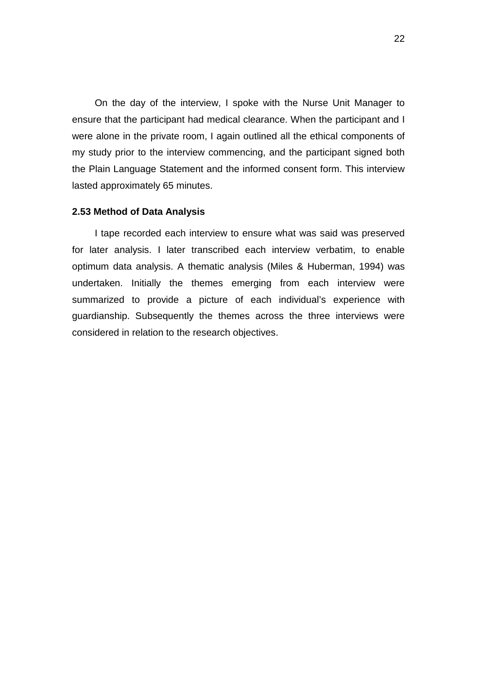On the day of the interview, I spoke with the Nurse Unit Manager to ensure that the participant had medical clearance. When the participant and I were alone in the private room, I again outlined all the ethical components of my study prior to the interview commencing, and the participant signed both the Plain Language Statement and the informed consent form. This interview lasted approximately 65 minutes.

#### <span id="page-32-0"></span>**2.53 Method of Data Analysis**

I tape recorded each interview to ensure what was said was preserved for later analysis. I later transcribed each interview verbatim, to enable optimum data analysis. A thematic analysis (Miles & Huberman, 1994) was undertaken. Initially the themes emerging from each interview were summarized to provide a picture of each individual's experience with guardianship. Subsequently the themes across the three interviews were considered in relation to the research objectives.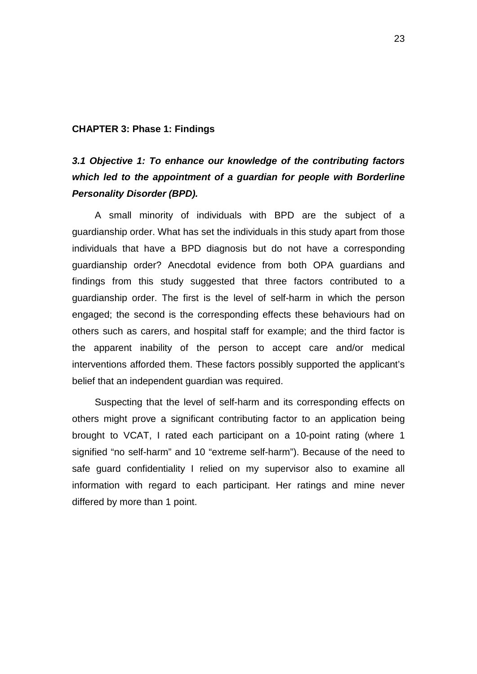# <span id="page-33-0"></span>**CHAPTER 3: Phase 1: Findings**

# <span id="page-33-1"></span>*3.1 Objective 1: To enhance our knowledge of the contributing factors which led to the appointment of a guardian for people with Borderline Personality Disorder (BPD).*

A small minority of individuals with BPD are the subject of a guardianship order. What has set the individuals in this study apart from those individuals that have a BPD diagnosis but do not have a corresponding guardianship order? Anecdotal evidence from both OPA guardians and findings from this study suggested that three factors contributed to a guardianship order. The first is the level of self-harm in which the person engaged; the second is the corresponding effects these behaviours had on others such as carers, and hospital staff for example; and the third factor is the apparent inability of the person to accept care and/or medical interventions afforded them. These factors possibly supported the applicant's belief that an independent quardian was required.

Suspecting that the level of self-harm and its corresponding effects on others might prove a significant contributing factor to an application being brought to VCAT, I rated each participant on a 10-point rating (where 1 signified "no self-harm" and 10 "extreme self-harm"). Because of the need to safe guard confidentiality I relied on my supervisor also to examine all information with regard to each participant. Her ratings and mine never differed by more than 1 point.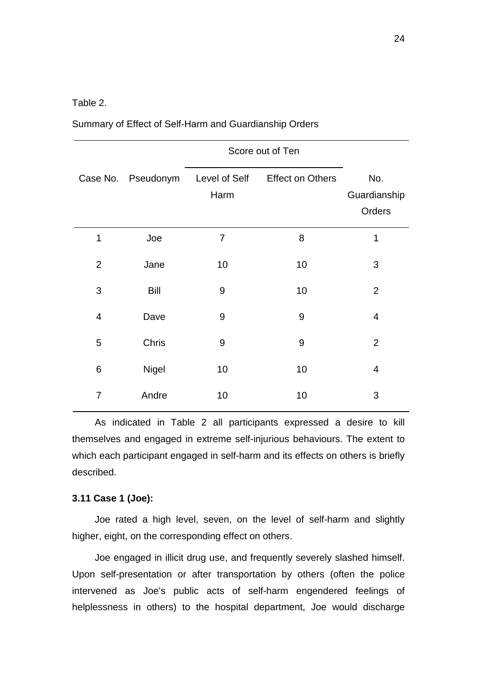Table 2.

|                |                    | Score out of Ten      |                         |                               |
|----------------|--------------------|-----------------------|-------------------------|-------------------------------|
|                | Case No. Pseudonym | Level of Self<br>Harm | <b>Effect on Others</b> | No.<br>Guardianship<br>Orders |
| 1              | Joe                | $\overline{7}$        | 8                       | 1                             |
| $\overline{2}$ | Jane               | 10                    | 10                      | 3                             |
| 3              | <b>Bill</b>        | 9                     | 10                      | $\overline{2}$                |
| $\overline{4}$ | Dave               | $9\,$                 | 9                       | $\overline{4}$                |
| 5              | Chris              | $9$                   | 9                       | $\overline{2}$                |
| $\,6$          | <b>Nigel</b>       | 10                    | 10                      | $\overline{\mathbf{4}}$       |
| $\overline{7}$ | Andre              | 10                    | 10                      | 3                             |

Summary of Effect of Self-Harm and Guardianship Orders

As indicated in Table 2 all participants expressed a desire to kill themselves and engaged in extreme self-injurious behaviours. The extent to which each participant engaged in self-harm and its effects on others is briefly described.

# <span id="page-34-0"></span>**3.11 Case 1 (Joe):**

Joe rated a high level, seven, on the level of self-harm and slightly higher, eight, on the corresponding effect on others.

Joe engaged in illicit drug use, and frequently severely slashed himself. Upon self-presentation or after transportation by others (often the police intervened as Joe's public acts of self-harm engendered feelings of helplessness in others) to the hospital department, Joe would discharge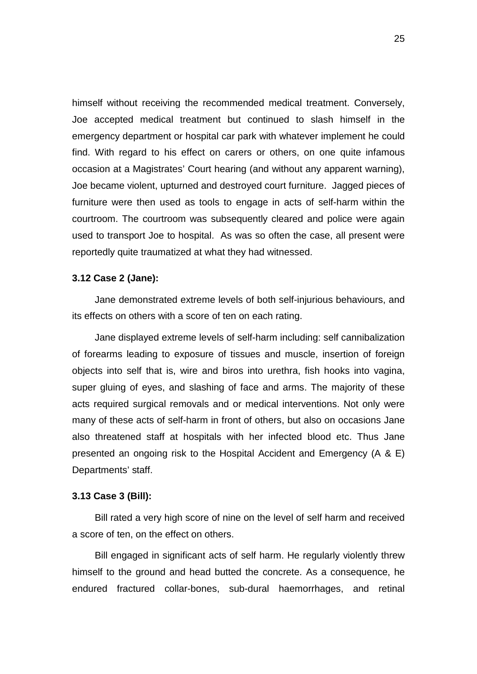himself without receiving the recommended medical treatment. Conversely, Joe accepted medical treatment but continued to slash himself in the emergency department or hospital car park with whatever implement he could find. With regard to his effect on carers or others, on one quite infamous occasion at a Magistrates' Court hearing (and without any apparent warning), Joe became violent, upturned and destroyed court furniture. Jagged pieces of furniture were then used as tools to engage in acts of self-harm within the courtroom. The courtroom was subsequently cleared and police were again used to transport Joe to hospital. As was so often the case, all present were reportedly quite traumatized at what they had witnessed.

# <span id="page-35-0"></span>**3.12 Case 2 (Jane):**

Jane demonstrated extreme levels of both self-injurious behaviours, and its effects on others with a score of ten on each rating.

Jane displayed extreme levels of self-harm including: self cannibalization of forearms leading to exposure of tissues and muscle, insertion of foreign objects into self that is, wire and biros into urethra, fish hooks into vagina, super gluing of eyes, and slashing of face and arms. The majority of these acts required surgical removals and or medical interventions. Not only were many of these acts of self-harm in front of others, but also on occasions Jane also threatened staff at hospitals with her infected blood etc. Thus Jane presented an ongoing risk to the Hospital Accident and Emergency (A & E) Departments' staff.

#### <span id="page-35-1"></span>**3.13 Case 3 (Bill):**

Bill rated a very high score of nine on the level of self harm and received a score of ten, on the effect on others.

Bill engaged in significant acts of self harm. He regularly violently threw himself to the ground and head butted the concrete. As a consequence, he endured fractured collar-bones, sub-dural haemorrhages, and retinal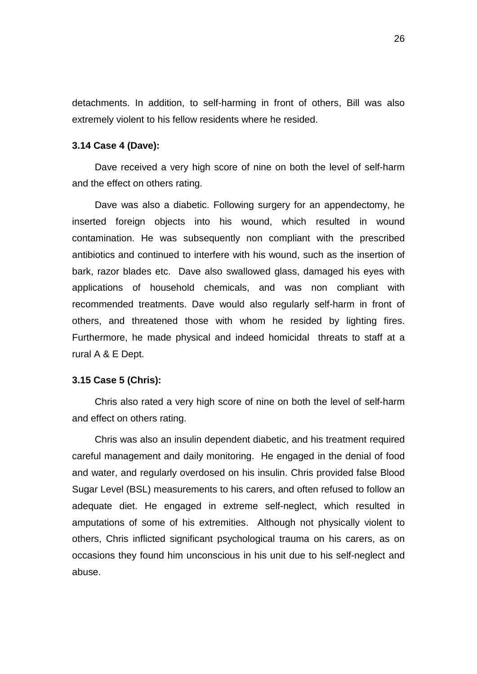detachments. In addition, to self-harming in front of others, Bill was also extremely violent to his fellow residents where he resided.

## **3.14 Case 4 (Dave):**

Dave received a very high score of nine on both the level of self-harm and the effect on others rating.

Dave was also a diabetic. Following surgery for an appendectomy, he inserted foreign objects into his wound, which resulted in wound contamination. He was subsequently non compliant with the prescribed antibiotics and continued to interfere with his wound, such as the insertion of bark, razor blades etc. Dave also swallowed glass, damaged his eyes with applications of household chemicals, and was non compliant with recommended treatments. Dave would also regularly self-harm in front of others, and threatened those with whom he resided by lighting fires. Furthermore, he made physical and indeed homicidal threats to staff at a rural A & E Dept.

## **3.15 Case 5 (Chris):**

Chris also rated a very high score of nine on both the level of self-harm and effect on others rating.

Chris was also an insulin dependent diabetic, and his treatment required careful management and daily monitoring. He engaged in the denial of food and water, and regularly overdosed on his insulin. Chris provided false Blood Sugar Level (BSL) measurements to his carers, and often refused to follow an adequate diet. He engaged in extreme self-neglect, which resulted in amputations of some of his extremities. Although not physically violent to others, Chris inflicted significant psychological trauma on his carers, as on occasions they found him unconscious in his unit due to his self-neglect and abuse.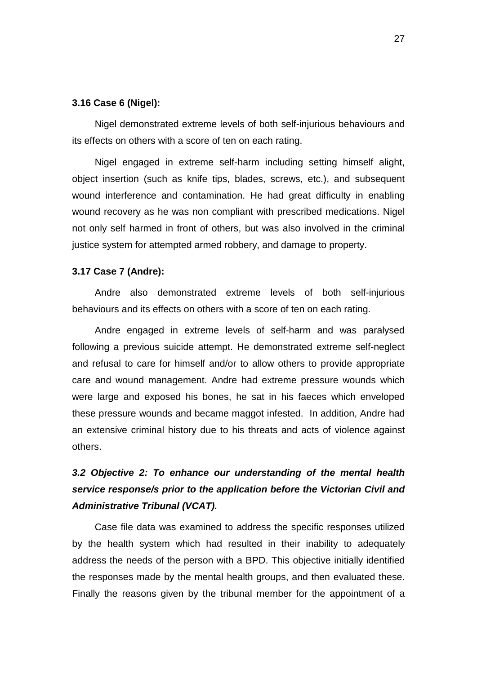## **3.16 Case 6 (Nigel):**

Nigel demonstrated extreme levels of both self-injurious behaviours and its effects on others with a score of ten on each rating.

Nigel engaged in extreme self-harm including setting himself alight, object insertion (such as knife tips, blades, screws, etc.), and subsequent wound interference and contamination. He had great difficulty in enabling wound recovery as he was non compliant with prescribed medications. Nigel not only self harmed in front of others, but was also involved in the criminal justice system for attempted armed robbery, and damage to property.

### **3.17 Case 7 (Andre):**

Andre also demonstrated extreme levels of both self-injurious behaviours and its effects on others with a score of ten on each rating.

Andre engaged in extreme levels of self-harm and was paralysed following a previous suicide attempt. He demonstrated extreme self-neglect and refusal to care for himself and/or to allow others to provide appropriate care and wound management. Andre had extreme pressure wounds which were large and exposed his bones, he sat in his faeces which enveloped these pressure wounds and became maggot infested. In addition, Andre had an extensive criminal history due to his threats and acts of violence against others.

# *3.2 Objective 2: To enhance our understanding of the mental health service response/s prior to the application before the Victorian Civil and Administrative Tribunal (VCAT).*

Case file data was examined to address the specific responses utilized by the health system which had resulted in their inability to adequately address the needs of the person with a BPD. This objective initially identified the responses made by the mental health groups, and then evaluated these. Finally the reasons given by the tribunal member for the appointment of a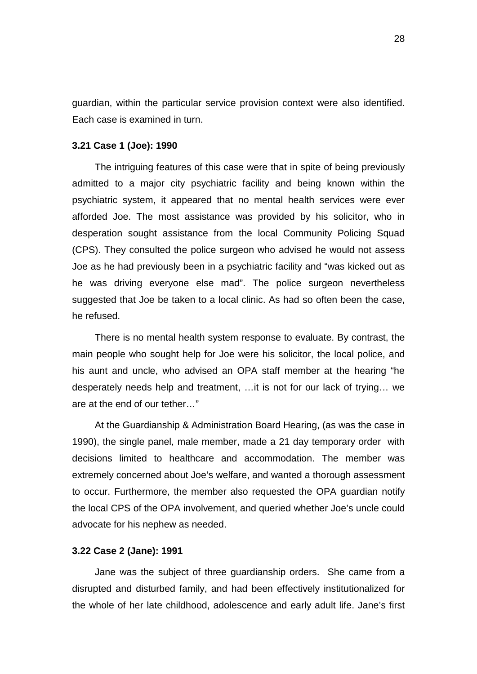guardian, within the particular service provision context were also identified. Each case is examined in turn.

# **3.21 Case 1 (Joe): 1990**

The intriguing features of this case were that in spite of being previously admitted to a major city psychiatric facility and being known within the psychiatric system, it appeared that no mental health services were ever afforded Joe. The most assistance was provided by his solicitor, who in desperation sought assistance from the local Community Policing Squad (CPS). They consulted the police surgeon who advised he would not assess Joe as he had previously been in a psychiatric facility and "was kicked out as he was driving everyone else mad". The police surgeon nevertheless suggested that Joe be taken to a local clinic. As had so often been the case, he refused.

There is no mental health system response to evaluate. By contrast, the main people who sought help for Joe were his solicitor, the local police, and his aunt and uncle, who advised an OPA staff member at the hearing "he desperately needs help and treatment, …it is not for our lack of trying… we are at the end of our tether…"

At the Guardianship & Administration Board Hearing, (as was the case in 1990), the single panel, male member, made a 21 day temporary order with decisions limited to healthcare and accommodation. The member was extremely concerned about Joe's welfare, and wanted a thorough assessment to occur. Furthermore, the member also requested the OPA guardian notify the local CPS of the OPA involvement, and queried whether Joe's uncle could advocate for his nephew as needed.

## **3.22 Case 2 (Jane): 1991**

Jane was the subject of three guardianship orders. She came from a disrupted and disturbed family, and had been effectively institutionalized for the whole of her late childhood, adolescence and early adult life. Jane's first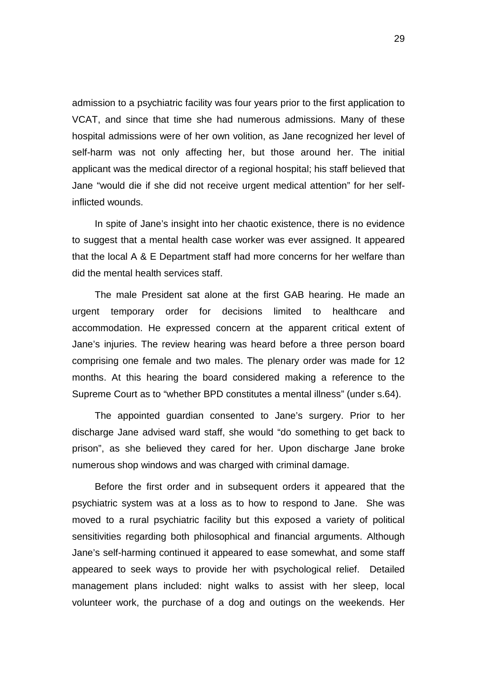admission to a psychiatric facility was four years prior to the first application to VCAT, and since that time she had numerous admissions. Many of these hospital admissions were of her own volition, as Jane recognized her level of self-harm was not only affecting her, but those around her. The initial applicant was the medical director of a regional hospital; his staff believed that Jane "would die if she did not receive urgent medical attention" for her selfinflicted wounds.

In spite of Jane's insight into her chaotic existence, there is no evidence to suggest that a mental health case worker was ever assigned. It appeared that the local A & E Department staff had more concerns for her welfare than did the mental health services staff.

The male President sat alone at the first GAB hearing. He made an urgent temporary order for decisions limited to healthcare and accommodation. He expressed concern at the apparent critical extent of Jane's injuries. The review hearing was heard before a three person board comprising one female and two males. The plenary order was made for 12 months. At this hearing the board considered making a reference to the Supreme Court as to "whether BPD constitutes a mental illness" (under s.64).

The appointed guardian consented to Jane's surgery. Prior to her discharge Jane advised ward staff, she would "do something to get back to prison", as she believed they cared for her. Upon discharge Jane broke numerous shop windows and was charged with criminal damage.

Before the first order and in subsequent orders it appeared that the psychiatric system was at a loss as to how to respond to Jane. She was moved to a rural psychiatric facility but this exposed a variety of political sensitivities regarding both philosophical and financial arguments. Although Jane's self-harming continued it appeared to ease somewhat, and some staff appeared to seek ways to provide her with psychological relief. Detailed management plans included: night walks to assist with her sleep, local volunteer work, the purchase of a dog and outings on the weekends. Her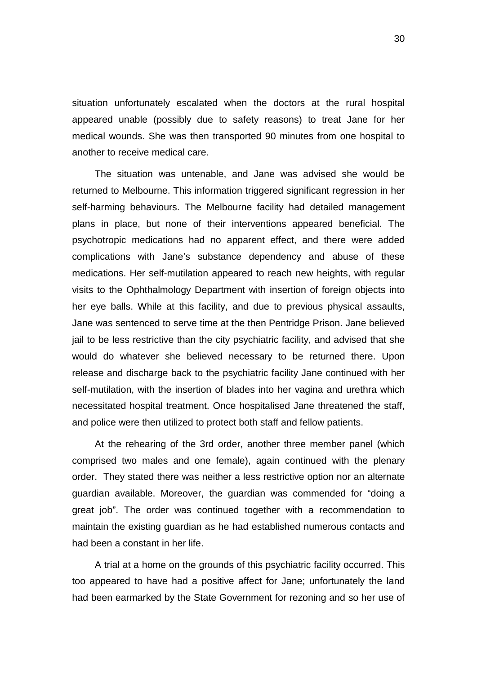situation unfortunately escalated when the doctors at the rural hospital appeared unable (possibly due to safety reasons) to treat Jane for her medical wounds. She was then transported 90 minutes from one hospital to another to receive medical care.

The situation was untenable, and Jane was advised she would be returned to Melbourne. This information triggered significant regression in her self-harming behaviours. The Melbourne facility had detailed management plans in place, but none of their interventions appeared beneficial. The psychotropic medications had no apparent effect, and there were added complications with Jane's substance dependency and abuse of these medications. Her self-mutilation appeared to reach new heights, with regular visits to the Ophthalmology Department with insertion of foreign objects into her eye balls. While at this facility, and due to previous physical assaults, Jane was sentenced to serve time at the then Pentridge Prison. Jane believed jail to be less restrictive than the city psychiatric facility, and advised that she would do whatever she believed necessary to be returned there. Upon release and discharge back to the psychiatric facility Jane continued with her self-mutilation, with the insertion of blades into her vagina and urethra which necessitated hospital treatment. Once hospitalised Jane threatened the staff, and police were then utilized to protect both staff and fellow patients.

At the rehearing of the 3rd order, another three member panel (which comprised two males and one female), again continued with the plenary order. They stated there was neither a less restrictive option nor an alternate guardian available. Moreover, the guardian was commended for "doing a great job". The order was continued together with a recommendation to maintain the existing guardian as he had established numerous contacts and had been a constant in her life.

A trial at a home on the grounds of this psychiatric facility occurred. This too appeared to have had a positive affect for Jane; unfortunately the land had been earmarked by the State Government for rezoning and so her use of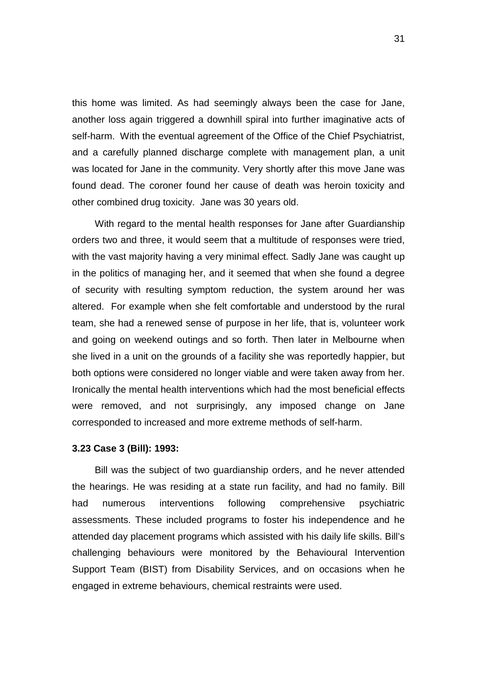this home was limited. As had seemingly always been the case for Jane, another loss again triggered a downhill spiral into further imaginative acts of self-harm. With the eventual agreement of the Office of the Chief Psychiatrist, and a carefully planned discharge complete with management plan, a unit was located for Jane in the community. Very shortly after this move Jane was found dead. The coroner found her cause of death was heroin toxicity and other combined drug toxicity. Jane was 30 years old.

With regard to the mental health responses for Jane after Guardianship orders two and three, it would seem that a multitude of responses were tried, with the vast majority having a very minimal effect. Sadly Jane was caught up in the politics of managing her, and it seemed that when she found a degree of security with resulting symptom reduction, the system around her was altered. For example when she felt comfortable and understood by the rural team, she had a renewed sense of purpose in her life, that is, volunteer work and going on weekend outings and so forth. Then later in Melbourne when she lived in a unit on the grounds of a facility she was reportedly happier, but both options were considered no longer viable and were taken away from her. Ironically the mental health interventions which had the most beneficial effects were removed, and not surprisingly, any imposed change on Jane corresponded to increased and more extreme methods of self-harm.

#### **3.23 Case 3 (Bill): 1993:**

Bill was the subject of two guardianship orders, and he never attended the hearings. He was residing at a state run facility, and had no family. Bill had numerous interventions following comprehensive psychiatric assessments. These included programs to foster his independence and he attended day placement programs which assisted with his daily life skills. Bill's challenging behaviours were monitored by the Behavioural Intervention Support Team (BIST) from Disability Services, and on occasions when he engaged in extreme behaviours, chemical restraints were used.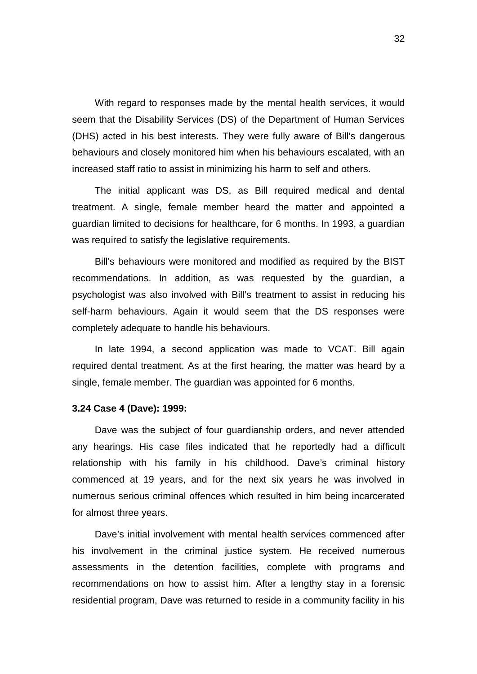With regard to responses made by the mental health services, it would seem that the Disability Services (DS) of the Department of Human Services (DHS) acted in his best interests. They were fully aware of Bill's dangerous behaviours and closely monitored him when his behaviours escalated, with an increased staff ratio to assist in minimizing his harm to self and others.

The initial applicant was DS, as Bill required medical and dental treatment. A single, female member heard the matter and appointed a guardian limited to decisions for healthcare, for 6 months. In 1993, a guardian was required to satisfy the legislative requirements.

Bill's behaviours were monitored and modified as required by the BIST recommendations. In addition, as was requested by the guardian, a psychologist was also involved with Bill's treatment to assist in reducing his self-harm behaviours. Again it would seem that the DS responses were completely adequate to handle his behaviours.

In late 1994, a second application was made to VCAT. Bill again required dental treatment. As at the first hearing, the matter was heard by a single, female member. The guardian was appointed for 6 months.

#### **3.24 Case 4 (Dave): 1999:**

Dave was the subject of four guardianship orders, and never attended any hearings. His case files indicated that he reportedly had a difficult relationship with his family in his childhood. Dave's criminal history commenced at 19 years, and for the next six years he was involved in numerous serious criminal offences which resulted in him being incarcerated for almost three years.

Dave's initial involvement with mental health services commenced after his involvement in the criminal justice system. He received numerous assessments in the detention facilities, complete with programs and recommendations on how to assist him. After a lengthy stay in a forensic residential program, Dave was returned to reside in a community facility in his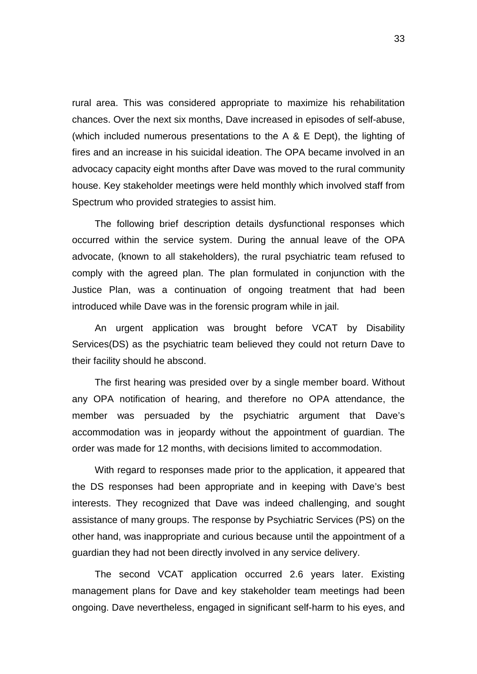rural area. This was considered appropriate to maximize his rehabilitation chances. Over the next six months, Dave increased in episodes of self-abuse, (which included numerous presentations to the A & E Dept), the lighting of fires and an increase in his suicidal ideation. The OPA became involved in an advocacy capacity eight months after Dave was moved to the rural community house. Key stakeholder meetings were held monthly which involved staff from Spectrum who provided strategies to assist him.

The following brief description details dysfunctional responses which occurred within the service system. During the annual leave of the OPA advocate, (known to all stakeholders), the rural psychiatric team refused to comply with the agreed plan. The plan formulated in conjunction with the Justice Plan, was a continuation of ongoing treatment that had been introduced while Dave was in the forensic program while in jail.

An urgent application was brought before VCAT by Disability Services(DS) as the psychiatric team believed they could not return Dave to their facility should he abscond.

The first hearing was presided over by a single member board. Without any OPA notification of hearing, and therefore no OPA attendance, the member was persuaded by the psychiatric argument that Dave's accommodation was in jeopardy without the appointment of guardian. The order was made for 12 months, with decisions limited to accommodation.

With regard to responses made prior to the application, it appeared that the DS responses had been appropriate and in keeping with Dave's best interests. They recognized that Dave was indeed challenging, and sought assistance of many groups. The response by Psychiatric Services (PS) on the other hand, was inappropriate and curious because until the appointment of a guardian they had not been directly involved in any service delivery.

The second VCAT application occurred 2.6 years later. Existing management plans for Dave and key stakeholder team meetings had been ongoing. Dave nevertheless, engaged in significant self-harm to his eyes, and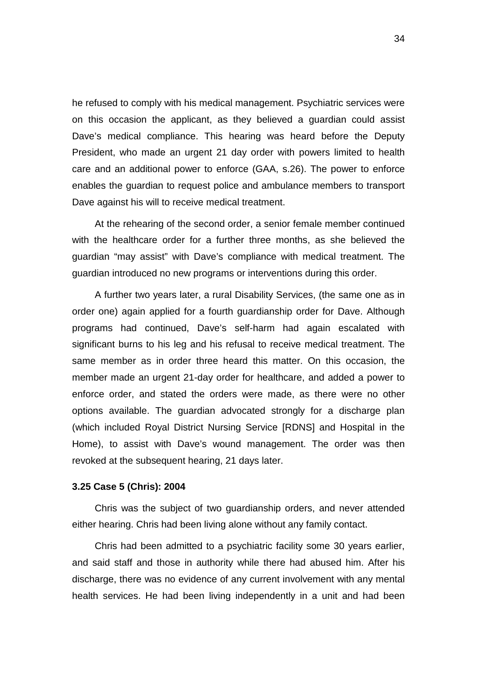he refused to comply with his medical management. Psychiatric services were on this occasion the applicant, as they believed a guardian could assist Dave's medical compliance. This hearing was heard before the Deputy President, who made an urgent 21 day order with powers limited to health care and an additional power to enforce (GAA, s.26). The power to enforce enables the guardian to request police and ambulance members to transport Dave against his will to receive medical treatment.

At the rehearing of the second order, a senior female member continued with the healthcare order for a further three months, as she believed the guardian "may assist" with Dave's compliance with medical treatment. The guardian introduced no new programs or interventions during this order.

A further two years later, a rural Disability Services, (the same one as in order one) again applied for a fourth guardianship order for Dave. Although programs had continued, Dave's self-harm had again escalated with significant burns to his leg and his refusal to receive medical treatment. The same member as in order three heard this matter. On this occasion, the member made an urgent 21-day order for healthcare, and added a power to enforce order, and stated the orders were made, as there were no other options available. The guardian advocated strongly for a discharge plan (which included Royal District Nursing Service [RDNS] and Hospital in the Home), to assist with Dave's wound management. The order was then revoked at the subsequent hearing, 21 days later.

# **3.25 Case 5 (Chris): 2004**

Chris was the subject of two guardianship orders, and never attended either hearing. Chris had been living alone without any family contact.

Chris had been admitted to a psychiatric facility some 30 years earlier, and said staff and those in authority while there had abused him. After his discharge, there was no evidence of any current involvement with any mental health services. He had been living independently in a unit and had been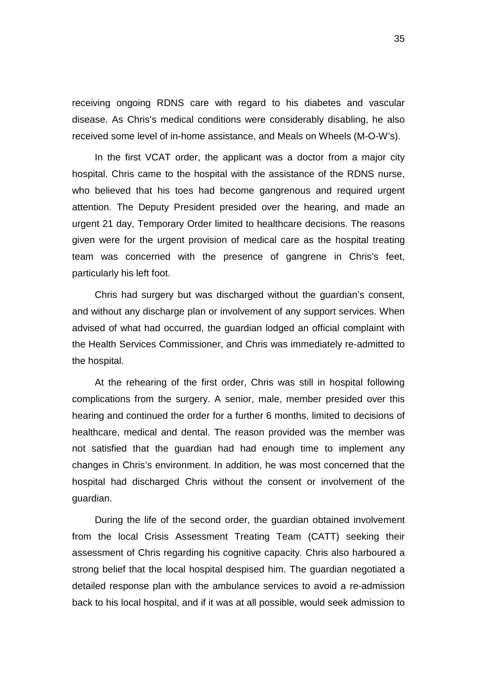receiving ongoing RDNS care with regard to his diabetes and vascular disease. As Chris's medical conditions were considerably disabling, he also received some level of in-home assistance, and Meals on Wheels (M-O-W's).

In the first VCAT order, the applicant was a doctor from a major city hospital. Chris came to the hospital with the assistance of the RDNS nurse, who believed that his toes had become gangrenous and required urgent attention. The Deputy President presided over the hearing, and made an urgent 21 day, Temporary Order limited to healthcare decisions. The reasons given were for the urgent provision of medical care as the hospital treating team was concerned with the presence of gangrene in Chris's feet, particularly his left foot.

Chris had surgery but was discharged without the guardian's consent, and without any discharge plan or involvement of any support services. When advised of what had occurred, the guardian lodged an official complaint with the Health Services Commissioner, and Chris was immediately re-admitted to the hospital.

At the rehearing of the first order, Chris was still in hospital following complications from the surgery. A senior, male, member presided over this hearing and continued the order for a further 6 months, limited to decisions of healthcare, medical and dental. The reason provided was the member was not satisfied that the guardian had had enough time to implement any changes in Chris's environment. In addition, he was most concerned that the hospital had discharged Chris without the consent or involvement of the guardian.

During the life of the second order, the guardian obtained involvement from the local Crisis Assessment Treating Team (CATT) seeking their assessment of Chris regarding his cognitive capacity. Chris also harboured a strong belief that the local hospital despised him. The guardian negotiated a detailed response plan with the ambulance services to avoid a re-admission back to his local hospital, and if it was at all possible, would seek admission to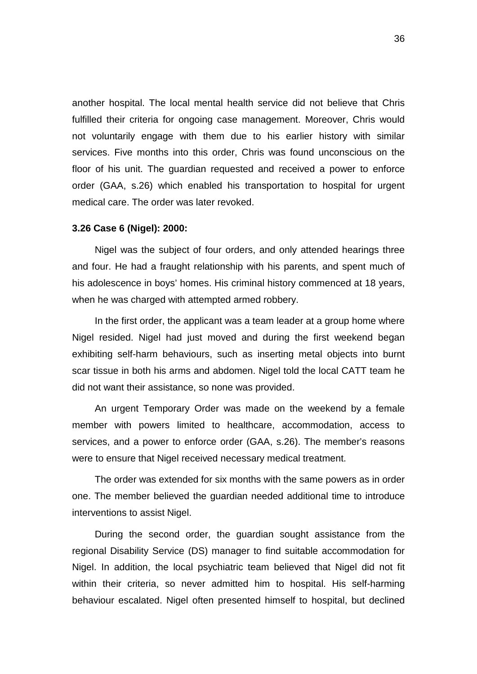another hospital. The local mental health service did not believe that Chris fulfilled their criteria for ongoing case management. Moreover, Chris would not voluntarily engage with them due to his earlier history with similar services. Five months into this order, Chris was found unconscious on the floor of his unit. The guardian requested and received a power to enforce order (GAA, s.26) which enabled his transportation to hospital for urgent medical care. The order was later revoked.

### **3.26 Case 6 (Nigel): 2000:**

Nigel was the subject of four orders, and only attended hearings three and four. He had a fraught relationship with his parents, and spent much of his adolescence in boys' homes. His criminal history commenced at 18 years, when he was charged with attempted armed robbery.

In the first order, the applicant was a team leader at a group home where Nigel resided. Nigel had just moved and during the first weekend began exhibiting self-harm behaviours, such as inserting metal objects into burnt scar tissue in both his arms and abdomen. Nigel told the local CATT team he did not want their assistance, so none was provided.

An urgent Temporary Order was made on the weekend by a female member with powers limited to healthcare, accommodation, access to services, and a power to enforce order (GAA, s.26). The member's reasons were to ensure that Nigel received necessary medical treatment.

The order was extended for six months with the same powers as in order one. The member believed the guardian needed additional time to introduce interventions to assist Nigel.

During the second order, the guardian sought assistance from the regional Disability Service (DS) manager to find suitable accommodation for Nigel. In addition, the local psychiatric team believed that Nigel did not fit within their criteria, so never admitted him to hospital. His self-harming behaviour escalated. Nigel often presented himself to hospital, but declined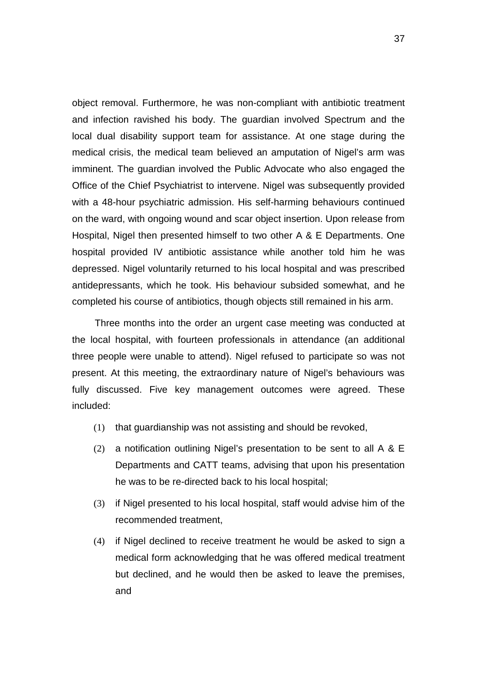object removal. Furthermore, he was non-compliant with antibiotic treatment and infection ravished his body. The guardian involved Spectrum and the local dual disability support team for assistance. At one stage during the medical crisis, the medical team believed an amputation of Nigel's arm was imminent. The guardian involved the Public Advocate who also engaged the Office of the Chief Psychiatrist to intervene. Nigel was subsequently provided with a 48-hour psychiatric admission. His self-harming behaviours continued on the ward, with ongoing wound and scar object insertion. Upon release from Hospital, Nigel then presented himself to two other A & E Departments. One hospital provided IV antibiotic assistance while another told him he was depressed. Nigel voluntarily returned to his local hospital and was prescribed antidepressants, which he took. His behaviour subsided somewhat, and he completed his course of antibiotics, though objects still remained in his arm.

Three months into the order an urgent case meeting was conducted at the local hospital, with fourteen professionals in attendance (an additional three people were unable to attend). Nigel refused to participate so was not present. At this meeting, the extraordinary nature of Nigel's behaviours was fully discussed. Five key management outcomes were agreed. These included:

- (1) that guardianship was not assisting and should be revoked,
- (2) a notification outlining Nigel's presentation to be sent to all A & E Departments and CATT teams, advising that upon his presentation he was to be re-directed back to his local hospital;
- (3) if Nigel presented to his local hospital, staff would advise him of the recommended treatment,
- (4) if Nigel declined to receive treatment he would be asked to sign a medical form acknowledging that he was offered medical treatment but declined, and he would then be asked to leave the premises, and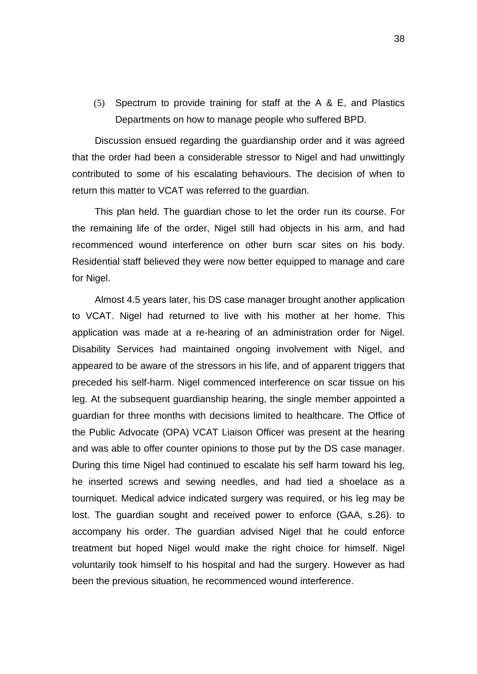(5) Spectrum to provide training for staff at the A & E, and Plastics Departments on how to manage people who suffered BPD.

Discussion ensued regarding the guardianship order and it was agreed that the order had been a considerable stressor to Nigel and had unwittingly contributed to some of his escalating behaviours. The decision of when to return this matter to VCAT was referred to the guardian.

This plan held. The guardian chose to let the order run its course. For the remaining life of the order, Nigel still had objects in his arm, and had recommenced wound interference on other burn scar sites on his body. Residential staff believed they were now better equipped to manage and care for Nigel.

Almost 4.5 years later, his DS case manager brought another application to VCAT. Nigel had returned to live with his mother at her home. This application was made at a re-hearing of an administration order for Nigel. Disability Services had maintained ongoing involvement with Nigel, and appeared to be aware of the stressors in his life, and of apparent triggers that preceded his self-harm. Nigel commenced interference on scar tissue on his leg. At the subsequent guardianship hearing, the single member appointed a guardian for three months with decisions limited to healthcare. The Office of the Public Advocate (OPA) VCAT Liaison Officer was present at the hearing and was able to offer counter opinions to those put by the DS case manager. During this time Nigel had continued to escalate his self harm toward his leg, he inserted screws and sewing needles, and had tied a shoelace as a tourniquet. Medical advice indicated surgery was required, or his leg may be lost. The guardian sought and received power to enforce (GAA, s.26). to accompany his order. The guardian advised Nigel that he could enforce treatment but hoped Nigel would make the right choice for himself. Nigel voluntarily took himself to his hospital and had the surgery. However as had been the previous situation, he recommenced wound interference.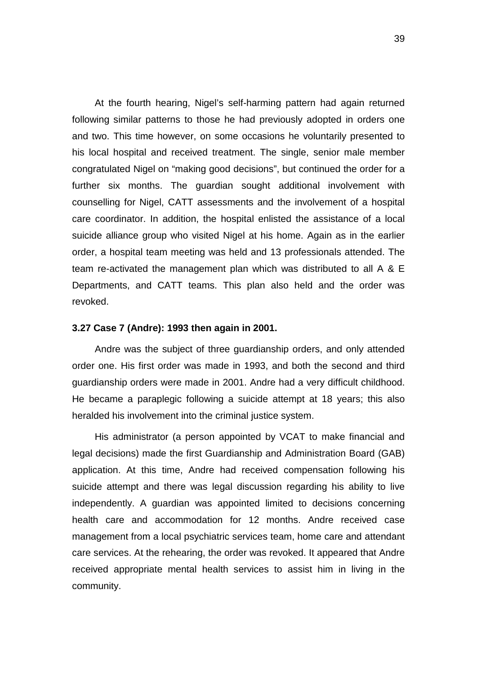At the fourth hearing, Nigel's self-harming pattern had again returned following similar patterns to those he had previously adopted in orders one and two. This time however, on some occasions he voluntarily presented to his local hospital and received treatment. The single, senior male member congratulated Nigel on "making good decisions", but continued the order for a further six months. The guardian sought additional involvement with counselling for Nigel, CATT assessments and the involvement of a hospital care coordinator. In addition, the hospital enlisted the assistance of a local suicide alliance group who visited Nigel at his home. Again as in the earlier order, a hospital team meeting was held and 13 professionals attended. The team re-activated the management plan which was distributed to all A & E Departments, and CATT teams. This plan also held and the order was revoked.

### **3.27 Case 7 (Andre): 1993 then again in 2001.**

Andre was the subject of three guardianship orders, and only attended order one. His first order was made in 1993, and both the second and third guardianship orders were made in 2001. Andre had a very difficult childhood. He became a paraplegic following a suicide attempt at 18 years; this also heralded his involvement into the criminal justice system.

His administrator (a person appointed by VCAT to make financial and legal decisions) made the first Guardianship and Administration Board (GAB) application. At this time, Andre had received compensation following his suicide attempt and there was legal discussion regarding his ability to live independently. A guardian was appointed limited to decisions concerning health care and accommodation for 12 months. Andre received case management from a local psychiatric services team, home care and attendant care services. At the rehearing, the order was revoked. It appeared that Andre received appropriate mental health services to assist him in living in the community.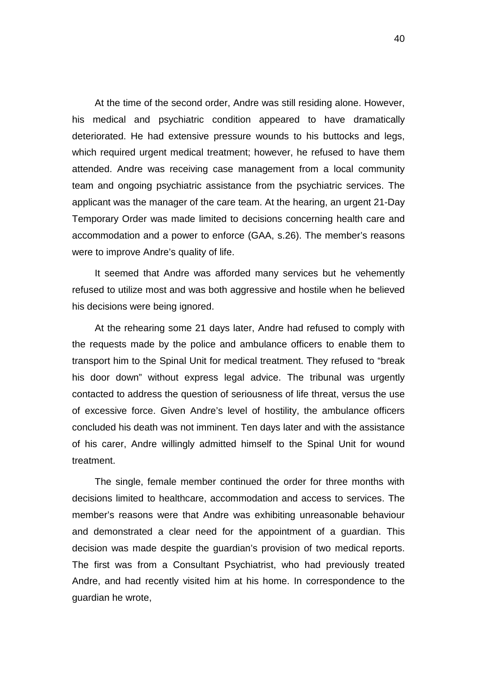At the time of the second order, Andre was still residing alone. However, his medical and psychiatric condition appeared to have dramatically deteriorated. He had extensive pressure wounds to his buttocks and legs, which required urgent medical treatment; however, he refused to have them attended. Andre was receiving case management from a local community team and ongoing psychiatric assistance from the psychiatric services. The applicant was the manager of the care team. At the hearing, an urgent 21-Day Temporary Order was made limited to decisions concerning health care and accommodation and a power to enforce (GAA, s.26). The member's reasons were to improve Andre's quality of life.

It seemed that Andre was afforded many services but he vehemently refused to utilize most and was both aggressive and hostile when he believed his decisions were being ignored.

At the rehearing some 21 days later, Andre had refused to comply with the requests made by the police and ambulance officers to enable them to transport him to the Spinal Unit for medical treatment. They refused to "break his door down" without express legal advice. The tribunal was urgently contacted to address the question of seriousness of life threat, versus the use of excessive force. Given Andre's level of hostility, the ambulance officers concluded his death was not imminent. Ten days later and with the assistance of his carer, Andre willingly admitted himself to the Spinal Unit for wound treatment.

The single, female member continued the order for three months with decisions limited to healthcare, accommodation and access to services. The member's reasons were that Andre was exhibiting unreasonable behaviour and demonstrated a clear need for the appointment of a guardian. This decision was made despite the guardian's provision of two medical reports. The first was from a Consultant Psychiatrist, who had previously treated Andre, and had recently visited him at his home. In correspondence to the guardian he wrote,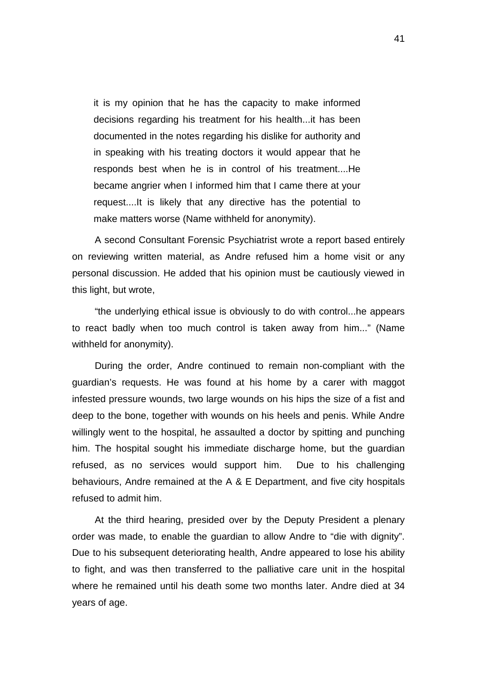it is my opinion that he has the capacity to make informed decisions regarding his treatment for his health...it has been documented in the notes regarding his dislike for authority and in speaking with his treating doctors it would appear that he responds best when he is in control of his treatment....He became angrier when I informed him that I came there at your request....It is likely that any directive has the potential to make matters worse (Name withheld for anonymity).

A second Consultant Forensic Psychiatrist wrote a report based entirely on reviewing written material, as Andre refused him a home visit or any personal discussion. He added that his opinion must be cautiously viewed in this light, but wrote,

"the underlying ethical issue is obviously to do with control...he appears to react badly when too much control is taken away from him..." (Name withheld for anonymity).

During the order, Andre continued to remain non-compliant with the guardian's requests. He was found at his home by a carer with maggot infested pressure wounds, two large wounds on his hips the size of a fist and deep to the bone, together with wounds on his heels and penis. While Andre willingly went to the hospital, he assaulted a doctor by spitting and punching him. The hospital sought his immediate discharge home, but the guardian refused, as no services would support him. Due to his challenging behaviours, Andre remained at the A & E Department, and five city hospitals refused to admit him.

At the third hearing, presided over by the Deputy President a plenary order was made, to enable the guardian to allow Andre to "die with dignity". Due to his subsequent deteriorating health, Andre appeared to lose his ability to fight, and was then transferred to the palliative care unit in the hospital where he remained until his death some two months later. Andre died at 34 years of age.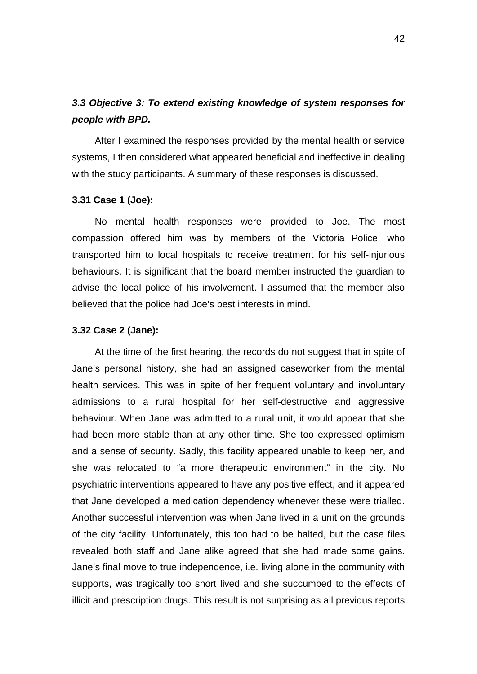# *3.3 Objective 3: To extend existing knowledge of system responses for people with BPD.*

After I examined the responses provided by the mental health or service systems, I then considered what appeared beneficial and ineffective in dealing with the study participants. A summary of these responses is discussed.

### **3.31 Case 1 (Joe):**

No mental health responses were provided to Joe. The most compassion offered him was by members of the Victoria Police, who transported him to local hospitals to receive treatment for his self-injurious behaviours. It is significant that the board member instructed the guardian to advise the local police of his involvement. I assumed that the member also believed that the police had Joe's best interests in mind.

### **3.32 Case 2 (Jane):**

At the time of the first hearing, the records do not suggest that in spite of Jane's personal history, she had an assigned caseworker from the mental health services. This was in spite of her frequent voluntary and involuntary admissions to a rural hospital for her self-destructive and aggressive behaviour. When Jane was admitted to a rural unit, it would appear that she had been more stable than at any other time. She too expressed optimism and a sense of security. Sadly, this facility appeared unable to keep her, and she was relocated to "a more therapeutic environment" in the city. No psychiatric interventions appeared to have any positive effect, and it appeared that Jane developed a medication dependency whenever these were trialled. Another successful intervention was when Jane lived in a unit on the grounds of the city facility. Unfortunately, this too had to be halted, but the case files revealed both staff and Jane alike agreed that she had made some gains. Jane's final move to true independence, i.e. living alone in the community with supports, was tragically too short lived and she succumbed to the effects of illicit and prescription drugs. This result is not surprising as all previous reports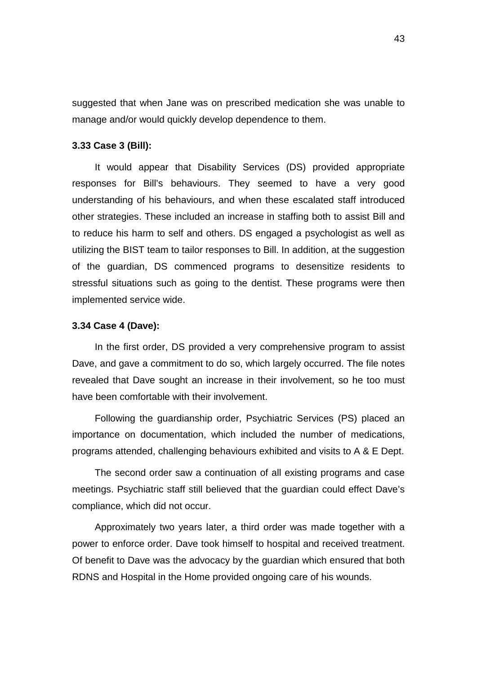suggested that when Jane was on prescribed medication she was unable to manage and/or would quickly develop dependence to them.

## **3.33 Case 3 (Bill):**

It would appear that Disability Services (DS) provided appropriate responses for Bill's behaviours. They seemed to have a very good understanding of his behaviours, and when these escalated staff introduced other strategies. These included an increase in staffing both to assist Bill and to reduce his harm to self and others. DS engaged a psychologist as well as utilizing the BIST team to tailor responses to Bill. In addition, at the suggestion of the guardian, DS commenced programs to desensitize residents to stressful situations such as going to the dentist. These programs were then implemented service wide.

# **3.34 Case 4 (Dave):**

In the first order, DS provided a very comprehensive program to assist Dave, and gave a commitment to do so, which largely occurred. The file notes revealed that Dave sought an increase in their involvement, so he too must have been comfortable with their involvement.

Following the guardianship order, Psychiatric Services (PS) placed an importance on documentation, which included the number of medications, programs attended, challenging behaviours exhibited and visits to A & E Dept.

The second order saw a continuation of all existing programs and case meetings. Psychiatric staff still believed that the guardian could effect Dave's compliance, which did not occur.

Approximately two years later, a third order was made together with a power to enforce order. Dave took himself to hospital and received treatment. Of benefit to Dave was the advocacy by the guardian which ensured that both RDNS and Hospital in the Home provided ongoing care of his wounds.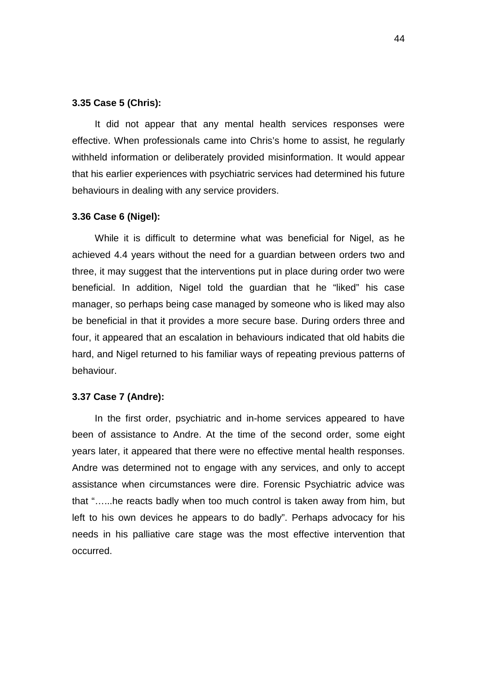## **3.35 Case 5 (Chris):**

It did not appear that any mental health services responses were effective. When professionals came into Chris's home to assist, he regularly withheld information or deliberately provided misinformation. It would appear that his earlier experiences with psychiatric services had determined his future behaviours in dealing with any service providers.

### **3.36 Case 6 (Nigel):**

While it is difficult to determine what was beneficial for Nigel, as he achieved 4.4 years without the need for a guardian between orders two and three, it may suggest that the interventions put in place during order two were beneficial. In addition, Nigel told the guardian that he "liked" his case manager, so perhaps being case managed by someone who is liked may also be beneficial in that it provides a more secure base. During orders three and four, it appeared that an escalation in behaviours indicated that old habits die hard, and Nigel returned to his familiar ways of repeating previous patterns of behaviour.

#### **3.37 Case 7 (Andre):**

In the first order, psychiatric and in-home services appeared to have been of assistance to Andre. At the time of the second order, some eight years later, it appeared that there were no effective mental health responses. Andre was determined not to engage with any services, and only to accept assistance when circumstances were dire. Forensic Psychiatric advice was that "…...he reacts badly when too much control is taken away from him, but left to his own devices he appears to do badly". Perhaps advocacy for his needs in his palliative care stage was the most effective intervention that occurred.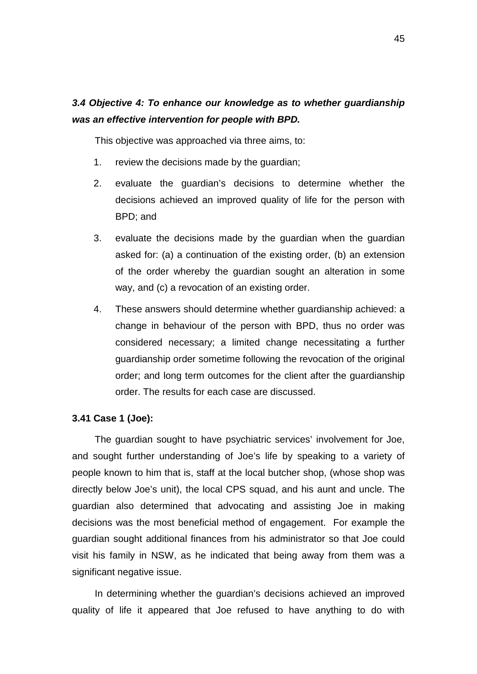# *3.4 Objective 4: To enhance our knowledge as to whether guardianship was an effective intervention for people with BPD.*

This objective was approached via three aims, to:

- 1. review the decisions made by the guardian;
- 2. evaluate the guardian's decisions to determine whether the decisions achieved an improved quality of life for the person with BPD; and
- 3. evaluate the decisions made by the guardian when the guardian asked for: (a) a continuation of the existing order, (b) an extension of the order whereby the guardian sought an alteration in some way, and (c) a revocation of an existing order.
- 4. These answers should determine whether guardianship achieved: a change in behaviour of the person with BPD, thus no order was considered necessary; a limited change necessitating a further guardianship order sometime following the revocation of the original order; and long term outcomes for the client after the guardianship order. The results for each case are discussed.

## **3.41 Case 1 (Joe):**

The guardian sought to have psychiatric services' involvement for Joe, and sought further understanding of Joe's life by speaking to a variety of people known to him that is, staff at the local butcher shop, (whose shop was directly below Joe's unit), the local CPS squad, and his aunt and uncle. The guardian also determined that advocating and assisting Joe in making decisions was the most beneficial method of engagement. For example the guardian sought additional finances from his administrator so that Joe could visit his family in NSW, as he indicated that being away from them was a significant negative issue.

In determining whether the guardian's decisions achieved an improved quality of life it appeared that Joe refused to have anything to do with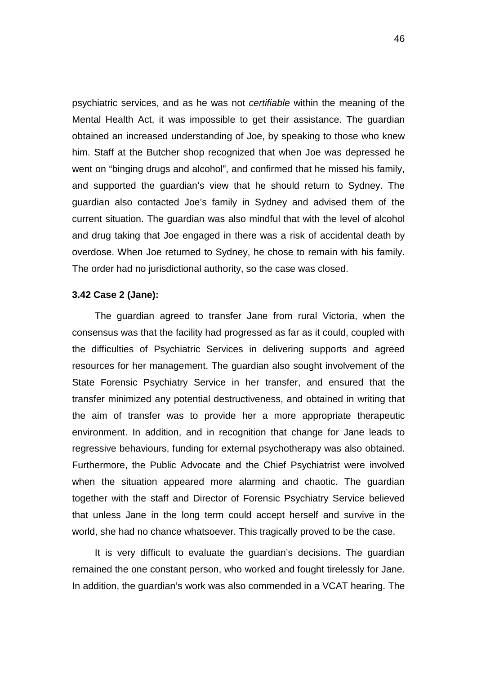psychiatric services, and as he was not *certifiable* within the meaning of the Mental Health Act, it was impossible to get their assistance. The guardian obtained an increased understanding of Joe, by speaking to those who knew him. Staff at the Butcher shop recognized that when Joe was depressed he went on "binging drugs and alcohol", and confirmed that he missed his family, and supported the guardian's view that he should return to Sydney. The guardian also contacted Joe's family in Sydney and advised them of the current situation. The guardian was also mindful that with the level of alcohol and drug taking that Joe engaged in there was a risk of accidental death by overdose. When Joe returned to Sydney, he chose to remain with his family. The order had no jurisdictional authority, so the case was closed.

# **3.42 Case 2 (Jane):**

The guardian agreed to transfer Jane from rural Victoria, when the consensus was that the facility had progressed as far as it could, coupled with the difficulties of Psychiatric Services in delivering supports and agreed resources for her management. The guardian also sought involvement of the State Forensic Psychiatry Service in her transfer, and ensured that the transfer minimized any potential destructiveness, and obtained in writing that the aim of transfer was to provide her a more appropriate therapeutic environment. In addition, and in recognition that change for Jane leads to regressive behaviours, funding for external psychotherapy was also obtained. Furthermore, the Public Advocate and the Chief Psychiatrist were involved when the situation appeared more alarming and chaotic. The guardian together with the staff and Director of Forensic Psychiatry Service believed that unless Jane in the long term could accept herself and survive in the world, she had no chance whatsoever. This tragically proved to be the case.

It is very difficult to evaluate the guardian's decisions. The guardian remained the one constant person, who worked and fought tirelessly for Jane. In addition, the guardian's work was also commended in a VCAT hearing. The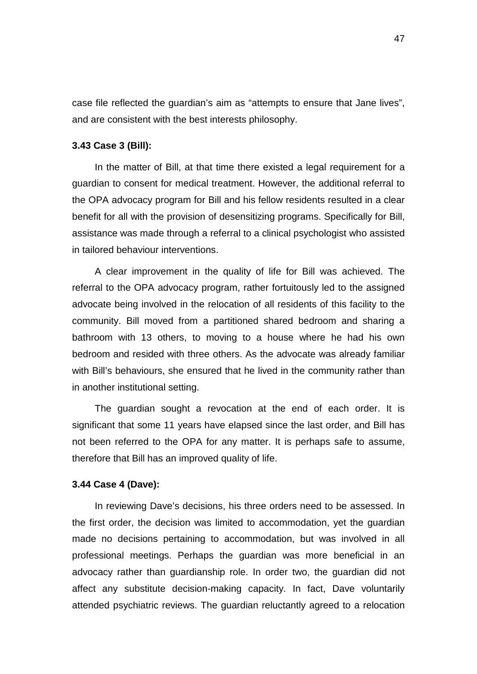case file reflected the guardian's aim as "attempts to ensure that Jane lives", and are consistent with the best interests philosophy.

## **3.43 Case 3 (Bill):**

In the matter of Bill, at that time there existed a legal requirement for a guardian to consent for medical treatment. However, the additional referral to the OPA advocacy program for Bill and his fellow residents resulted in a clear benefit for all with the provision of desensitizing programs. Specifically for Bill, assistance was made through a referral to a clinical psychologist who assisted in tailored behaviour interventions.

A clear improvement in the quality of life for Bill was achieved. The referral to the OPA advocacy program, rather fortuitously led to the assigned advocate being involved in the relocation of all residents of this facility to the community. Bill moved from a partitioned shared bedroom and sharing a bathroom with 13 others, to moving to a house where he had his own bedroom and resided with three others. As the advocate was already familiar with Bill's behaviours, she ensured that he lived in the community rather than in another institutional setting.

The guardian sought a revocation at the end of each order. It is significant that some 11 years have elapsed since the last order, and Bill has not been referred to the OPA for any matter. It is perhaps safe to assume, therefore that Bill has an improved quality of life.

#### **3.44 Case 4 (Dave):**

In reviewing Dave's decisions, his three orders need to be assessed. In the first order, the decision was limited to accommodation, yet the guardian made no decisions pertaining to accommodation, but was involved in all professional meetings. Perhaps the guardian was more beneficial in an advocacy rather than guardianship role. In order two, the guardian did not affect any substitute decision-making capacity. In fact, Dave voluntarily attended psychiatric reviews. The guardian reluctantly agreed to a relocation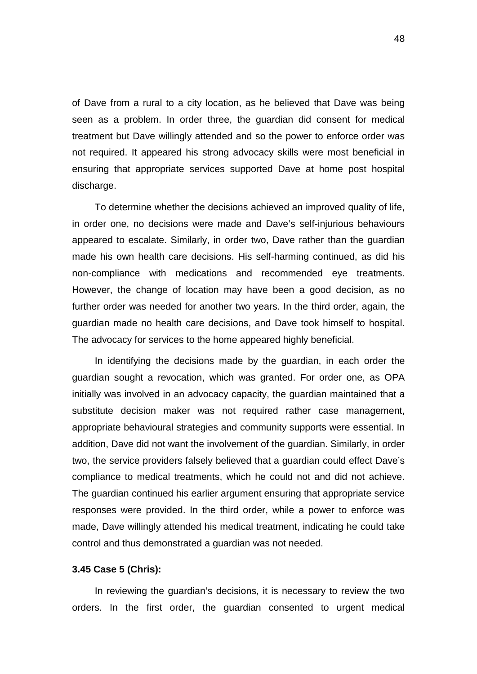of Dave from a rural to a city location, as he believed that Dave was being seen as a problem. In order three, the guardian did consent for medical treatment but Dave willingly attended and so the power to enforce order was not required. It appeared his strong advocacy skills were most beneficial in ensuring that appropriate services supported Dave at home post hospital discharge.

To determine whether the decisions achieved an improved quality of life, in order one, no decisions were made and Dave's self-injurious behaviours appeared to escalate. Similarly, in order two, Dave rather than the guardian made his own health care decisions. His self-harming continued, as did his non-compliance with medications and recommended eye treatments. However, the change of location may have been a good decision, as no further order was needed for another two years. In the third order, again, the guardian made no health care decisions, and Dave took himself to hospital. The advocacy for services to the home appeared highly beneficial.

In identifying the decisions made by the guardian, in each order the guardian sought a revocation, which was granted. For order one, as OPA initially was involved in an advocacy capacity, the guardian maintained that a substitute decision maker was not required rather case management, appropriate behavioural strategies and community supports were essential. In addition, Dave did not want the involvement of the guardian. Similarly, in order two, the service providers falsely believed that a guardian could effect Dave's compliance to medical treatments, which he could not and did not achieve. The guardian continued his earlier argument ensuring that appropriate service responses were provided. In the third order, while a power to enforce was made, Dave willingly attended his medical treatment, indicating he could take control and thus demonstrated a guardian was not needed.

### **3.45 Case 5 (Chris):**

In reviewing the guardian's decisions, it is necessary to review the two orders. In the first order, the guardian consented to urgent medical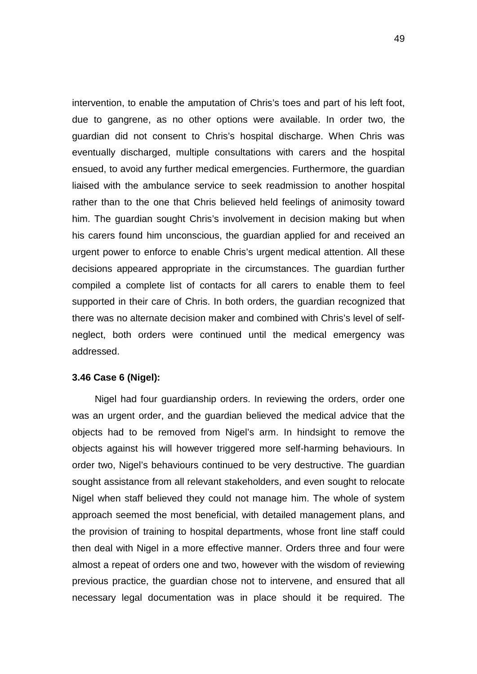intervention, to enable the amputation of Chris's toes and part of his left foot, due to gangrene, as no other options were available. In order two, the guardian did not consent to Chris's hospital discharge. When Chris was eventually discharged, multiple consultations with carers and the hospital ensued, to avoid any further medical emergencies. Furthermore, the guardian liaised with the ambulance service to seek readmission to another hospital rather than to the one that Chris believed held feelings of animosity toward him. The guardian sought Chris's involvement in decision making but when his carers found him unconscious, the guardian applied for and received an urgent power to enforce to enable Chris's urgent medical attention. All these decisions appeared appropriate in the circumstances. The guardian further compiled a complete list of contacts for all carers to enable them to feel supported in their care of Chris. In both orders, the guardian recognized that there was no alternate decision maker and combined with Chris's level of selfneglect, both orders were continued until the medical emergency was addressed.

## **3.46 Case 6 (Nigel):**

Nigel had four guardianship orders. In reviewing the orders, order one was an urgent order, and the guardian believed the medical advice that the objects had to be removed from Nigel's arm. In hindsight to remove the objects against his will however triggered more self-harming behaviours. In order two, Nigel's behaviours continued to be very destructive. The guardian sought assistance from all relevant stakeholders, and even sought to relocate Nigel when staff believed they could not manage him. The whole of system approach seemed the most beneficial, with detailed management plans, and the provision of training to hospital departments, whose front line staff could then deal with Nigel in a more effective manner. Orders three and four were almost a repeat of orders one and two, however with the wisdom of reviewing previous practice, the guardian chose not to intervene, and ensured that all necessary legal documentation was in place should it be required. The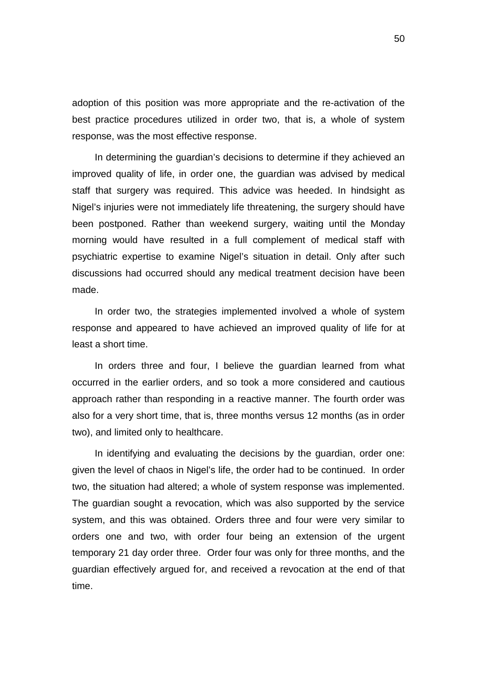adoption of this position was more appropriate and the re-activation of the best practice procedures utilized in order two, that is, a whole of system response, was the most effective response.

In determining the guardian's decisions to determine if they achieved an improved quality of life, in order one, the guardian was advised by medical staff that surgery was required. This advice was heeded. In hindsight as Nigel's injuries were not immediately life threatening, the surgery should have been postponed. Rather than weekend surgery, waiting until the Monday morning would have resulted in a full complement of medical staff with psychiatric expertise to examine Nigel's situation in detail. Only after such discussions had occurred should any medical treatment decision have been made.

In order two, the strategies implemented involved a whole of system response and appeared to have achieved an improved quality of life for at least a short time.

In orders three and four, I believe the guardian learned from what occurred in the earlier orders, and so took a more considered and cautious approach rather than responding in a reactive manner. The fourth order was also for a very short time, that is, three months versus 12 months (as in order two), and limited only to healthcare.

In identifying and evaluating the decisions by the guardian, order one: given the level of chaos in Nigel's life, the order had to be continued. In order two, the situation had altered; a whole of system response was implemented. The guardian sought a revocation, which was also supported by the service system, and this was obtained. Orders three and four were very similar to orders one and two, with order four being an extension of the urgent temporary 21 day order three. Order four was only for three months, and the guardian effectively argued for, and received a revocation at the end of that time.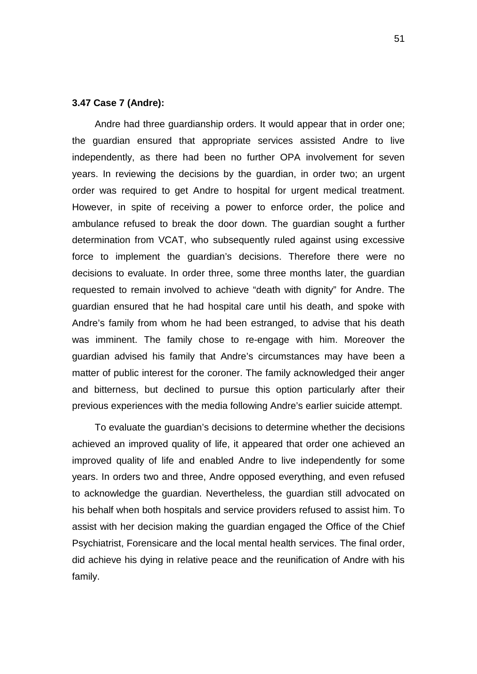## **3.47 Case 7 (Andre):**

Andre had three guardianship orders. It would appear that in order one; the guardian ensured that appropriate services assisted Andre to live independently, as there had been no further OPA involvement for seven years. In reviewing the decisions by the guardian, in order two; an urgent order was required to get Andre to hospital for urgent medical treatment. However, in spite of receiving a power to enforce order, the police and ambulance refused to break the door down. The guardian sought a further determination from VCAT, who subsequently ruled against using excessive force to implement the guardian's decisions. Therefore there were no decisions to evaluate. In order three, some three months later, the guardian requested to remain involved to achieve "death with dignity" for Andre. The guardian ensured that he had hospital care until his death, and spoke with Andre's family from whom he had been estranged, to advise that his death was imminent. The family chose to re-engage with him. Moreover the guardian advised his family that Andre's circumstances may have been a matter of public interest for the coroner. The family acknowledged their anger and bitterness, but declined to pursue this option particularly after their previous experiences with the media following Andre's earlier suicide attempt.

To evaluate the guardian's decisions to determine whether the decisions achieved an improved quality of life, it appeared that order one achieved an improved quality of life and enabled Andre to live independently for some years. In orders two and three, Andre opposed everything, and even refused to acknowledge the guardian. Nevertheless, the guardian still advocated on his behalf when both hospitals and service providers refused to assist him. To assist with her decision making the guardian engaged the Office of the Chief Psychiatrist, Forensicare and the local mental health services. The final order, did achieve his dying in relative peace and the reunification of Andre with his family.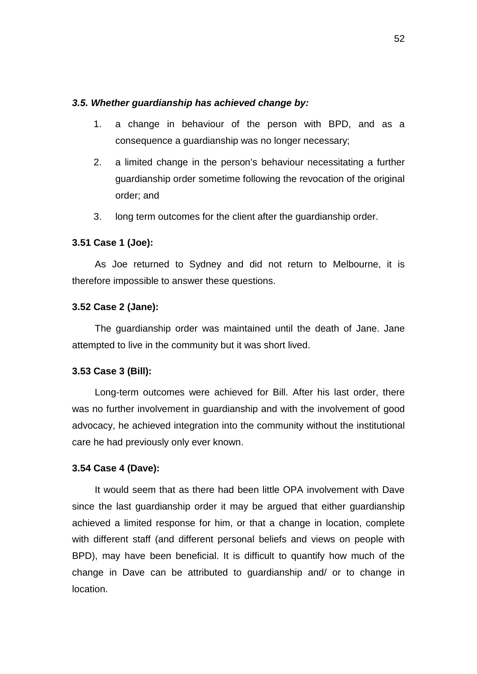## *3.5. Whether guardianship has achieved change by:*

- 1. a change in behaviour of the person with BPD, and as a consequence a guardianship was no longer necessary;
- 2. a limited change in the person's behaviour necessitating a further guardianship order sometime following the revocation of the original order; and
- 3. long term outcomes for the client after the guardianship order.

# **3.51 Case 1 (Joe):**

As Joe returned to Sydney and did not return to Melbourne, it is therefore impossible to answer these questions.

# **3.52 Case 2 (Jane):**

The guardianship order was maintained until the death of Jane. Jane attempted to live in the community but it was short lived.

### **3.53 Case 3 (Bill):**

Long-term outcomes were achieved for Bill. After his last order, there was no further involvement in guardianship and with the involvement of good advocacy, he achieved integration into the community without the institutional care he had previously only ever known.

# **3.54 Case 4 (Dave):**

It would seem that as there had been little OPA involvement with Dave since the last guardianship order it may be argued that either guardianship achieved a limited response for him, or that a change in location, complete with different staff (and different personal beliefs and views on people with BPD), may have been beneficial. It is difficult to quantify how much of the change in Dave can be attributed to guardianship and/ or to change in location.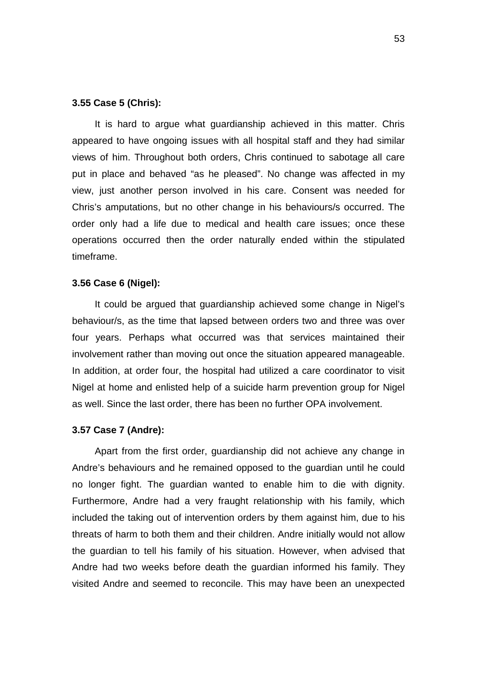## **3.55 Case 5 (Chris):**

It is hard to argue what guardianship achieved in this matter. Chris appeared to have ongoing issues with all hospital staff and they had similar views of him. Throughout both orders, Chris continued to sabotage all care put in place and behaved "as he pleased". No change was affected in my view, just another person involved in his care. Consent was needed for Chris's amputations, but no other change in his behaviours/s occurred. The order only had a life due to medical and health care issues; once these operations occurred then the order naturally ended within the stipulated timeframe.

## **3.56 Case 6 (Nigel):**

It could be argued that guardianship achieved some change in Nigel's behaviour/s, as the time that lapsed between orders two and three was over four years. Perhaps what occurred was that services maintained their involvement rather than moving out once the situation appeared manageable. In addition, at order four, the hospital had utilized a care coordinator to visit Nigel at home and enlisted help of a suicide harm prevention group for Nigel as well. Since the last order, there has been no further OPA involvement.

### **3.57 Case 7 (Andre):**

Apart from the first order, guardianship did not achieve any change in Andre's behaviours and he remained opposed to the guardian until he could no longer fight. The guardian wanted to enable him to die with dignity. Furthermore, Andre had a very fraught relationship with his family, which included the taking out of intervention orders by them against him, due to his threats of harm to both them and their children. Andre initially would not allow the guardian to tell his family of his situation. However, when advised that Andre had two weeks before death the guardian informed his family. They visited Andre and seemed to reconcile. This may have been an unexpected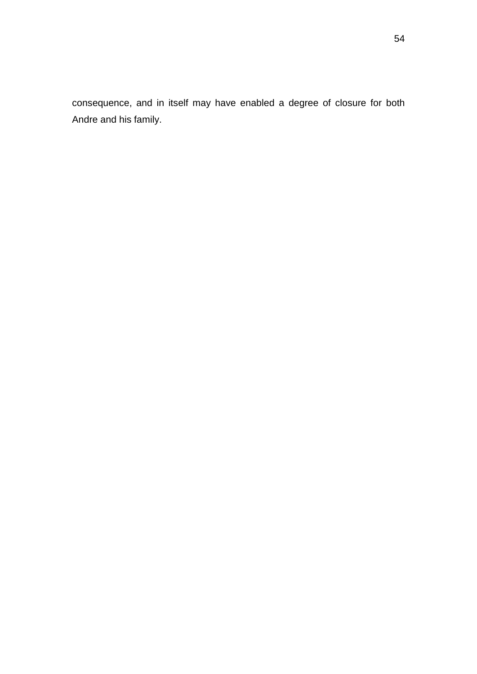consequence, and in itself may have enabled a degree of closure for both Andre and his family.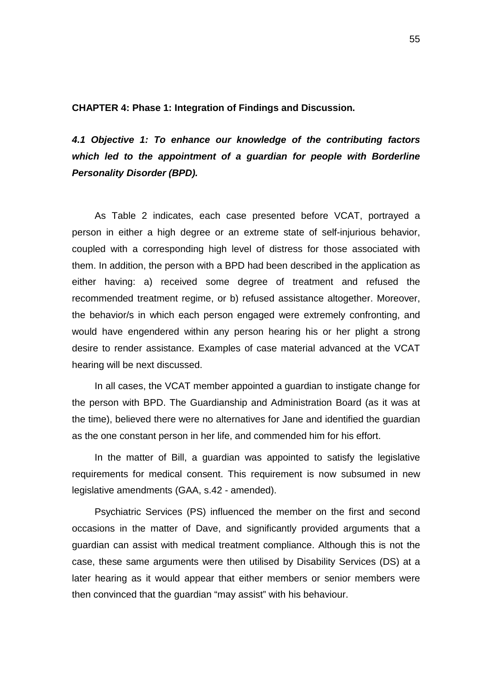**CHAPTER 4: Phase 1: Integration of Findings and Discussion.** 

*4.1 Objective 1: To enhance our knowledge of the contributing factors which led to the appointment of a guardian for people with Borderline Personality Disorder (BPD).*

As Table 2 indicates, each case presented before VCAT, portrayed a person in either a high degree or an extreme state of self-injurious behavior, coupled with a corresponding high level of distress for those associated with them. In addition, the person with a BPD had been described in the application as either having: a) received some degree of treatment and refused the recommended treatment regime, or b) refused assistance altogether. Moreover, the behavior/s in which each person engaged were extremely confronting, and would have engendered within any person hearing his or her plight a strong desire to render assistance. Examples of case material advanced at the VCAT hearing will be next discussed.

In all cases, the VCAT member appointed a guardian to instigate change for the person with BPD. The Guardianship and Administration Board (as it was at the time), believed there were no alternatives for Jane and identified the guardian as the one constant person in her life, and commended him for his effort.

In the matter of Bill, a guardian was appointed to satisfy the legislative requirements for medical consent. This requirement is now subsumed in new legislative amendments (GAA, s.42 - amended).

Psychiatric Services (PS) influenced the member on the first and second occasions in the matter of Dave, and significantly provided arguments that a guardian can assist with medical treatment compliance. Although this is not the case, these same arguments were then utilised by Disability Services (DS) at a later hearing as it would appear that either members or senior members were then convinced that the guardian "may assist" with his behaviour.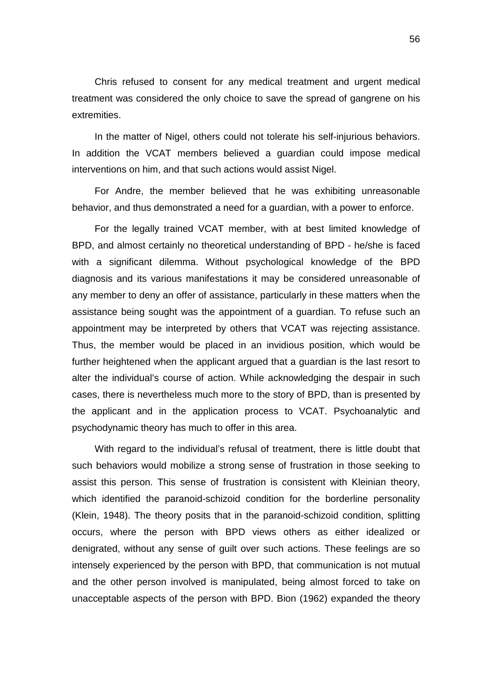Chris refused to consent for any medical treatment and urgent medical treatment was considered the only choice to save the spread of gangrene on his extremities.

In the matter of Nigel, others could not tolerate his self-injurious behaviors. In addition the VCAT members believed a guardian could impose medical interventions on him, and that such actions would assist Nigel.

For Andre, the member believed that he was exhibiting unreasonable behavior, and thus demonstrated a need for a guardian, with a power to enforce.

For the legally trained VCAT member, with at best limited knowledge of BPD, and almost certainly no theoretical understanding of BPD - he/she is faced with a significant dilemma. Without psychological knowledge of the BPD diagnosis and its various manifestations it may be considered unreasonable of any member to deny an offer of assistance, particularly in these matters when the assistance being sought was the appointment of a guardian. To refuse such an appointment may be interpreted by others that VCAT was rejecting assistance. Thus, the member would be placed in an invidious position, which would be further heightened when the applicant argued that a guardian is the last resort to alter the individual's course of action. While acknowledging the despair in such cases, there is nevertheless much more to the story of BPD, than is presented by the applicant and in the application process to VCAT. Psychoanalytic and psychodynamic theory has much to offer in this area.

With regard to the individual's refusal of treatment, there is little doubt that such behaviors would mobilize a strong sense of frustration in those seeking to assist this person. This sense of frustration is consistent with Kleinian theory, which identified the paranoid-schizoid condition for the borderline personality (Klein, 1948). The theory posits that in the paranoid-schizoid condition, splitting occurs, where the person with BPD views others as either idealized or denigrated, without any sense of guilt over such actions. These feelings are so intensely experienced by the person with BPD, that communication is not mutual and the other person involved is manipulated, being almost forced to take on unacceptable aspects of the person with BPD. Bion (1962) expanded the theory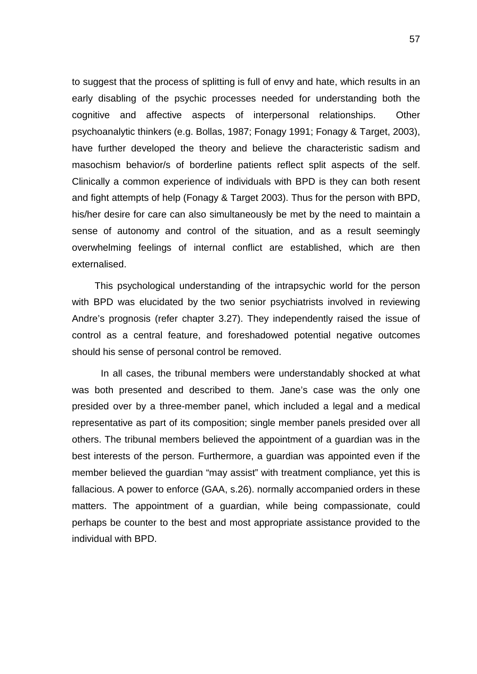to suggest that the process of splitting is full of envy and hate, which results in an early disabling of the psychic processes needed for understanding both the cognitive and affective aspects of interpersonal relationships. Other psychoanalytic thinkers (e.g. Bollas, 1987; Fonagy 1991; Fonagy & Target, 2003), have further developed the theory and believe the characteristic sadism and masochism behavior/s of borderline patients reflect split aspects of the self. Clinically a common experience of individuals with BPD is they can both resent and fight attempts of help (Fonagy & Target 2003). Thus for the person with BPD, his/her desire for care can also simultaneously be met by the need to maintain a sense of autonomy and control of the situation, and as a result seemingly overwhelming feelings of internal conflict are established, which are then externalised.

This psychological understanding of the intrapsychic world for the person with BPD was elucidated by the two senior psychiatrists involved in reviewing Andre's prognosis (refer chapter 3.27). They independently raised the issue of control as a central feature, and foreshadowed potential negative outcomes should his sense of personal control be removed.

In all cases, the tribunal members were understandably shocked at what was both presented and described to them. Jane's case was the only one presided over by a three-member panel, which included a legal and a medical representative as part of its composition; single member panels presided over all others. The tribunal members believed the appointment of a guardian was in the best interests of the person. Furthermore, a guardian was appointed even if the member believed the guardian "may assist" with treatment compliance, yet this is fallacious. A power to enforce (GAA, s.26). normally accompanied orders in these matters. The appointment of a guardian, while being compassionate, could perhaps be counter to the best and most appropriate assistance provided to the individual with BPD.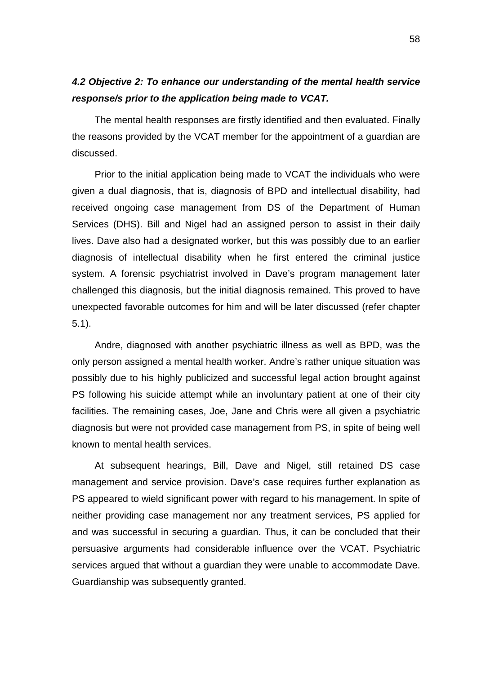# *4.2 Objective 2: To enhance our understanding of the mental health service response/s prior to the application being made to VCAT.*

The mental health responses are firstly identified and then evaluated. Finally the reasons provided by the VCAT member for the appointment of a guardian are discussed.

Prior to the initial application being made to VCAT the individuals who were given a dual diagnosis, that is, diagnosis of BPD and intellectual disability, had received ongoing case management from DS of the Department of Human Services (DHS). Bill and Nigel had an assigned person to assist in their daily lives. Dave also had a designated worker, but this was possibly due to an earlier diagnosis of intellectual disability when he first entered the criminal justice system. A forensic psychiatrist involved in Dave's program management later challenged this diagnosis, but the initial diagnosis remained. This proved to have unexpected favorable outcomes for him and will be later discussed (refer chapter 5.1).

Andre, diagnosed with another psychiatric illness as well as BPD, was the only person assigned a mental health worker. Andre's rather unique situation was possibly due to his highly publicized and successful legal action brought against PS following his suicide attempt while an involuntary patient at one of their city facilities. The remaining cases, Joe, Jane and Chris were all given a psychiatric diagnosis but were not provided case management from PS, in spite of being well known to mental health services.

At subsequent hearings, Bill, Dave and Nigel, still retained DS case management and service provision. Dave's case requires further explanation as PS appeared to wield significant power with regard to his management. In spite of neither providing case management nor any treatment services, PS applied for and was successful in securing a guardian. Thus, it can be concluded that their persuasive arguments had considerable influence over the VCAT. Psychiatric services argued that without a guardian they were unable to accommodate Dave. Guardianship was subsequently granted.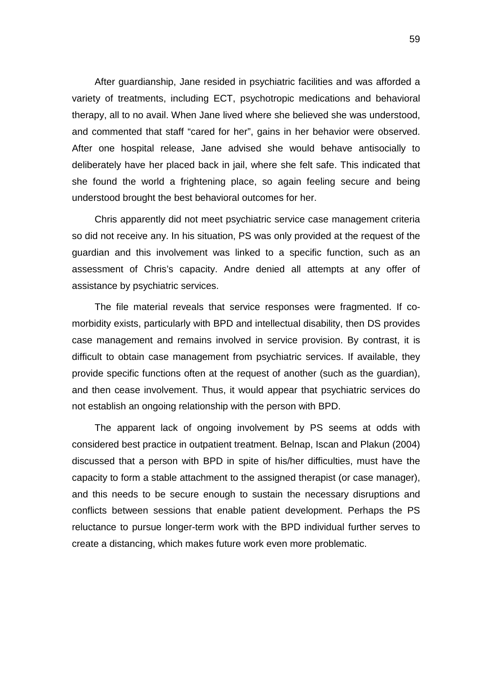After guardianship, Jane resided in psychiatric facilities and was afforded a variety of treatments, including ECT, psychotropic medications and behavioral therapy, all to no avail. When Jane lived where she believed she was understood, and commented that staff "cared for her", gains in her behavior were observed. After one hospital release, Jane advised she would behave antisocially to deliberately have her placed back in jail, where she felt safe. This indicated that she found the world a frightening place, so again feeling secure and being understood brought the best behavioral outcomes for her.

Chris apparently did not meet psychiatric service case management criteria so did not receive any. In his situation, PS was only provided at the request of the guardian and this involvement was linked to a specific function, such as an assessment of Chris's capacity. Andre denied all attempts at any offer of assistance by psychiatric services.

The file material reveals that service responses were fragmented. If comorbidity exists, particularly with BPD and intellectual disability, then DS provides case management and remains involved in service provision. By contrast, it is difficult to obtain case management from psychiatric services. If available, they provide specific functions often at the request of another (such as the guardian), and then cease involvement. Thus, it would appear that psychiatric services do not establish an ongoing relationship with the person with BPD.

The apparent lack of ongoing involvement by PS seems at odds with considered best practice in outpatient treatment. Belnap, Iscan and Plakun (2004) discussed that a person with BPD in spite of his/her difficulties, must have the capacity to form a stable attachment to the assigned therapist (or case manager), and this needs to be secure enough to sustain the necessary disruptions and conflicts between sessions that enable patient development. Perhaps the PS reluctance to pursue longer-term work with the BPD individual further serves to create a distancing, which makes future work even more problematic.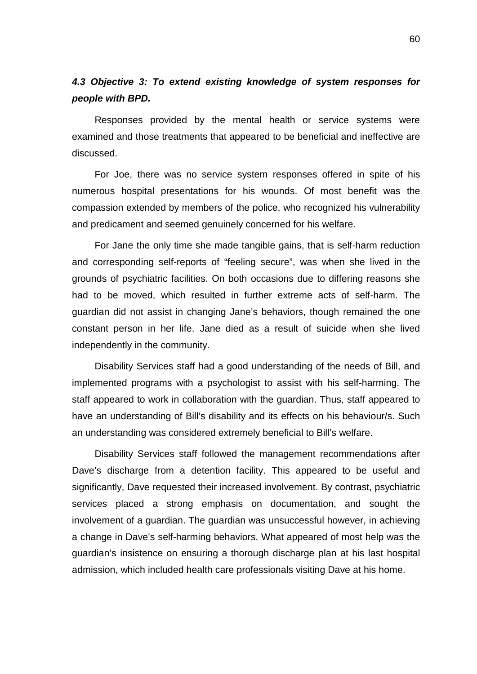# *4.3 Objective 3: To extend existing knowledge of system responses for people with BPD.*

Responses provided by the mental health or service systems were examined and those treatments that appeared to be beneficial and ineffective are discussed.

For Joe, there was no service system responses offered in spite of his numerous hospital presentations for his wounds. Of most benefit was the compassion extended by members of the police, who recognized his vulnerability and predicament and seemed genuinely concerned for his welfare.

For Jane the only time she made tangible gains, that is self-harm reduction and corresponding self-reports of "feeling secure", was when she lived in the grounds of psychiatric facilities. On both occasions due to differing reasons she had to be moved, which resulted in further extreme acts of self-harm. The guardian did not assist in changing Jane's behaviors, though remained the one constant person in her life. Jane died as a result of suicide when she lived independently in the community.

Disability Services staff had a good understanding of the needs of Bill, and implemented programs with a psychologist to assist with his self-harming. The staff appeared to work in collaboration with the guardian. Thus, staff appeared to have an understanding of Bill's disability and its effects on his behaviour/s. Such an understanding was considered extremely beneficial to Bill's welfare.

Disability Services staff followed the management recommendations after Dave's discharge from a detention facility. This appeared to be useful and significantly, Dave requested their increased involvement. By contrast, psychiatric services placed a strong emphasis on documentation, and sought the involvement of a guardian. The guardian was unsuccessful however, in achieving a change in Dave's self-harming behaviors. What appeared of most help was the guardian's insistence on ensuring a thorough discharge plan at his last hospital admission, which included health care professionals visiting Dave at his home.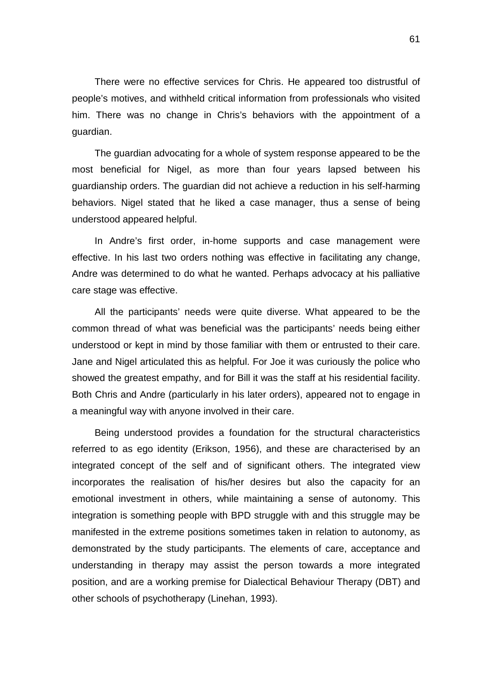There were no effective services for Chris. He appeared too distrustful of people's motives, and withheld critical information from professionals who visited him. There was no change in Chris's behaviors with the appointment of a guardian.

The guardian advocating for a whole of system response appeared to be the most beneficial for Nigel, as more than four years lapsed between his guardianship orders. The guardian did not achieve a reduction in his self-harming behaviors. Nigel stated that he liked a case manager, thus a sense of being understood appeared helpful.

In Andre's first order, in-home supports and case management were effective. In his last two orders nothing was effective in facilitating any change, Andre was determined to do what he wanted. Perhaps advocacy at his palliative care stage was effective.

All the participants' needs were quite diverse. What appeared to be the common thread of what was beneficial was the participants' needs being either understood or kept in mind by those familiar with them or entrusted to their care. Jane and Nigel articulated this as helpful. For Joe it was curiously the police who showed the greatest empathy, and for Bill it was the staff at his residential facility. Both Chris and Andre (particularly in his later orders), appeared not to engage in a meaningful way with anyone involved in their care.

Being understood provides a foundation for the structural characteristics referred to as ego identity (Erikson, 1956), and these are characterised by an integrated concept of the self and of significant others. The integrated view incorporates the realisation of his/her desires but also the capacity for an emotional investment in others, while maintaining a sense of autonomy. This integration is something people with BPD struggle with and this struggle may be manifested in the extreme positions sometimes taken in relation to autonomy, as demonstrated by the study participants. The elements of care, acceptance and understanding in therapy may assist the person towards a more integrated position, and are a working premise for Dialectical Behaviour Therapy (DBT) and other schools of psychotherapy (Linehan, 1993).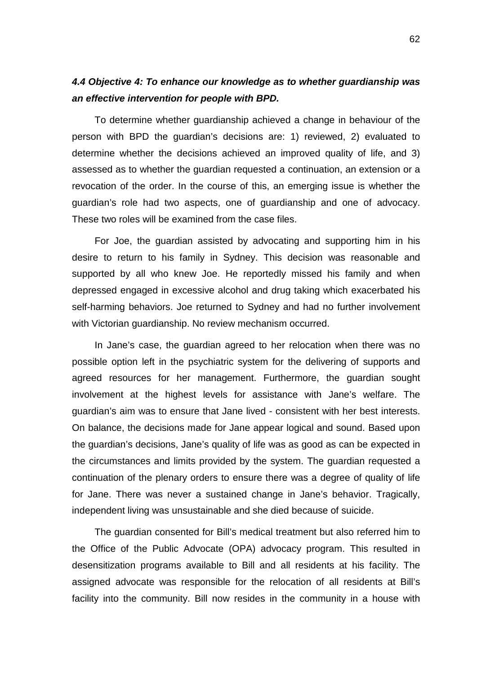## *4.4 Objective 4: To enhance our knowledge as to whether guardianship was an effective intervention for people with BPD.*

To determine whether guardianship achieved a change in behaviour of the person with BPD the guardian's decisions are: 1) reviewed, 2) evaluated to determine whether the decisions achieved an improved quality of life, and 3) assessed as to whether the guardian requested a continuation, an extension or a revocation of the order. In the course of this, an emerging issue is whether the guardian's role had two aspects, one of guardianship and one of advocacy. These two roles will be examined from the case files.

For Joe, the guardian assisted by advocating and supporting him in his desire to return to his family in Sydney. This decision was reasonable and supported by all who knew Joe. He reportedly missed his family and when depressed engaged in excessive alcohol and drug taking which exacerbated his self-harming behaviors. Joe returned to Sydney and had no further involvement with Victorian guardianship. No review mechanism occurred.

In Jane's case, the guardian agreed to her relocation when there was no possible option left in the psychiatric system for the delivering of supports and agreed resources for her management. Furthermore, the guardian sought involvement at the highest levels for assistance with Jane's welfare. The guardian's aim was to ensure that Jane lived - consistent with her best interests. On balance, the decisions made for Jane appear logical and sound. Based upon the guardian's decisions, Jane's quality of life was as good as can be expected in the circumstances and limits provided by the system. The guardian requested a continuation of the plenary orders to ensure there was a degree of quality of life for Jane. There was never a sustained change in Jane's behavior. Tragically, independent living was unsustainable and she died because of suicide.

The guardian consented for Bill's medical treatment but also referred him to the Office of the Public Advocate (OPA) advocacy program. This resulted in desensitization programs available to Bill and all residents at his facility. The assigned advocate was responsible for the relocation of all residents at Bill's facility into the community. Bill now resides in the community in a house with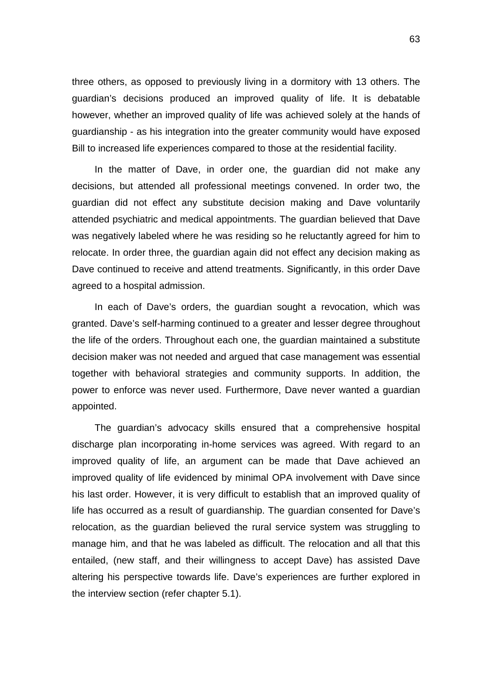three others, as opposed to previously living in a dormitory with 13 others. The guardian's decisions produced an improved quality of life. It is debatable however, whether an improved quality of life was achieved solely at the hands of guardianship - as his integration into the greater community would have exposed Bill to increased life experiences compared to those at the residential facility.

In the matter of Dave, in order one, the guardian did not make any decisions, but attended all professional meetings convened. In order two, the guardian did not effect any substitute decision making and Dave voluntarily attended psychiatric and medical appointments. The guardian believed that Dave was negatively labeled where he was residing so he reluctantly agreed for him to relocate. In order three, the guardian again did not effect any decision making as Dave continued to receive and attend treatments. Significantly, in this order Dave agreed to a hospital admission.

In each of Dave's orders, the guardian sought a revocation, which was granted. Dave's self-harming continued to a greater and lesser degree throughout the life of the orders. Throughout each one, the guardian maintained a substitute decision maker was not needed and argued that case management was essential together with behavioral strategies and community supports. In addition, the power to enforce was never used. Furthermore, Dave never wanted a guardian appointed.

The guardian's advocacy skills ensured that a comprehensive hospital discharge plan incorporating in-home services was agreed. With regard to an improved quality of life, an argument can be made that Dave achieved an improved quality of life evidenced by minimal OPA involvement with Dave since his last order. However, it is very difficult to establish that an improved quality of life has occurred as a result of guardianship. The guardian consented for Dave's relocation, as the guardian believed the rural service system was struggling to manage him, and that he was labeled as difficult. The relocation and all that this entailed, (new staff, and their willingness to accept Dave) has assisted Dave altering his perspective towards life. Dave's experiences are further explored in the interview section (refer chapter 5.1).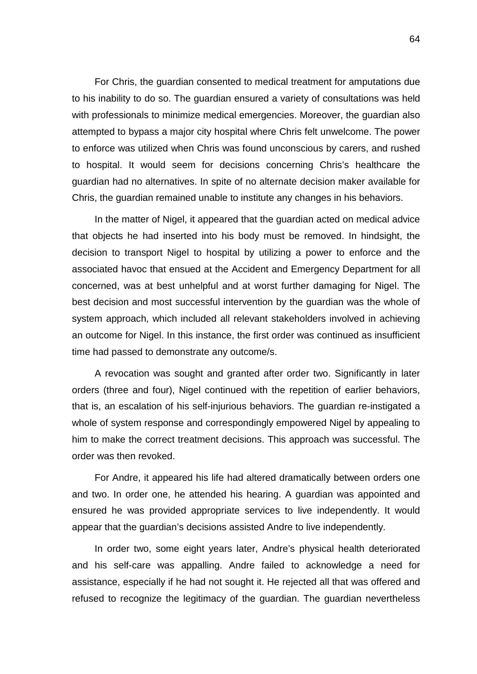For Chris, the guardian consented to medical treatment for amputations due to his inability to do so. The guardian ensured a variety of consultations was held with professionals to minimize medical emergencies. Moreover, the guardian also attempted to bypass a major city hospital where Chris felt unwelcome. The power to enforce was utilized when Chris was found unconscious by carers, and rushed to hospital. It would seem for decisions concerning Chris's healthcare the guardian had no alternatives. In spite of no alternate decision maker available for Chris, the guardian remained unable to institute any changes in his behaviors.

In the matter of Nigel, it appeared that the guardian acted on medical advice that objects he had inserted into his body must be removed. In hindsight, the decision to transport Nigel to hospital by utilizing a power to enforce and the associated havoc that ensued at the Accident and Emergency Department for all concerned, was at best unhelpful and at worst further damaging for Nigel. The best decision and most successful intervention by the guardian was the whole of system approach, which included all relevant stakeholders involved in achieving an outcome for Nigel. In this instance, the first order was continued as insufficient time had passed to demonstrate any outcome/s.

A revocation was sought and granted after order two. Significantly in later orders (three and four), Nigel continued with the repetition of earlier behaviors, that is, an escalation of his self-injurious behaviors. The guardian re-instigated a whole of system response and correspondingly empowered Nigel by appealing to him to make the correct treatment decisions. This approach was successful. The order was then revoked.

For Andre, it appeared his life had altered dramatically between orders one and two. In order one, he attended his hearing. A guardian was appointed and ensured he was provided appropriate services to live independently. It would appear that the guardian's decisions assisted Andre to live independently.

In order two, some eight years later, Andre's physical health deteriorated and his self-care was appalling. Andre failed to acknowledge a need for assistance, especially if he had not sought it. He rejected all that was offered and refused to recognize the legitimacy of the guardian. The guardian nevertheless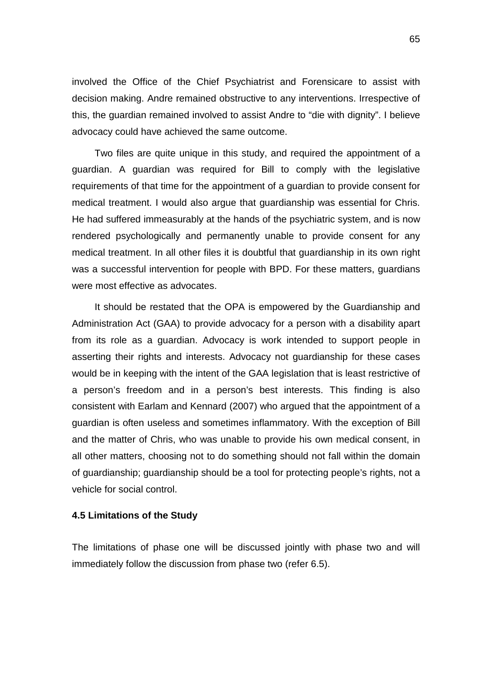involved the Office of the Chief Psychiatrist and Forensicare to assist with decision making. Andre remained obstructive to any interventions. Irrespective of this, the guardian remained involved to assist Andre to "die with dignity". I believe advocacy could have achieved the same outcome.

Two files are quite unique in this study, and required the appointment of a guardian. A guardian was required for Bill to comply with the legislative requirements of that time for the appointment of a guardian to provide consent for medical treatment. I would also argue that guardianship was essential for Chris. He had suffered immeasurably at the hands of the psychiatric system, and is now rendered psychologically and permanently unable to provide consent for any medical treatment. In all other files it is doubtful that guardianship in its own right was a successful intervention for people with BPD. For these matters, guardians were most effective as advocates.

It should be restated that the OPA is empowered by the Guardianship and Administration Act (GAA) to provide advocacy for a person with a disability apart from its role as a guardian. Advocacy is work intended to support people in asserting their rights and interests. Advocacy not guardianship for these cases would be in keeping with the intent of the GAA legislation that is least restrictive of a person's freedom and in a person's best interests. This finding is also consistent with Earlam and Kennard (2007) who argued that the appointment of a guardian is often useless and sometimes inflammatory. With the exception of Bill and the matter of Chris, who was unable to provide his own medical consent, in all other matters, choosing not to do something should not fall within the domain of guardianship; guardianship should be a tool for protecting people's rights, not a vehicle for social control.

## **4.5 Limitations of the Study**

The limitations of phase one will be discussed jointly with phase two and will immediately follow the discussion from phase two (refer 6.5).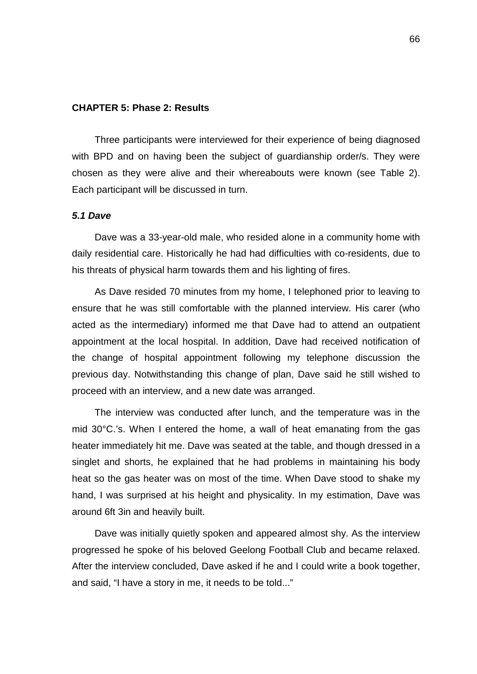#### **CHAPTER 5: Phase 2: Results**

Three participants were interviewed for their experience of being diagnosed with BPD and on having been the subject of guardianship order/s. They were chosen as they were alive and their whereabouts were known (see Table 2). Each participant will be discussed in turn.

## *5.1 Dave*

Dave was a 33-year-old male, who resided alone in a community home with daily residential care. Historically he had had difficulties with co-residents, due to his threats of physical harm towards them and his lighting of fires.

As Dave resided 70 minutes from my home, I telephoned prior to leaving to ensure that he was still comfortable with the planned interview. His carer (who acted as the intermediary) informed me that Dave had to attend an outpatient appointment at the local hospital. In addition, Dave had received notification of the change of hospital appointment following my telephone discussion the previous day. Notwithstanding this change of plan, Dave said he still wished to proceed with an interview, and a new date was arranged.

The interview was conducted after lunch, and the temperature was in the mid 30°C.'s. When I entered the home, a wall of heat emanating from the gas heater immediately hit me. Dave was seated at the table, and though dressed in a singlet and shorts, he explained that he had problems in maintaining his body heat so the gas heater was on most of the time. When Dave stood to shake my hand, I was surprised at his height and physicality. In my estimation, Dave was around 6ft 3in and heavily built.

Dave was initially quietly spoken and appeared almost shy. As the interview progressed he spoke of his beloved Geelong Football Club and became relaxed. After the interview concluded, Dave asked if he and I could write a book together, and said, "I have a story in me, it needs to be told..."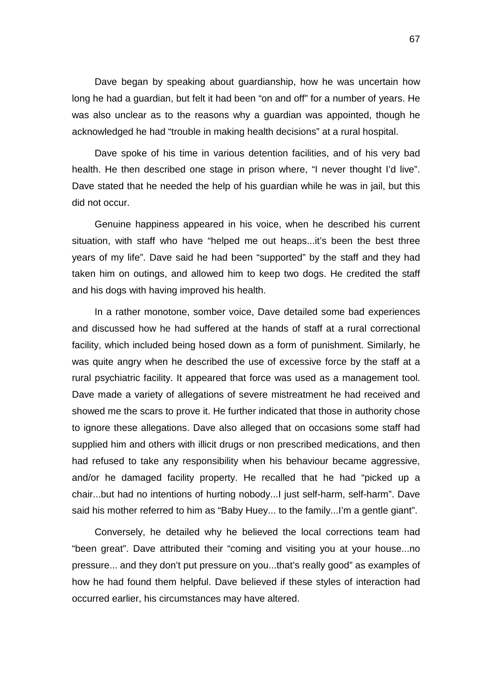Dave began by speaking about guardianship, how he was uncertain how long he had a guardian, but felt it had been "on and off" for a number of years. He was also unclear as to the reasons why a guardian was appointed, though he acknowledged he had "trouble in making health decisions" at a rural hospital.

Dave spoke of his time in various detention facilities, and of his very bad health. He then described one stage in prison where, "I never thought I'd live". Dave stated that he needed the help of his guardian while he was in jail, but this did not occur.

Genuine happiness appeared in his voice, when he described his current situation, with staff who have "helped me out heaps...it's been the best three years of my life". Dave said he had been "supported" by the staff and they had taken him on outings, and allowed him to keep two dogs. He credited the staff and his dogs with having improved his health.

In a rather monotone, somber voice, Dave detailed some bad experiences and discussed how he had suffered at the hands of staff at a rural correctional facility, which included being hosed down as a form of punishment. Similarly, he was quite angry when he described the use of excessive force by the staff at a rural psychiatric facility. It appeared that force was used as a management tool. Dave made a variety of allegations of severe mistreatment he had received and showed me the scars to prove it. He further indicated that those in authority chose to ignore these allegations. Dave also alleged that on occasions some staff had supplied him and others with illicit drugs or non prescribed medications, and then had refused to take any responsibility when his behaviour became aggressive, and/or he damaged facility property. He recalled that he had "picked up a chair...but had no intentions of hurting nobody...I just self-harm, self-harm". Dave said his mother referred to him as "Baby Huey... to the family...I'm a gentle giant".

Conversely, he detailed why he believed the local corrections team had "been great". Dave attributed their "coming and visiting you at your house...no pressure... and they don't put pressure on you...that's really good" as examples of how he had found them helpful. Dave believed if these styles of interaction had occurred earlier, his circumstances may have altered.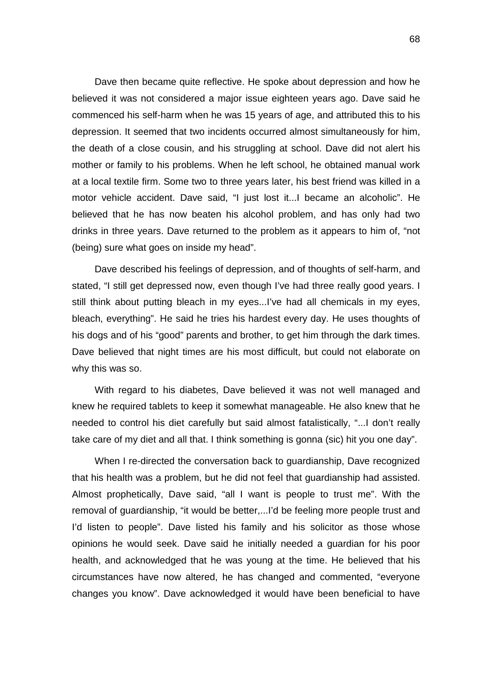Dave then became quite reflective. He spoke about depression and how he believed it was not considered a major issue eighteen years ago. Dave said he commenced his self-harm when he was 15 years of age, and attributed this to his depression. It seemed that two incidents occurred almost simultaneously for him, the death of a close cousin, and his struggling at school. Dave did not alert his mother or family to his problems. When he left school, he obtained manual work at a local textile firm. Some two to three years later, his best friend was killed in a motor vehicle accident. Dave said, "I just lost it...I became an alcoholic". He believed that he has now beaten his alcohol problem, and has only had two drinks in three years. Dave returned to the problem as it appears to him of, "not (being) sure what goes on inside my head".

Dave described his feelings of depression, and of thoughts of self-harm, and stated, "I still get depressed now, even though I've had three really good years. I still think about putting bleach in my eyes...I've had all chemicals in my eyes, bleach, everything". He said he tries his hardest every day. He uses thoughts of his dogs and of his "good" parents and brother, to get him through the dark times. Dave believed that night times are his most difficult, but could not elaborate on why this was so.

With regard to his diabetes, Dave believed it was not well managed and knew he required tablets to keep it somewhat manageable. He also knew that he needed to control his diet carefully but said almost fatalistically, "...I don't really take care of my diet and all that. I think something is gonna (sic) hit you one day".

When I re-directed the conversation back to guardianship, Dave recognized that his health was a problem, but he did not feel that guardianship had assisted. Almost prophetically, Dave said, "all I want is people to trust me". With the removal of guardianship, "it would be better,...I'd be feeling more people trust and I'd listen to people". Dave listed his family and his solicitor as those whose opinions he would seek. Dave said he initially needed a guardian for his poor health, and acknowledged that he was young at the time. He believed that his circumstances have now altered, he has changed and commented, "everyone changes you know". Dave acknowledged it would have been beneficial to have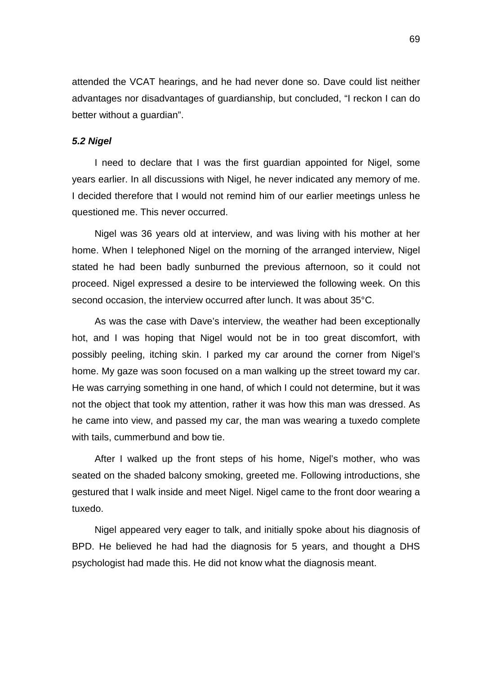attended the VCAT hearings, and he had never done so. Dave could list neither advantages nor disadvantages of guardianship, but concluded, "I reckon I can do better without a guardian".

### *5.2 Nigel*

I need to declare that I was the first guardian appointed for Nigel, some years earlier. In all discussions with Nigel, he never indicated any memory of me. I decided therefore that I would not remind him of our earlier meetings unless he questioned me. This never occurred.

Nigel was 36 years old at interview, and was living with his mother at her home. When I telephoned Nigel on the morning of the arranged interview, Nigel stated he had been badly sunburned the previous afternoon, so it could not proceed. Nigel expressed a desire to be interviewed the following week. On this second occasion, the interview occurred after lunch. It was about 35°C.

As was the case with Dave's interview, the weather had been exceptionally hot, and I was hoping that Nigel would not be in too great discomfort, with possibly peeling, itching skin. I parked my car around the corner from Nigel's home. My gaze was soon focused on a man walking up the street toward my car. He was carrying something in one hand, of which I could not determine, but it was not the object that took my attention, rather it was how this man was dressed. As he came into view, and passed my car, the man was wearing a tuxedo complete with tails, cummerbund and bow tie.

After I walked up the front steps of his home, Nigel's mother, who was seated on the shaded balcony smoking, greeted me. Following introductions, she gestured that I walk inside and meet Nigel. Nigel came to the front door wearing a tuxedo.

Nigel appeared very eager to talk, and initially spoke about his diagnosis of BPD. He believed he had had the diagnosis for 5 years, and thought a DHS psychologist had made this. He did not know what the diagnosis meant.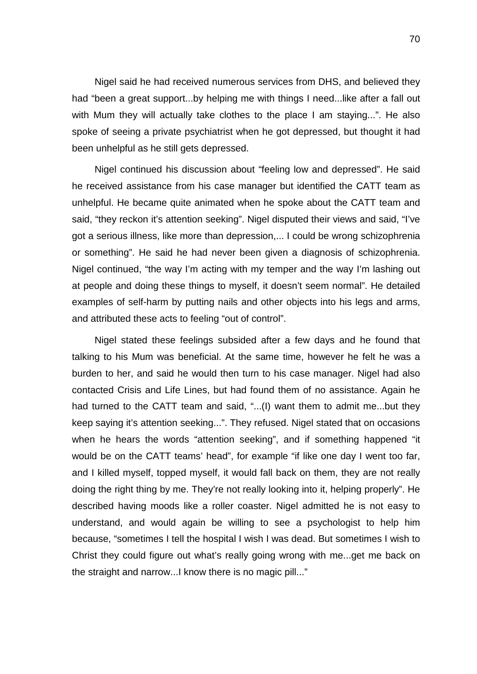Nigel said he had received numerous services from DHS, and believed they had "been a great support...by helping me with things I need...like after a fall out with Mum they will actually take clothes to the place I am staying...". He also spoke of seeing a private psychiatrist when he got depressed, but thought it had been unhelpful as he still gets depressed.

Nigel continued his discussion about "feeling low and depressed". He said he received assistance from his case manager but identified the CATT team as unhelpful. He became quite animated when he spoke about the CATT team and said, "they reckon it's attention seeking". Nigel disputed their views and said, "I've got a serious illness, like more than depression,... I could be wrong schizophrenia or something". He said he had never been given a diagnosis of schizophrenia. Nigel continued, "the way I'm acting with my temper and the way I'm lashing out at people and doing these things to myself, it doesn't seem normal". He detailed examples of self-harm by putting nails and other objects into his legs and arms, and attributed these acts to feeling "out of control".

Nigel stated these feelings subsided after a few days and he found that talking to his Mum was beneficial. At the same time, however he felt he was a burden to her, and said he would then turn to his case manager. Nigel had also contacted Crisis and Life Lines, but had found them of no assistance. Again he had turned to the CATT team and said, "...(I) want them to admit me...but they keep saying it's attention seeking...". They refused. Nigel stated that on occasions when he hears the words "attention seeking", and if something happened "it would be on the CATT teams' head", for example "if like one day I went too far, and I killed myself, topped myself, it would fall back on them, they are not really doing the right thing by me. They're not really looking into it, helping properly". He described having moods like a roller coaster. Nigel admitted he is not easy to understand, and would again be willing to see a psychologist to help him because, "sometimes I tell the hospital I wish I was dead. But sometimes I wish to Christ they could figure out what's really going wrong with me...get me back on the straight and narrow...I know there is no magic pill..."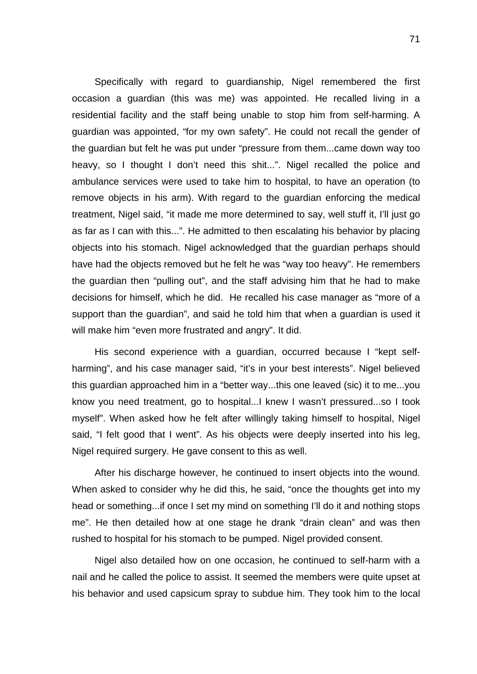Specifically with regard to guardianship, Nigel remembered the first occasion a guardian (this was me) was appointed. He recalled living in a residential facility and the staff being unable to stop him from self-harming. A guardian was appointed, "for my own safety". He could not recall the gender of the guardian but felt he was put under "pressure from them...came down way too heavy, so I thought I don't need this shit...". Nigel recalled the police and ambulance services were used to take him to hospital, to have an operation (to remove objects in his arm). With regard to the guardian enforcing the medical treatment, Nigel said, "it made me more determined to say, well stuff it, I'll just go as far as I can with this...". He admitted to then escalating his behavior by placing objects into his stomach. Nigel acknowledged that the guardian perhaps should have had the objects removed but he felt he was "way too heavy". He remembers the guardian then "pulling out", and the staff advising him that he had to make decisions for himself, which he did. He recalled his case manager as "more of a support than the guardian", and said he told him that when a guardian is used it will make him "even more frustrated and angry". It did.

His second experience with a guardian, occurred because I "kept selfharming", and his case manager said, "it's in your best interests". Nigel believed this guardian approached him in a "better way...this one leaved (sic) it to me...you know you need treatment, go to hospital...I knew I wasn't pressured...so I took myself". When asked how he felt after willingly taking himself to hospital, Nigel said, "I felt good that I went". As his objects were deeply inserted into his leg, Nigel required surgery. He gave consent to this as well.

After his discharge however, he continued to insert objects into the wound. When asked to consider why he did this, he said, "once the thoughts get into my head or something...if once I set my mind on something I'll do it and nothing stops me". He then detailed how at one stage he drank "drain clean" and was then rushed to hospital for his stomach to be pumped. Nigel provided consent.

Nigel also detailed how on one occasion, he continued to self-harm with a nail and he called the police to assist. It seemed the members were quite upset at his behavior and used capsicum spray to subdue him. They took him to the local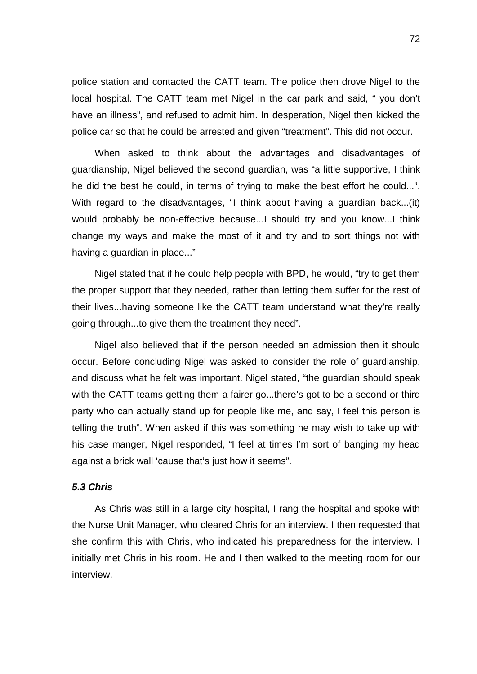police station and contacted the CATT team. The police then drove Nigel to the local hospital. The CATT team met Nigel in the car park and said, " you don't have an illness", and refused to admit him. In desperation, Nigel then kicked the police car so that he could be arrested and given "treatment". This did not occur.

When asked to think about the advantages and disadvantages of guardianship, Nigel believed the second guardian, was "a little supportive, I think he did the best he could, in terms of trying to make the best effort he could...". With regard to the disadvantages, "I think about having a guardian back...(it) would probably be non-effective because...I should try and you know...I think change my ways and make the most of it and try and to sort things not with having a guardian in place..."

Nigel stated that if he could help people with BPD, he would, "try to get them the proper support that they needed, rather than letting them suffer for the rest of their lives...having someone like the CATT team understand what they're really going through...to give them the treatment they need".

Nigel also believed that if the person needed an admission then it should occur. Before concluding Nigel was asked to consider the role of guardianship, and discuss what he felt was important. Nigel stated, "the guardian should speak with the CATT teams getting them a fairer go...there's got to be a second or third party who can actually stand up for people like me, and say, I feel this person is telling the truth". When asked if this was something he may wish to take up with his case manger, Nigel responded, "I feel at times I'm sort of banging my head against a brick wall 'cause that's just how it seems".

#### *5.3 Chris*

As Chris was still in a large city hospital, I rang the hospital and spoke with the Nurse Unit Manager, who cleared Chris for an interview. I then requested that she confirm this with Chris, who indicated his preparedness for the interview. I initially met Chris in his room. He and I then walked to the meeting room for our interview.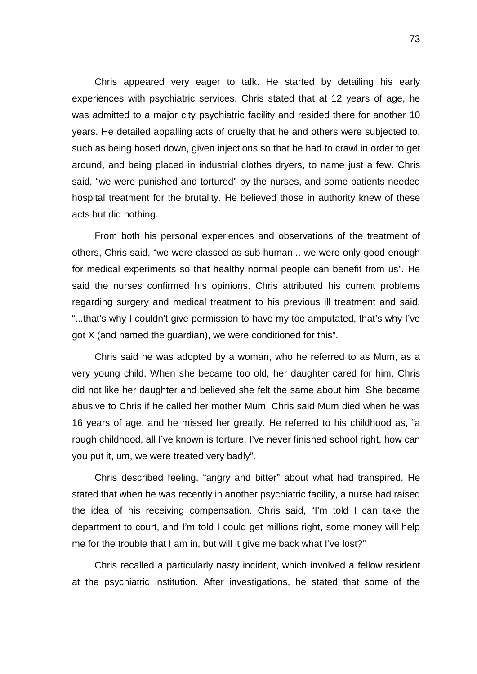Chris appeared very eager to talk. He started by detailing his early experiences with psychiatric services. Chris stated that at 12 years of age, he was admitted to a major city psychiatric facility and resided there for another 10 years. He detailed appalling acts of cruelty that he and others were subjected to, such as being hosed down, given injections so that he had to crawl in order to get around, and being placed in industrial clothes dryers, to name just a few. Chris said, "we were punished and tortured" by the nurses, and some patients needed hospital treatment for the brutality. He believed those in authority knew of these acts but did nothing.

From both his personal experiences and observations of the treatment of others, Chris said, "we were classed as sub human... we were only good enough for medical experiments so that healthy normal people can benefit from us". He said the nurses confirmed his opinions. Chris attributed his current problems regarding surgery and medical treatment to his previous ill treatment and said, "...that's why I couldn't give permission to have my toe amputated, that's why I've got X (and named the guardian), we were conditioned for this".

Chris said he was adopted by a woman, who he referred to as Mum, as a very young child. When she became too old, her daughter cared for him. Chris did not like her daughter and believed she felt the same about him. She became abusive to Chris if he called her mother Mum. Chris said Mum died when he was 16 years of age, and he missed her greatly. He referred to his childhood as, "a rough childhood, all I've known is torture, I've never finished school right, how can you put it, um, we were treated very badly".

Chris described feeling, "angry and bitter" about what had transpired. He stated that when he was recently in another psychiatric facility, a nurse had raised the idea of his receiving compensation. Chris said, "I'm told I can take the department to court, and I'm told I could get millions right, some money will help me for the trouble that I am in, but will it give me back what I've lost?"

Chris recalled a particularly nasty incident, which involved a fellow resident at the psychiatric institution. After investigations, he stated that some of the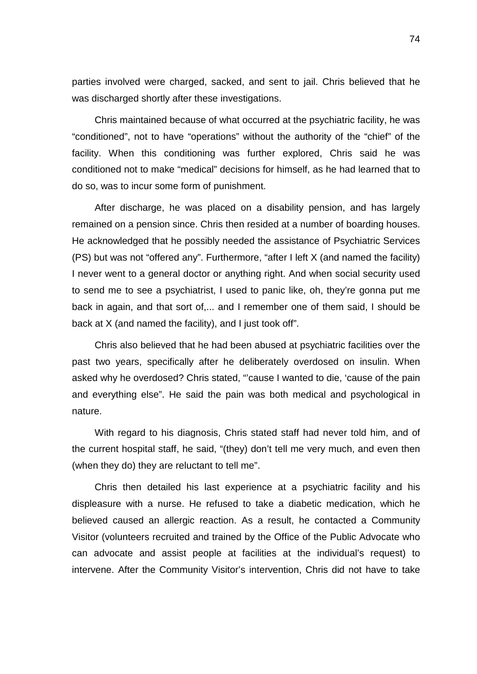parties involved were charged, sacked, and sent to jail. Chris believed that he was discharged shortly after these investigations.

Chris maintained because of what occurred at the psychiatric facility, he was "conditioned", not to have "operations" without the authority of the "chief" of the facility. When this conditioning was further explored, Chris said he was conditioned not to make "medical" decisions for himself, as he had learned that to do so, was to incur some form of punishment.

After discharge, he was placed on a disability pension, and has largely remained on a pension since. Chris then resided at a number of boarding houses. He acknowledged that he possibly needed the assistance of Psychiatric Services (PS) but was not "offered any". Furthermore, "after I left X (and named the facility) I never went to a general doctor or anything right. And when social security used to send me to see a psychiatrist, I used to panic like, oh, they're gonna put me back in again, and that sort of,... and I remember one of them said, I should be back at X (and named the facility), and I just took off".

Chris also believed that he had been abused at psychiatric facilities over the past two years, specifically after he deliberately overdosed on insulin. When asked why he overdosed? Chris stated, "'cause I wanted to die, 'cause of the pain and everything else". He said the pain was both medical and psychological in nature.

With regard to his diagnosis, Chris stated staff had never told him, and of the current hospital staff, he said, "(they) don't tell me very much, and even then (when they do) they are reluctant to tell me".

Chris then detailed his last experience at a psychiatric facility and his displeasure with a nurse. He refused to take a diabetic medication, which he believed caused an allergic reaction. As a result, he contacted a Community Visitor (volunteers recruited and trained by the Office of the Public Advocate who can advocate and assist people at facilities at the individual's request) to intervene. After the Community Visitor's intervention, Chris did not have to take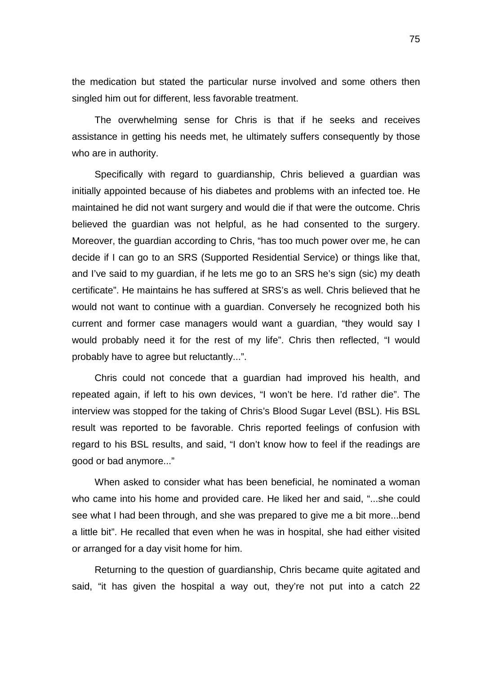the medication but stated the particular nurse involved and some others then singled him out for different, less favorable treatment.

The overwhelming sense for Chris is that if he seeks and receives assistance in getting his needs met, he ultimately suffers consequently by those who are in authority.

Specifically with regard to guardianship, Chris believed a guardian was initially appointed because of his diabetes and problems with an infected toe. He maintained he did not want surgery and would die if that were the outcome. Chris believed the guardian was not helpful, as he had consented to the surgery. Moreover, the guardian according to Chris, "has too much power over me, he can decide if I can go to an SRS (Supported Residential Service) or things like that, and I've said to my guardian, if he lets me go to an SRS he's sign (sic) my death certificate". He maintains he has suffered at SRS's as well. Chris believed that he would not want to continue with a guardian. Conversely he recognized both his current and former case managers would want a guardian, "they would say I would probably need it for the rest of my life". Chris then reflected, "I would probably have to agree but reluctantly...".

Chris could not concede that a guardian had improved his health, and repeated again, if left to his own devices, "I won't be here. I'd rather die". The interview was stopped for the taking of Chris's Blood Sugar Level (BSL). His BSL result was reported to be favorable. Chris reported feelings of confusion with regard to his BSL results, and said, "I don't know how to feel if the readings are good or bad anymore..."

When asked to consider what has been beneficial, he nominated a woman who came into his home and provided care. He liked her and said, "...she could see what I had been through, and she was prepared to give me a bit more...bend a little bit". He recalled that even when he was in hospital, she had either visited or arranged for a day visit home for him.

Returning to the question of guardianship, Chris became quite agitated and said, "it has given the hospital a way out, they're not put into a catch 22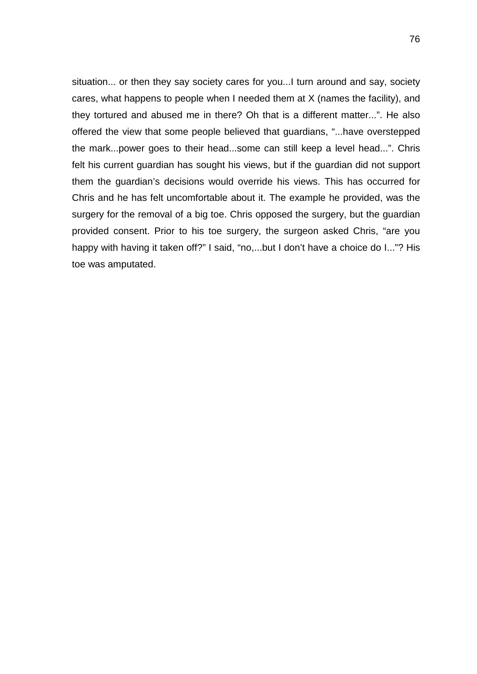situation... or then they say society cares for you...I turn around and say, society cares, what happens to people when I needed them at X (names the facility), and they tortured and abused me in there? Oh that is a different matter...". He also offered the view that some people believed that guardians, "...have overstepped the mark...power goes to their head...some can still keep a level head...". Chris felt his current guardian has sought his views, but if the guardian did not support them the guardian's decisions would override his views. This has occurred for Chris and he has felt uncomfortable about it. The example he provided, was the surgery for the removal of a big toe. Chris opposed the surgery, but the guardian provided consent. Prior to his toe surgery, the surgeon asked Chris, "are you happy with having it taken off?" I said, "no,...but I don't have a choice do I..."? His toe was amputated.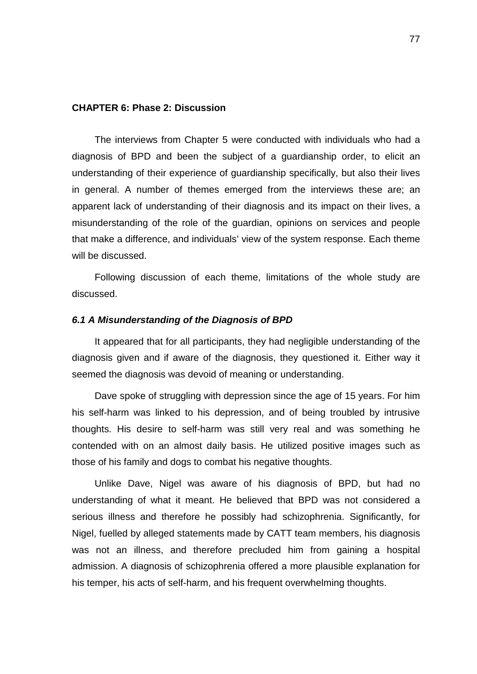#### **CHAPTER 6: Phase 2: Discussion**

The interviews from Chapter 5 were conducted with individuals who had a diagnosis of BPD and been the subject of a guardianship order, to elicit an understanding of their experience of guardianship specifically, but also their lives in general. A number of themes emerged from the interviews these are; an apparent lack of understanding of their diagnosis and its impact on their lives, a misunderstanding of the role of the guardian, opinions on services and people that make a difference, and individuals' view of the system response. Each theme will be discussed.

Following discussion of each theme, limitations of the whole study are discussed.

## *6.1 A Misunderstanding of the Diagnosis of BPD*

It appeared that for all participants, they had negligible understanding of the diagnosis given and if aware of the diagnosis, they questioned it. Either way it seemed the diagnosis was devoid of meaning or understanding.

Dave spoke of struggling with depression since the age of 15 years. For him his self-harm was linked to his depression, and of being troubled by intrusive thoughts. His desire to self-harm was still very real and was something he contended with on an almost daily basis. He utilized positive images such as those of his family and dogs to combat his negative thoughts.

Unlike Dave, Nigel was aware of his diagnosis of BPD, but had no understanding of what it meant. He believed that BPD was not considered a serious illness and therefore he possibly had schizophrenia. Significantly, for Nigel, fuelled by alleged statements made by CATT team members, his diagnosis was not an illness, and therefore precluded him from gaining a hospital admission. A diagnosis of schizophrenia offered a more plausible explanation for his temper, his acts of self-harm, and his frequent overwhelming thoughts.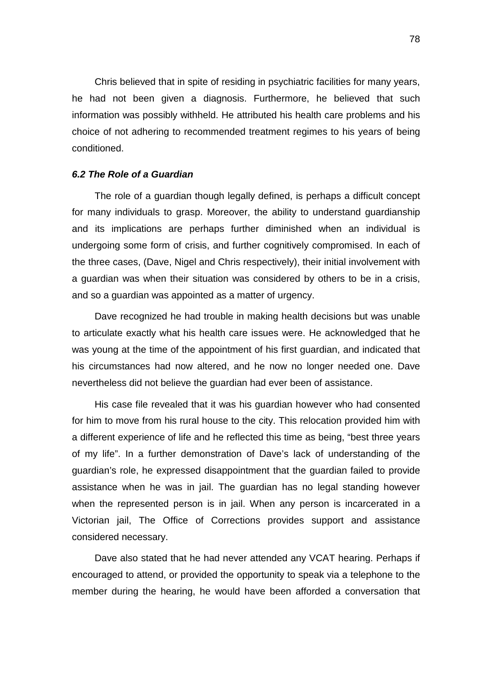Chris believed that in spite of residing in psychiatric facilities for many years, he had not been given a diagnosis. Furthermore, he believed that such information was possibly withheld. He attributed his health care problems and his choice of not adhering to recommended treatment regimes to his years of being conditioned.

## *6.2 The Role of a Guardian*

The role of a guardian though legally defined, is perhaps a difficult concept for many individuals to grasp. Moreover, the ability to understand guardianship and its implications are perhaps further diminished when an individual is undergoing some form of crisis, and further cognitively compromised. In each of the three cases, (Dave, Nigel and Chris respectively), their initial involvement with a guardian was when their situation was considered by others to be in a crisis, and so a guardian was appointed as a matter of urgency.

Dave recognized he had trouble in making health decisions but was unable to articulate exactly what his health care issues were. He acknowledged that he was young at the time of the appointment of his first guardian, and indicated that his circumstances had now altered, and he now no longer needed one. Dave nevertheless did not believe the guardian had ever been of assistance.

His case file revealed that it was his guardian however who had consented for him to move from his rural house to the city. This relocation provided him with a different experience of life and he reflected this time as being, "best three years of my life". In a further demonstration of Dave's lack of understanding of the guardian's role, he expressed disappointment that the guardian failed to provide assistance when he was in jail. The guardian has no legal standing however when the represented person is in jail. When any person is incarcerated in a Victorian jail, The Office of Corrections provides support and assistance considered necessary.

Dave also stated that he had never attended any VCAT hearing. Perhaps if encouraged to attend, or provided the opportunity to speak via a telephone to the member during the hearing, he would have been afforded a conversation that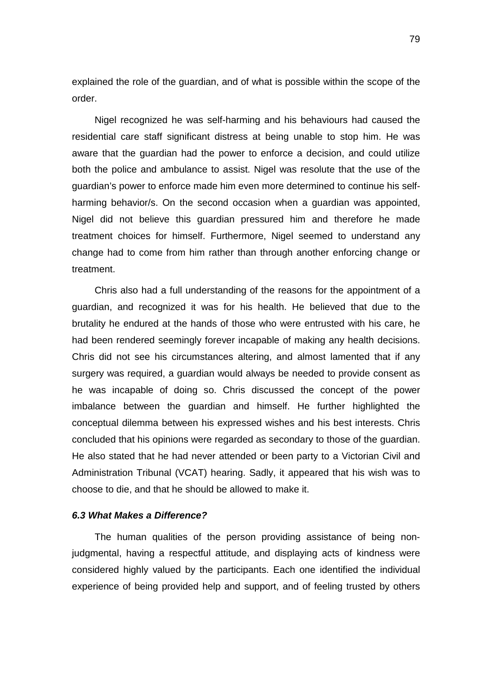explained the role of the guardian, and of what is possible within the scope of the order.

Nigel recognized he was self-harming and his behaviours had caused the residential care staff significant distress at being unable to stop him. He was aware that the guardian had the power to enforce a decision, and could utilize both the police and ambulance to assist. Nigel was resolute that the use of the guardian's power to enforce made him even more determined to continue his selfharming behavior/s. On the second occasion when a guardian was appointed, Nigel did not believe this guardian pressured him and therefore he made treatment choices for himself. Furthermore, Nigel seemed to understand any change had to come from him rather than through another enforcing change or treatment.

Chris also had a full understanding of the reasons for the appointment of a guardian, and recognized it was for his health. He believed that due to the brutality he endured at the hands of those who were entrusted with his care, he had been rendered seemingly forever incapable of making any health decisions. Chris did not see his circumstances altering, and almost lamented that if any surgery was required, a guardian would always be needed to provide consent as he was incapable of doing so. Chris discussed the concept of the power imbalance between the guardian and himself. He further highlighted the conceptual dilemma between his expressed wishes and his best interests. Chris concluded that his opinions were regarded as secondary to those of the guardian. He also stated that he had never attended or been party to a Victorian Civil and Administration Tribunal (VCAT) hearing. Sadly, it appeared that his wish was to choose to die, and that he should be allowed to make it.

## *6.3 What Makes a Difference?*

The human qualities of the person providing assistance of being nonjudgmental, having a respectful attitude, and displaying acts of kindness were considered highly valued by the participants. Each one identified the individual experience of being provided help and support, and of feeling trusted by others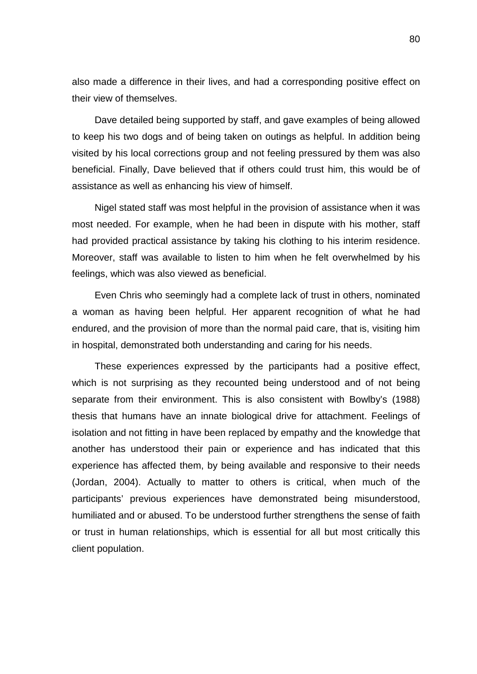also made a difference in their lives, and had a corresponding positive effect on their view of themselves.

Dave detailed being supported by staff, and gave examples of being allowed to keep his two dogs and of being taken on outings as helpful. In addition being visited by his local corrections group and not feeling pressured by them was also beneficial. Finally, Dave believed that if others could trust him, this would be of assistance as well as enhancing his view of himself.

Nigel stated staff was most helpful in the provision of assistance when it was most needed. For example, when he had been in dispute with his mother, staff had provided practical assistance by taking his clothing to his interim residence. Moreover, staff was available to listen to him when he felt overwhelmed by his feelings, which was also viewed as beneficial.

Even Chris who seemingly had a complete lack of trust in others, nominated a woman as having been helpful. Her apparent recognition of what he had endured, and the provision of more than the normal paid care, that is, visiting him in hospital, demonstrated both understanding and caring for his needs.

These experiences expressed by the participants had a positive effect, which is not surprising as they recounted being understood and of not being separate from their environment. This is also consistent with Bowlby's (1988) thesis that humans have an innate biological drive for attachment. Feelings of isolation and not fitting in have been replaced by empathy and the knowledge that another has understood their pain or experience and has indicated that this experience has affected them, by being available and responsive to their needs (Jordan, 2004). Actually to matter to others is critical, when much of the participants' previous experiences have demonstrated being misunderstood, humiliated and or abused. To be understood further strengthens the sense of faith or trust in human relationships, which is essential for all but most critically this client population.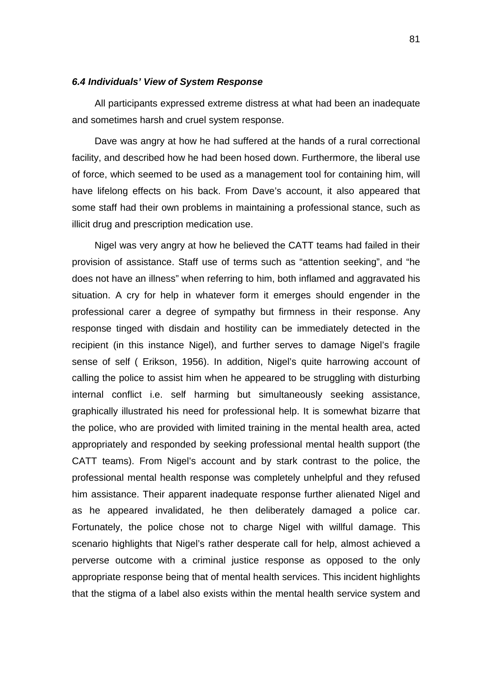#### *6.4 Individuals' View of System Response*

All participants expressed extreme distress at what had been an inadequate and sometimes harsh and cruel system response.

Dave was angry at how he had suffered at the hands of a rural correctional facility, and described how he had been hosed down. Furthermore, the liberal use of force, which seemed to be used as a management tool for containing him, will have lifelong effects on his back. From Dave's account, it also appeared that some staff had their own problems in maintaining a professional stance, such as illicit drug and prescription medication use.

Nigel was very angry at how he believed the CATT teams had failed in their provision of assistance. Staff use of terms such as "attention seeking", and "he does not have an illness" when referring to him, both inflamed and aggravated his situation. A cry for help in whatever form it emerges should engender in the professional carer a degree of sympathy but firmness in their response. Any response tinged with disdain and hostility can be immediately detected in the recipient (in this instance Nigel), and further serves to damage Nigel's fragile sense of self ( Erikson, 1956). In addition, Nigel's quite harrowing account of calling the police to assist him when he appeared to be struggling with disturbing internal conflict i.e. self harming but simultaneously seeking assistance, graphically illustrated his need for professional help. It is somewhat bizarre that the police, who are provided with limited training in the mental health area, acted appropriately and responded by seeking professional mental health support (the CATT teams). From Nigel's account and by stark contrast to the police, the professional mental health response was completely unhelpful and they refused him assistance. Their apparent inadequate response further alienated Nigel and as he appeared invalidated, he then deliberately damaged a police car. Fortunately, the police chose not to charge Nigel with willful damage. This scenario highlights that Nigel's rather desperate call for help, almost achieved a perverse outcome with a criminal justice response as opposed to the only appropriate response being that of mental health services. This incident highlights that the stigma of a label also exists within the mental health service system and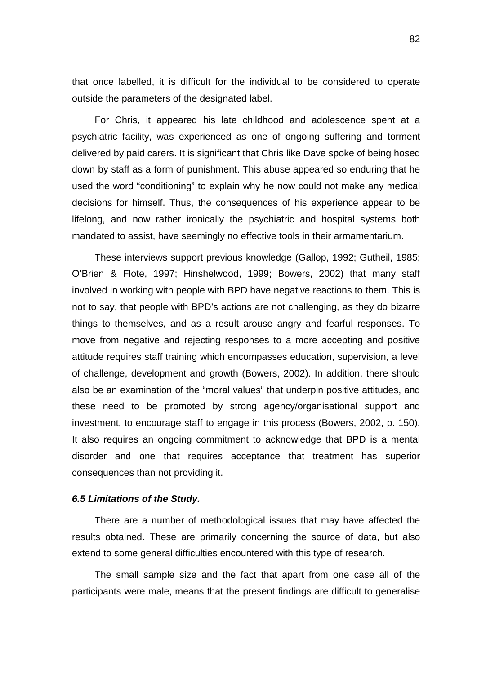that once labelled, it is difficult for the individual to be considered to operate outside the parameters of the designated label.

For Chris, it appeared his late childhood and adolescence spent at a psychiatric facility, was experienced as one of ongoing suffering and torment delivered by paid carers. It is significant that Chris like Dave spoke of being hosed down by staff as a form of punishment. This abuse appeared so enduring that he used the word "conditioning" to explain why he now could not make any medical decisions for himself. Thus, the consequences of his experience appear to be lifelong, and now rather ironically the psychiatric and hospital systems both mandated to assist, have seemingly no effective tools in their armamentarium.

These interviews support previous knowledge (Gallop, 1992; Gutheil, 1985; O'Brien & Flote, 1997; Hinshelwood, 1999; Bowers, 2002) that many staff involved in working with people with BPD have negative reactions to them. This is not to say, that people with BPD's actions are not challenging, as they do bizarre things to themselves, and as a result arouse angry and fearful responses. To move from negative and rejecting responses to a more accepting and positive attitude requires staff training which encompasses education, supervision, a level of challenge, development and growth (Bowers, 2002). In addition, there should also be an examination of the "moral values" that underpin positive attitudes, and these need to be promoted by strong agency/organisational support and investment, to encourage staff to engage in this process (Bowers, 2002, p. 150). It also requires an ongoing commitment to acknowledge that BPD is a mental disorder and one that requires acceptance that treatment has superior consequences than not providing it.

#### *6.5 Limitations of the Study.*

There are a number of methodological issues that may have affected the results obtained. These are primarily concerning the source of data, but also extend to some general difficulties encountered with this type of research.

The small sample size and the fact that apart from one case all of the participants were male, means that the present findings are difficult to generalise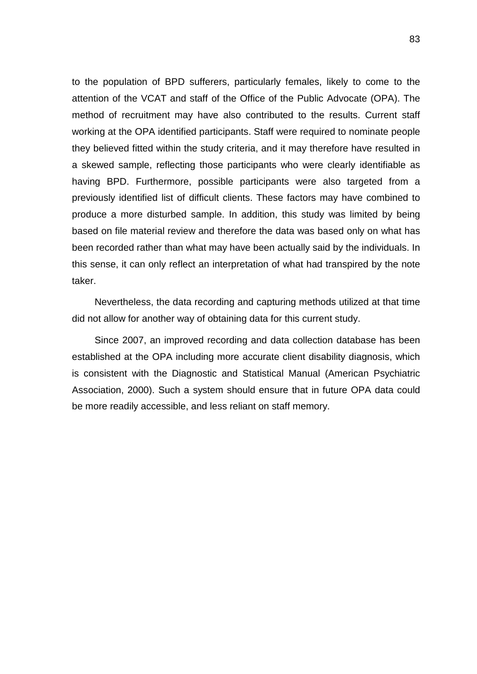to the population of BPD sufferers, particularly females, likely to come to the attention of the VCAT and staff of the Office of the Public Advocate (OPA). The method of recruitment may have also contributed to the results. Current staff working at the OPA identified participants. Staff were required to nominate people they believed fitted within the study criteria, and it may therefore have resulted in a skewed sample, reflecting those participants who were clearly identifiable as having BPD. Furthermore, possible participants were also targeted from a previously identified list of difficult clients. These factors may have combined to produce a more disturbed sample. In addition, this study was limited by being based on file material review and therefore the data was based only on what has been recorded rather than what may have been actually said by the individuals. In this sense, it can only reflect an interpretation of what had transpired by the note taker.

Nevertheless, the data recording and capturing methods utilized at that time did not allow for another way of obtaining data for this current study.

Since 2007, an improved recording and data collection database has been established at the OPA including more accurate client disability diagnosis, which is consistent with the Diagnostic and Statistical Manual (American Psychiatric Association, 2000). Such a system should ensure that in future OPA data could be more readily accessible, and less reliant on staff memory.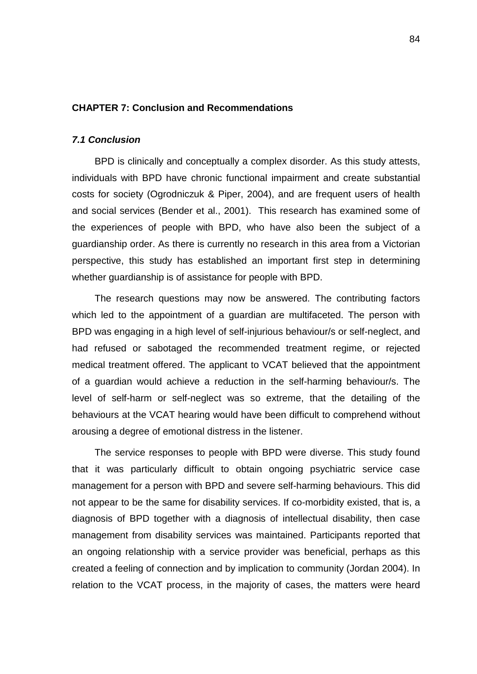#### **CHAPTER 7: Conclusion and Recommendations**

## *7.1 Conclusion*

BPD is clinically and conceptually a complex disorder. As this study attests, individuals with BPD have chronic functional impairment and create substantial costs for society (Ogrodniczuk & Piper, 2004), and are frequent users of health and social services (Bender et al., 2001). This research has examined some of the experiences of people with BPD, who have also been the subject of a guardianship order. As there is currently no research in this area from a Victorian perspective, this study has established an important first step in determining whether guardianship is of assistance for people with BPD.

The research questions may now be answered. The contributing factors which led to the appointment of a guardian are multifaceted. The person with BPD was engaging in a high level of self-injurious behaviour/s or self-neglect, and had refused or sabotaged the recommended treatment regime, or rejected medical treatment offered. The applicant to VCAT believed that the appointment of a guardian would achieve a reduction in the self-harming behaviour/s. The level of self-harm or self-neglect was so extreme, that the detailing of the behaviours at the VCAT hearing would have been difficult to comprehend without arousing a degree of emotional distress in the listener.

The service responses to people with BPD were diverse. This study found that it was particularly difficult to obtain ongoing psychiatric service case management for a person with BPD and severe self-harming behaviours. This did not appear to be the same for disability services. If co-morbidity existed, that is, a diagnosis of BPD together with a diagnosis of intellectual disability, then case management from disability services was maintained. Participants reported that an ongoing relationship with a service provider was beneficial, perhaps as this created a feeling of connection and by implication to community (Jordan 2004). In relation to the VCAT process, in the majority of cases, the matters were heard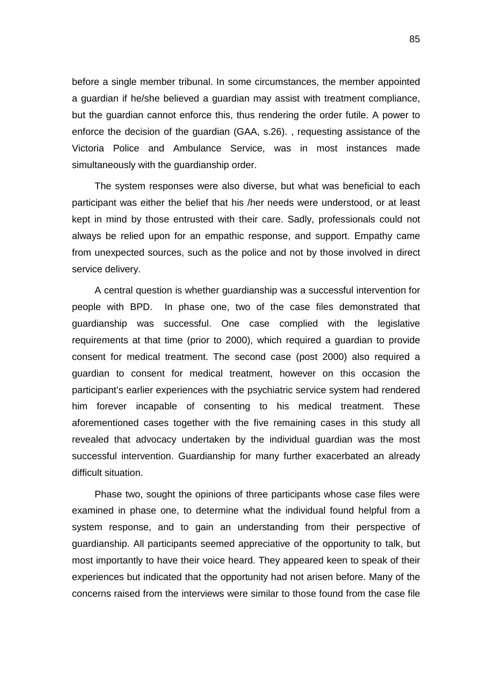before a single member tribunal. In some circumstances, the member appointed a guardian if he/she believed a guardian may assist with treatment compliance, but the guardian cannot enforce this, thus rendering the order futile. A power to enforce the decision of the guardian (GAA, s.26). , requesting assistance of the Victoria Police and Ambulance Service, was in most instances made simultaneously with the guardianship order.

The system responses were also diverse, but what was beneficial to each participant was either the belief that his /her needs were understood, or at least kept in mind by those entrusted with their care. Sadly, professionals could not always be relied upon for an empathic response, and support. Empathy came from unexpected sources, such as the police and not by those involved in direct service delivery.

A central question is whether guardianship was a successful intervention for people with BPD. In phase one, two of the case files demonstrated that guardianship was successful. One case complied with the legislative requirements at that time (prior to 2000), which required a guardian to provide consent for medical treatment. The second case (post 2000) also required a guardian to consent for medical treatment, however on this occasion the participant's earlier experiences with the psychiatric service system had rendered him forever incapable of consenting to his medical treatment. These aforementioned cases together with the five remaining cases in this study all revealed that advocacy undertaken by the individual guardian was the most successful intervention. Guardianship for many further exacerbated an already difficult situation.

Phase two, sought the opinions of three participants whose case files were examined in phase one, to determine what the individual found helpful from a system response, and to gain an understanding from their perspective of guardianship. All participants seemed appreciative of the opportunity to talk, but most importantly to have their voice heard. They appeared keen to speak of their experiences but indicated that the opportunity had not arisen before. Many of the concerns raised from the interviews were similar to those found from the case file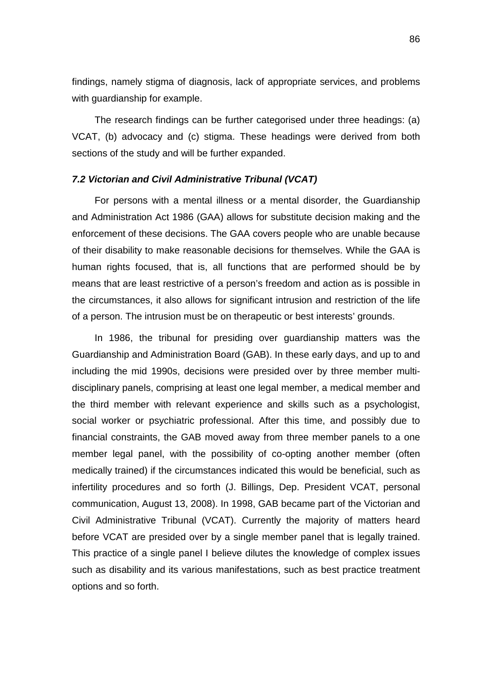findings, namely stigma of diagnosis, lack of appropriate services, and problems with guardianship for example.

The research findings can be further categorised under three headings: (a) VCAT, (b) advocacy and (c) stigma. These headings were derived from both sections of the study and will be further expanded.

## *7.2 Victorian and Civil Administrative Tribunal (VCAT)*

For persons with a mental illness or a mental disorder, the Guardianship and Administration Act 1986 (GAA) allows for substitute decision making and the enforcement of these decisions. The GAA covers people who are unable because of their disability to make reasonable decisions for themselves. While the GAA is human rights focused, that is, all functions that are performed should be by means that are least restrictive of a person's freedom and action as is possible in the circumstances, it also allows for significant intrusion and restriction of the life of a person. The intrusion must be on therapeutic or best interests' grounds.

In 1986, the tribunal for presiding over guardianship matters was the Guardianship and Administration Board (GAB). In these early days, and up to and including the mid 1990s, decisions were presided over by three member multidisciplinary panels, comprising at least one legal member, a medical member and the third member with relevant experience and skills such as a psychologist, social worker or psychiatric professional. After this time, and possibly due to financial constraints, the GAB moved away from three member panels to a one member legal panel, with the possibility of co-opting another member (often medically trained) if the circumstances indicated this would be beneficial, such as infertility procedures and so forth (J. Billings, Dep. President VCAT, personal communication, August 13, 2008). In 1998, GAB became part of the Victorian and Civil Administrative Tribunal (VCAT). Currently the majority of matters heard before VCAT are presided over by a single member panel that is legally trained. This practice of a single panel I believe dilutes the knowledge of complex issues such as disability and its various manifestations, such as best practice treatment options and so forth.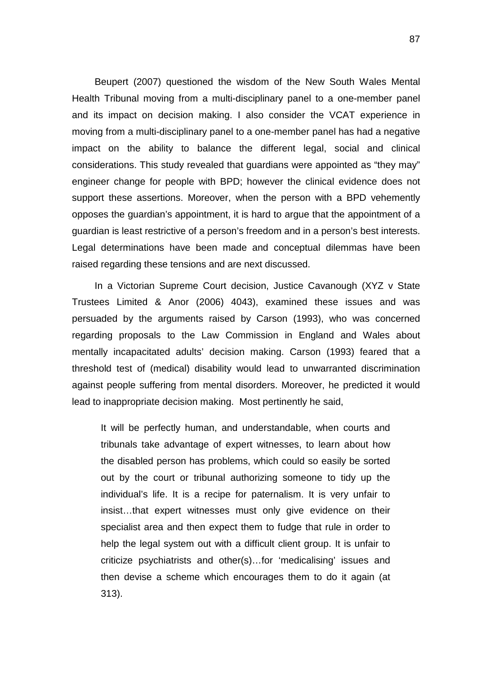Beupert (2007) questioned the wisdom of the New South Wales Mental Health Tribunal moving from a multi-disciplinary panel to a one-member panel and its impact on decision making. I also consider the VCAT experience in moving from a multi-disciplinary panel to a one-member panel has had a negative impact on the ability to balance the different legal, social and clinical considerations. This study revealed that guardians were appointed as "they may" engineer change for people with BPD; however the clinical evidence does not support these assertions. Moreover, when the person with a BPD vehemently opposes the guardian's appointment, it is hard to argue that the appointment of a guardian is least restrictive of a person's freedom and in a person's best interests. Legal determinations have been made and conceptual dilemmas have been raised regarding these tensions and are next discussed.

In a Victorian Supreme Court decision, Justice Cavanough (XYZ v State Trustees Limited & Anor (2006) 4043), examined these issues and was persuaded by the arguments raised by Carson (1993), who was concerned regarding proposals to the Law Commission in England and Wales about mentally incapacitated adults' decision making. Carson (1993) feared that a threshold test of (medical) disability would lead to unwarranted discrimination against people suffering from mental disorders. Moreover, he predicted it would lead to inappropriate decision making. Most pertinently he said,

It will be perfectly human, and understandable, when courts and tribunals take advantage of expert witnesses, to learn about how the disabled person has problems, which could so easily be sorted out by the court or tribunal authorizing someone to tidy up the individual's life. It is a recipe for paternalism. It is very unfair to insist…that expert witnesses must only give evidence on their specialist area and then expect them to fudge that rule in order to help the legal system out with a difficult client group. It is unfair to criticize psychiatrists and other(s)…for 'medicalising' issues and then devise a scheme which encourages them to do it again (at 313).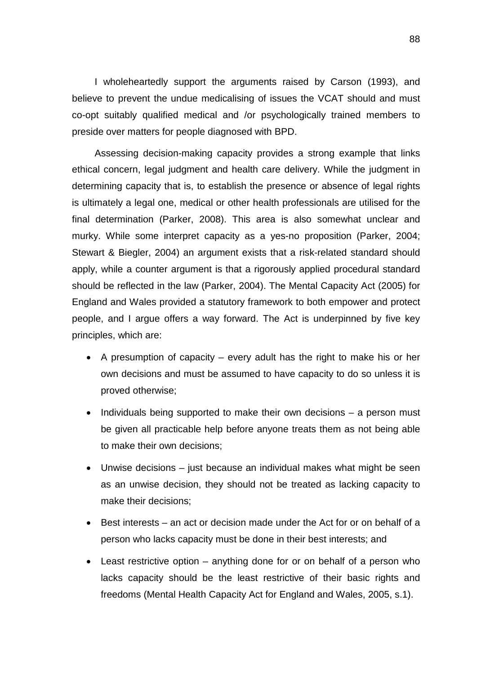I wholeheartedly support the arguments raised by Carson (1993), and believe to prevent the undue medicalising of issues the VCAT should and must co-opt suitably qualified medical and /or psychologically trained members to preside over matters for people diagnosed with BPD.

Assessing decision-making capacity provides a strong example that links ethical concern, legal judgment and health care delivery. While the judgment in determining capacity that is, to establish the presence or absence of legal rights is ultimately a legal one, medical or other health professionals are utilised for the final determination (Parker, 2008). This area is also somewhat unclear and murky. While some interpret capacity as a yes-no proposition (Parker, 2004; Stewart & Biegler, 2004) an argument exists that a risk-related standard should apply, while a counter argument is that a rigorously applied procedural standard should be reflected in the law (Parker, 2004). The Mental Capacity Act (2005) for England and Wales provided a statutory framework to both empower and protect people, and I argue offers a way forward. The Act is underpinned by five key principles, which are:

- A presumption of capacity every adult has the right to make his or her own decisions and must be assumed to have capacity to do so unless it is proved otherwise;
- Individuals being supported to make their own decisions a person must be given all practicable help before anyone treats them as not being able to make their own decisions;
- Unwise decisions just because an individual makes what might be seen as an unwise decision, they should not be treated as lacking capacity to make their decisions;
- Best interests an act or decision made under the Act for or on behalf of a person who lacks capacity must be done in their best interests; and
- Least restrictive option anything done for or on behalf of a person who lacks capacity should be the least restrictive of their basic rights and freedoms (Mental Health Capacity Act for England and Wales, 2005, s.1).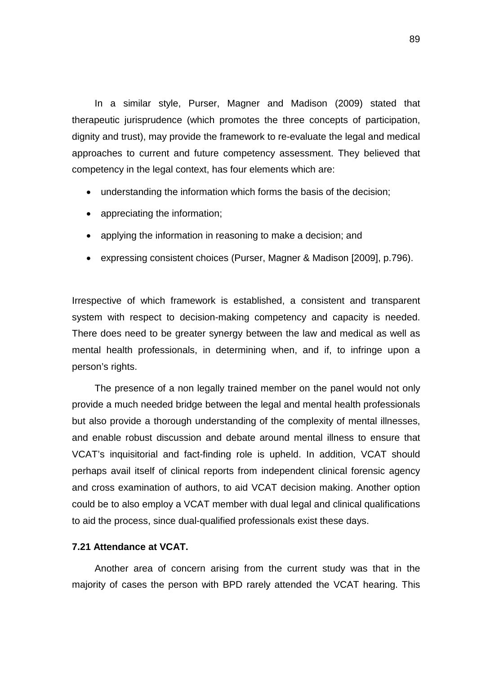In a similar style, Purser, Magner and Madison (2009) stated that therapeutic jurisprudence (which promotes the three concepts of participation, dignity and trust), may provide the framework to re-evaluate the legal and medical approaches to current and future competency assessment. They believed that competency in the legal context, has four elements which are:

- understanding the information which forms the basis of the decision;
- appreciating the information;
- applying the information in reasoning to make a decision; and
- expressing consistent choices (Purser, Magner & Madison [2009], p.796).

Irrespective of which framework is established, a consistent and transparent system with respect to decision-making competency and capacity is needed. There does need to be greater synergy between the law and medical as well as mental health professionals, in determining when, and if, to infringe upon a person's rights.

The presence of a non legally trained member on the panel would not only provide a much needed bridge between the legal and mental health professionals but also provide a thorough understanding of the complexity of mental illnesses, and enable robust discussion and debate around mental illness to ensure that VCAT's inquisitorial and fact-finding role is upheld. In addition, VCAT should perhaps avail itself of clinical reports from independent clinical forensic agency and cross examination of authors, to aid VCAT decision making. Another option could be to also employ a VCAT member with dual legal and clinical qualifications to aid the process, since dual-qualified professionals exist these days.

### **7.21 Attendance at VCAT.**

Another area of concern arising from the current study was that in the majority of cases the person with BPD rarely attended the VCAT hearing. This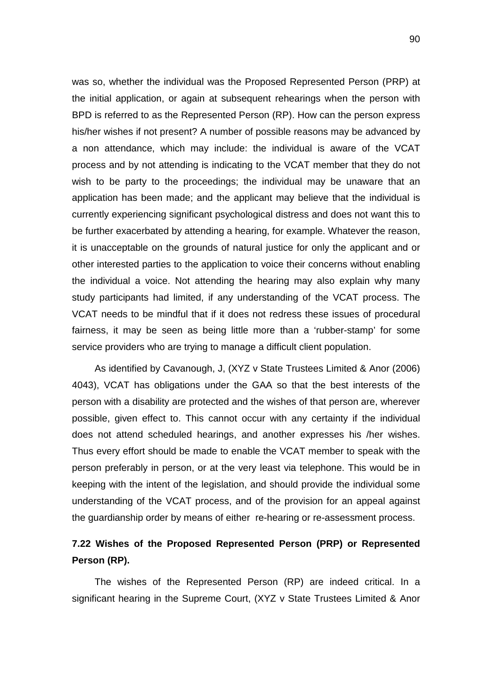was so, whether the individual was the Proposed Represented Person (PRP) at the initial application, or again at subsequent rehearings when the person with BPD is referred to as the Represented Person (RP). How can the person express his/her wishes if not present? A number of possible reasons may be advanced by a non attendance, which may include: the individual is aware of the VCAT process and by not attending is indicating to the VCAT member that they do not wish to be party to the proceedings; the individual may be unaware that an application has been made; and the applicant may believe that the individual is currently experiencing significant psychological distress and does not want this to be further exacerbated by attending a hearing, for example. Whatever the reason, it is unacceptable on the grounds of natural justice for only the applicant and or other interested parties to the application to voice their concerns without enabling the individual a voice. Not attending the hearing may also explain why many study participants had limited, if any understanding of the VCAT process. The VCAT needs to be mindful that if it does not redress these issues of procedural fairness, it may be seen as being little more than a 'rubber-stamp' for some service providers who are trying to manage a difficult client population.

As identified by Cavanough, J, (XYZ v State Trustees Limited & Anor (2006) 4043), VCAT has obligations under the GAA so that the best interests of the person with a disability are protected and the wishes of that person are, wherever possible, given effect to. This cannot occur with any certainty if the individual does not attend scheduled hearings, and another expresses his /her wishes. Thus every effort should be made to enable the VCAT member to speak with the person preferably in person, or at the very least via telephone. This would be in keeping with the intent of the legislation, and should provide the individual some understanding of the VCAT process, and of the provision for an appeal against the guardianship order by means of either re-hearing or re-assessment process.

## **7.22 Wishes of the Proposed Represented Person (PRP) or Represented Person (RP).**

The wishes of the Represented Person (RP) are indeed critical. In a significant hearing in the Supreme Court, (XYZ v State Trustees Limited & Anor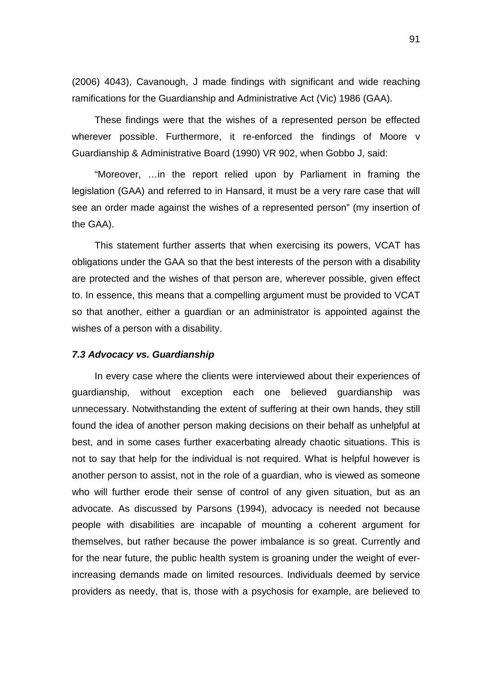(2006) 4043), Cavanough, J made findings with significant and wide reaching ramifications for the Guardianship and Administrative Act (Vic) 1986 (GAA).

These findings were that the wishes of a represented person be effected wherever possible. Furthermore, it re-enforced the findings of Moore v Guardianship & Administrative Board (1990) VR 902, when Gobbo J, said:

"Moreover, …in the report relied upon by Parliament in framing the legislation (GAA) and referred to in Hansard, it must be a very rare case that will see an order made against the wishes of a represented person" (my insertion of the GAA).

This statement further asserts that when exercising its powers, VCAT has obligations under the GAA so that the best interests of the person with a disability are protected and the wishes of that person are, wherever possible, given effect to. In essence, this means that a compelling argument must be provided to VCAT so that another, either a guardian or an administrator is appointed against the wishes of a person with a disability.

## *7.3 Advocacy vs. Guardianship*

In every case where the clients were interviewed about their experiences of guardianship, without exception each one believed guardianship was unnecessary. Notwithstanding the extent of suffering at their own hands, they still found the idea of another person making decisions on their behalf as unhelpful at best, and in some cases further exacerbating already chaotic situations. This is not to say that help for the individual is not required. What is helpful however is another person to assist, not in the role of a guardian, who is viewed as someone who will further erode their sense of control of any given situation, but as an advocate. As discussed by Parsons (1994), advocacy is needed not because people with disabilities are incapable of mounting a coherent argument for themselves, but rather because the power imbalance is so great. Currently and for the near future, the public health system is groaning under the weight of everincreasing demands made on limited resources. Individuals deemed by service providers as needy, that is, those with a psychosis for example, are believed to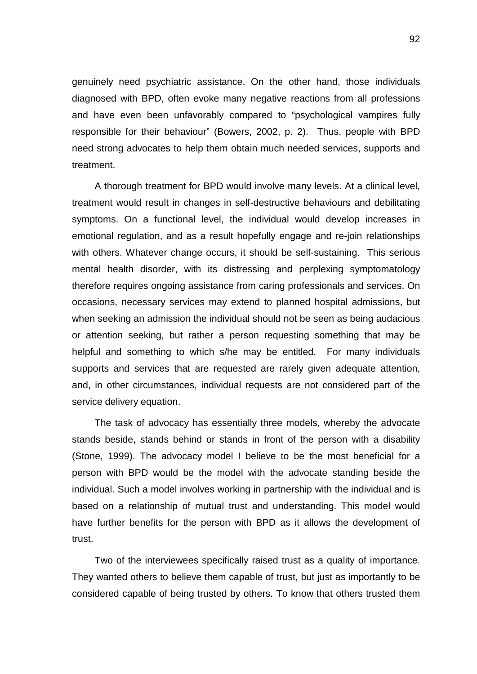genuinely need psychiatric assistance. On the other hand, those individuals diagnosed with BPD, often evoke many negative reactions from all professions and have even been unfavorably compared to "psychological vampires fully responsible for their behaviour" (Bowers, 2002, p. 2). Thus, people with BPD need strong advocates to help them obtain much needed services, supports and treatment.

A thorough treatment for BPD would involve many levels. At a clinical level, treatment would result in changes in self-destructive behaviours and debilitating symptoms. On a functional level, the individual would develop increases in emotional regulation, and as a result hopefully engage and re-join relationships with others. Whatever change occurs, it should be self-sustaining. This serious mental health disorder, with its distressing and perplexing symptomatology therefore requires ongoing assistance from caring professionals and services. On occasions, necessary services may extend to planned hospital admissions, but when seeking an admission the individual should not be seen as being audacious or attention seeking, but rather a person requesting something that may be helpful and something to which s/he may be entitled. For many individuals supports and services that are requested are rarely given adequate attention, and, in other circumstances, individual requests are not considered part of the service delivery equation.

The task of advocacy has essentially three models, whereby the advocate stands beside, stands behind or stands in front of the person with a disability (Stone, 1999). The advocacy model I believe to be the most beneficial for a person with BPD would be the model with the advocate standing beside the individual. Such a model involves working in partnership with the individual and is based on a relationship of mutual trust and understanding. This model would have further benefits for the person with BPD as it allows the development of trust.

Two of the interviewees specifically raised trust as a quality of importance. They wanted others to believe them capable of trust, but just as importantly to be considered capable of being trusted by others. To know that others trusted them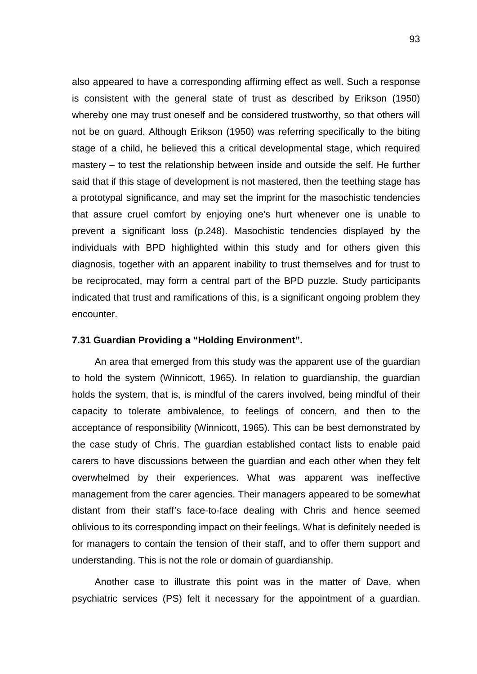also appeared to have a corresponding affirming effect as well. Such a response is consistent with the general state of trust as described by Erikson (1950) whereby one may trust oneself and be considered trustworthy, so that others will not be on guard. Although Erikson (1950) was referring specifically to the biting stage of a child, he believed this a critical developmental stage, which required mastery – to test the relationship between inside and outside the self. He further said that if this stage of development is not mastered, then the teething stage has a prototypal significance, and may set the imprint for the masochistic tendencies that assure cruel comfort by enjoying one's hurt whenever one is unable to prevent a significant loss (p.248). Masochistic tendencies displayed by the individuals with BPD highlighted within this study and for others given this diagnosis, together with an apparent inability to trust themselves and for trust to be reciprocated, may form a central part of the BPD puzzle. Study participants indicated that trust and ramifications of this, is a significant ongoing problem they encounter.

## **7.31 Guardian Providing a "Holding Environment".**

An area that emerged from this study was the apparent use of the guardian to hold the system (Winnicott, 1965). In relation to guardianship, the guardian holds the system, that is, is mindful of the carers involved, being mindful of their capacity to tolerate ambivalence, to feelings of concern, and then to the acceptance of responsibility (Winnicott, 1965). This can be best demonstrated by the case study of Chris. The guardian established contact lists to enable paid carers to have discussions between the guardian and each other when they felt overwhelmed by their experiences. What was apparent was ineffective management from the carer agencies. Their managers appeared to be somewhat distant from their staff's face-to-face dealing with Chris and hence seemed oblivious to its corresponding impact on their feelings. What is definitely needed is for managers to contain the tension of their staff, and to offer them support and understanding. This is not the role or domain of guardianship.

Another case to illustrate this point was in the matter of Dave, when psychiatric services (PS) felt it necessary for the appointment of a guardian.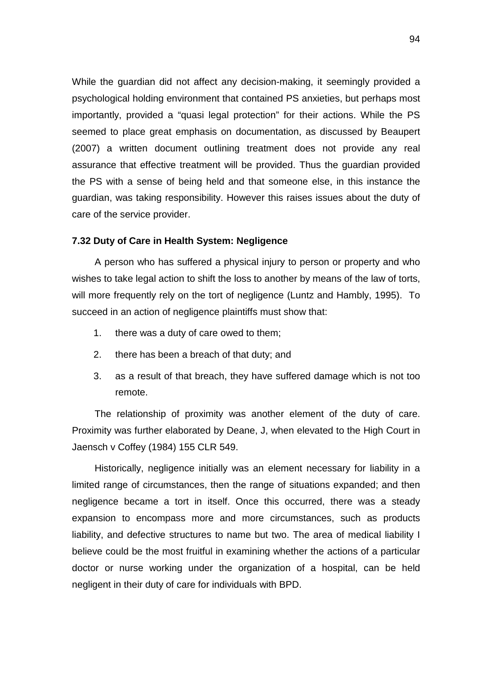While the guardian did not affect any decision-making, it seemingly provided a psychological holding environment that contained PS anxieties, but perhaps most importantly, provided a "quasi legal protection" for their actions. While the PS seemed to place great emphasis on documentation, as discussed by Beaupert (2007) a written document outlining treatment does not provide any real assurance that effective treatment will be provided. Thus the guardian provided the PS with a sense of being held and that someone else, in this instance the guardian, was taking responsibility. However this raises issues about the duty of care of the service provider.

## **7.32 Duty of Care in Health System: Negligence**

A person who has suffered a physical injury to person or property and who wishes to take legal action to shift the loss to another by means of the law of torts, will more frequently rely on the tort of negligence (Luntz and Hambly, 1995). To succeed in an action of negligence plaintiffs must show that:

- 1. there was a duty of care owed to them;
- 2. there has been a breach of that duty; and
- 3. as a result of that breach, they have suffered damage which is not too remote.

The relationship of proximity was another element of the duty of care. Proximity was further elaborated by Deane, J, when elevated to the High Court in Jaensch v Coffey (1984) 155 CLR 549.

Historically, negligence initially was an element necessary for liability in a limited range of circumstances, then the range of situations expanded; and then negligence became a tort in itself. Once this occurred, there was a steady expansion to encompass more and more circumstances, such as products liability, and defective structures to name but two. The area of medical liability I believe could be the most fruitful in examining whether the actions of a particular doctor or nurse working under the organization of a hospital, can be held negligent in their duty of care for individuals with BPD.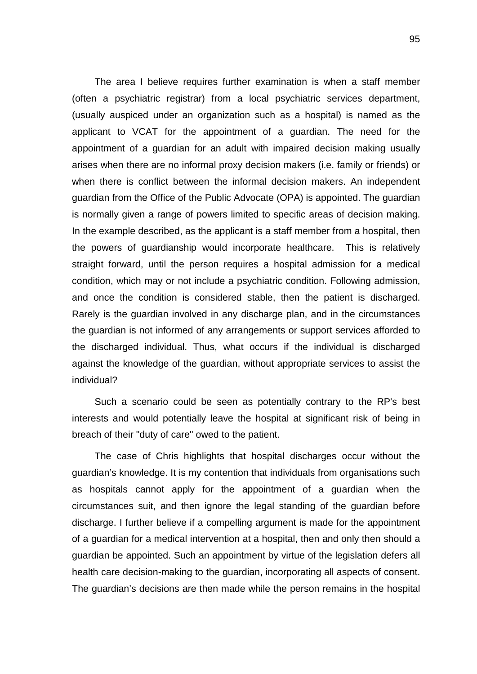The area I believe requires further examination is when a staff member (often a psychiatric registrar) from a local psychiatric services department, (usually auspiced under an organization such as a hospital) is named as the applicant to VCAT for the appointment of a guardian. The need for the appointment of a guardian for an adult with impaired decision making usually arises when there are no informal proxy decision makers (i.e. family or friends) or when there is conflict between the informal decision makers. An independent guardian from the Office of the Public Advocate (OPA) is appointed. The guardian is normally given a range of powers limited to specific areas of decision making. In the example described, as the applicant is a staff member from a hospital, then the powers of guardianship would incorporate healthcare. This is relatively straight forward, until the person requires a hospital admission for a medical condition, which may or not include a psychiatric condition. Following admission, and once the condition is considered stable, then the patient is discharged. Rarely is the guardian involved in any discharge plan, and in the circumstances the guardian is not informed of any arrangements or support services afforded to the discharged individual. Thus, what occurs if the individual is discharged against the knowledge of the guardian, without appropriate services to assist the individual?

Such a scenario could be seen as potentially contrary to the RP's best interests and would potentially leave the hospital at significant risk of being in breach of their "duty of care" owed to the patient.

The case of Chris highlights that hospital discharges occur without the guardian's knowledge. It is my contention that individuals from organisations such as hospitals cannot apply for the appointment of a guardian when the circumstances suit, and then ignore the legal standing of the guardian before discharge. I further believe if a compelling argument is made for the appointment of a guardian for a medical intervention at a hospital, then and only then should a guardian be appointed. Such an appointment by virtue of the legislation defers all health care decision-making to the guardian, incorporating all aspects of consent. The guardian's decisions are then made while the person remains in the hospital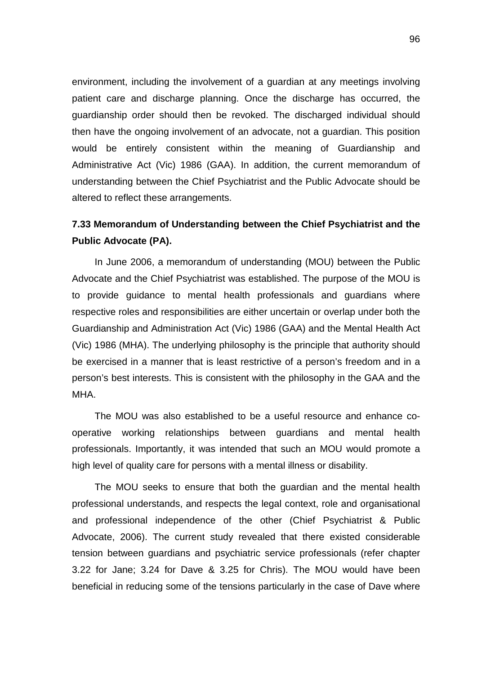environment, including the involvement of a guardian at any meetings involving patient care and discharge planning. Once the discharge has occurred, the guardianship order should then be revoked. The discharged individual should then have the ongoing involvement of an advocate, not a guardian. This position would be entirely consistent within the meaning of Guardianship and Administrative Act (Vic) 1986 (GAA). In addition, the current memorandum of understanding between the Chief Psychiatrist and the Public Advocate should be altered to reflect these arrangements.

# **7.33 Memorandum of Understanding between the Chief Psychiatrist and the Public Advocate (PA).**

In June 2006, a memorandum of understanding (MOU) between the Public Advocate and the Chief Psychiatrist was established. The purpose of the MOU is to provide guidance to mental health professionals and guardians where respective roles and responsibilities are either uncertain or overlap under both the Guardianship and Administration Act (Vic) 1986 (GAA) and the Mental Health Act (Vic) 1986 (MHA). The underlying philosophy is the principle that authority should be exercised in a manner that is least restrictive of a person's freedom and in a person's best interests. This is consistent with the philosophy in the GAA and the MHA.

The MOU was also established to be a useful resource and enhance cooperative working relationships between guardians and mental health professionals. Importantly, it was intended that such an MOU would promote a high level of quality care for persons with a mental illness or disability.

The MOU seeks to ensure that both the guardian and the mental health professional understands, and respects the legal context, role and organisational and professional independence of the other (Chief Psychiatrist & Public Advocate, 2006). The current study revealed that there existed considerable tension between guardians and psychiatric service professionals (refer chapter 3.22 for Jane; 3.24 for Dave & 3.25 for Chris). The MOU would have been beneficial in reducing some of the tensions particularly in the case of Dave where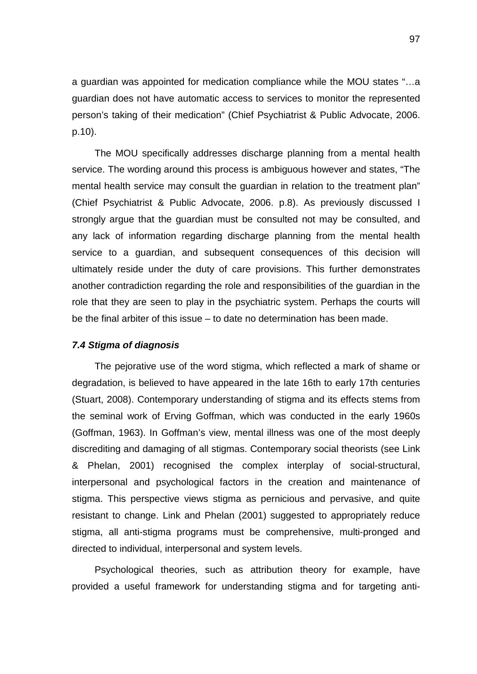a guardian was appointed for medication compliance while the MOU states "…a guardian does not have automatic access to services to monitor the represented person's taking of their medication" (Chief Psychiatrist & Public Advocate, 2006. p.10).

The MOU specifically addresses discharge planning from a mental health service. The wording around this process is ambiguous however and states, "The mental health service may consult the guardian in relation to the treatment plan" (Chief Psychiatrist & Public Advocate, 2006. p.8). As previously discussed I strongly argue that the guardian must be consulted not may be consulted, and any lack of information regarding discharge planning from the mental health service to a guardian, and subsequent consequences of this decision will ultimately reside under the duty of care provisions. This further demonstrates another contradiction regarding the role and responsibilities of the guardian in the role that they are seen to play in the psychiatric system. Perhaps the courts will be the final arbiter of this issue – to date no determination has been made.

#### *7.4 Stigma of diagnosis*

The pejorative use of the word stigma, which reflected a mark of shame or degradation, is believed to have appeared in the late 16th to early 17th centuries (Stuart, 2008). Contemporary understanding of stigma and its effects stems from the seminal work of Erving Goffman, which was conducted in the early 1960s (Goffman, 1963). In Goffman's view, mental illness was one of the most deeply discrediting and damaging of all stigmas. Contemporary social theorists (see Link & Phelan, 2001) recognised the complex interplay of social-structural, interpersonal and psychological factors in the creation and maintenance of stigma. This perspective views stigma as pernicious and pervasive, and quite resistant to change. Link and Phelan (2001) suggested to appropriately reduce stigma, all anti-stigma programs must be comprehensive, multi-pronged and directed to individual, interpersonal and system levels.

Psychological theories, such as attribution theory for example, have provided a useful framework for understanding stigma and for targeting anti-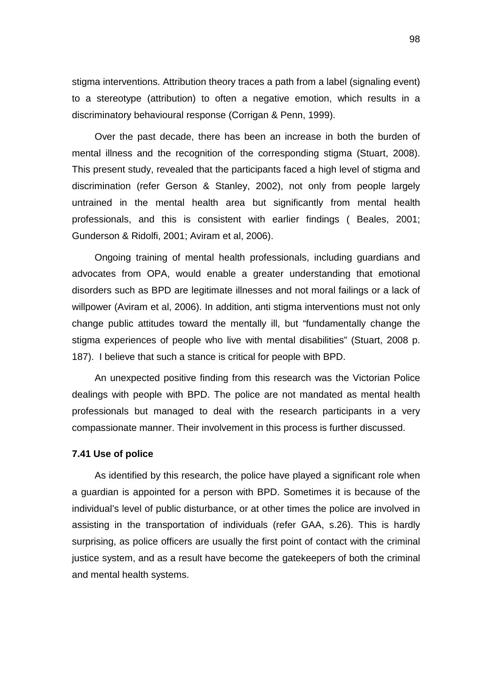stigma interventions. Attribution theory traces a path from a label (signaling event) to a stereotype (attribution) to often a negative emotion, which results in a discriminatory behavioural response (Corrigan & Penn, 1999).

Over the past decade, there has been an increase in both the burden of mental illness and the recognition of the corresponding stigma (Stuart, 2008). This present study, revealed that the participants faced a high level of stigma and discrimination (refer Gerson & Stanley, 2002), not only from people largely untrained in the mental health area but significantly from mental health professionals, and this is consistent with earlier findings ( Beales, 2001; Gunderson & Ridolfi, 2001; Aviram et al, 2006).

Ongoing training of mental health professionals, including guardians and advocates from OPA, would enable a greater understanding that emotional disorders such as BPD are legitimate illnesses and not moral failings or a lack of willpower (Aviram et al, 2006). In addition, anti stigma interventions must not only change public attitudes toward the mentally ill, but "fundamentally change the stigma experiences of people who live with mental disabilities" (Stuart, 2008 p. 187). I believe that such a stance is critical for people with BPD.

An unexpected positive finding from this research was the Victorian Police dealings with people with BPD. The police are not mandated as mental health professionals but managed to deal with the research participants in a very compassionate manner. Their involvement in this process is further discussed.

#### **7.41 Use of police**

As identified by this research, the police have played a significant role when a guardian is appointed for a person with BPD. Sometimes it is because of the individual's level of public disturbance, or at other times the police are involved in assisting in the transportation of individuals (refer GAA, s.26). This is hardly surprising, as police officers are usually the first point of contact with the criminal justice system, and as a result have become the gatekeepers of both the criminal and mental health systems.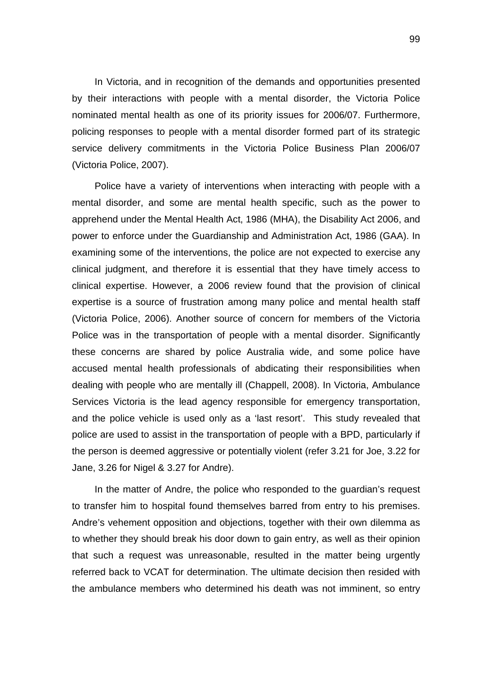In Victoria, and in recognition of the demands and opportunities presented by their interactions with people with a mental disorder, the Victoria Police nominated mental health as one of its priority issues for 2006/07. Furthermore, policing responses to people with a mental disorder formed part of its strategic service delivery commitments in the Victoria Police Business Plan 2006/07 (Victoria Police, 2007).

Police have a variety of interventions when interacting with people with a mental disorder, and some are mental health specific, such as the power to apprehend under the Mental Health Act, 1986 (MHA), the Disability Act 2006, and power to enforce under the Guardianship and Administration Act, 1986 (GAA). In examining some of the interventions, the police are not expected to exercise any clinical judgment, and therefore it is essential that they have timely access to clinical expertise. However, a 2006 review found that the provision of clinical expertise is a source of frustration among many police and mental health staff (Victoria Police, 2006). Another source of concern for members of the Victoria Police was in the transportation of people with a mental disorder. Significantly these concerns are shared by police Australia wide, and some police have accused mental health professionals of abdicating their responsibilities when dealing with people who are mentally ill (Chappell, 2008). In Victoria, Ambulance Services Victoria is the lead agency responsible for emergency transportation, and the police vehicle is used only as a 'last resort'. This study revealed that police are used to assist in the transportation of people with a BPD, particularly if the person is deemed aggressive or potentially violent (refer 3.21 for Joe, 3.22 for Jane, 3.26 for Nigel & 3.27 for Andre).

In the matter of Andre, the police who responded to the guardian's request to transfer him to hospital found themselves barred from entry to his premises. Andre's vehement opposition and objections, together with their own dilemma as to whether they should break his door down to gain entry, as well as their opinion that such a request was unreasonable, resulted in the matter being urgently referred back to VCAT for determination. The ultimate decision then resided with the ambulance members who determined his death was not imminent, so entry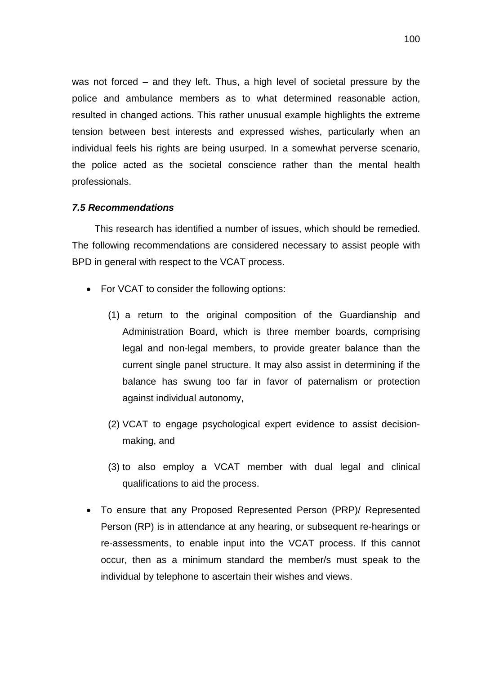was not forced – and they left. Thus, a high level of societal pressure by the police and ambulance members as to what determined reasonable action, resulted in changed actions. This rather unusual example highlights the extreme tension between best interests and expressed wishes, particularly when an individual feels his rights are being usurped. In a somewhat perverse scenario, the police acted as the societal conscience rather than the mental health professionals.

#### *7.5 Recommendations*

This research has identified a number of issues, which should be remedied. The following recommendations are considered necessary to assist people with BPD in general with respect to the VCAT process.

- For VCAT to consider the following options:
	- (1) a return to the original composition of the Guardianship and Administration Board, which is three member boards, comprising legal and non-legal members, to provide greater balance than the current single panel structure. It may also assist in determining if the balance has swung too far in favor of paternalism or protection against individual autonomy,
	- (2) VCAT to engage psychological expert evidence to assist decisionmaking, and
	- (3) to also employ a VCAT member with dual legal and clinical qualifications to aid the process.
- To ensure that any Proposed Represented Person (PRP)/ Represented Person (RP) is in attendance at any hearing, or subsequent re-hearings or re-assessments, to enable input into the VCAT process. If this cannot occur, then as a minimum standard the member/s must speak to the individual by telephone to ascertain their wishes and views.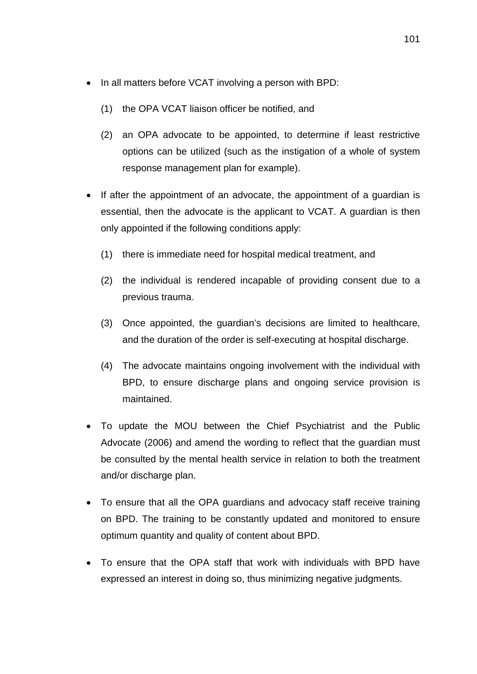- In all matters before VCAT involving a person with BPD:
	- (1) the OPA VCAT liaison officer be notified, and
	- (2) an OPA advocate to be appointed, to determine if least restrictive options can be utilized (such as the instigation of a whole of system response management plan for example).
- If after the appointment of an advocate, the appointment of a quardian is essential, then the advocate is the applicant to VCAT. A guardian is then only appointed if the following conditions apply:
	- (1) there is immediate need for hospital medical treatment, and
	- (2) the individual is rendered incapable of providing consent due to a previous trauma.
	- (3) Once appointed, the guardian's decisions are limited to healthcare, and the duration of the order is self-executing at hospital discharge.
	- (4) The advocate maintains ongoing involvement with the individual with BPD, to ensure discharge plans and ongoing service provision is maintained.
- To update the MOU between the Chief Psychiatrist and the Public Advocate (2006) and amend the wording to reflect that the guardian must be consulted by the mental health service in relation to both the treatment and/or discharge plan.
- To ensure that all the OPA guardians and advocacy staff receive training on BPD. The training to be constantly updated and monitored to ensure optimum quantity and quality of content about BPD.
- To ensure that the OPA staff that work with individuals with BPD have expressed an interest in doing so, thus minimizing negative judgments.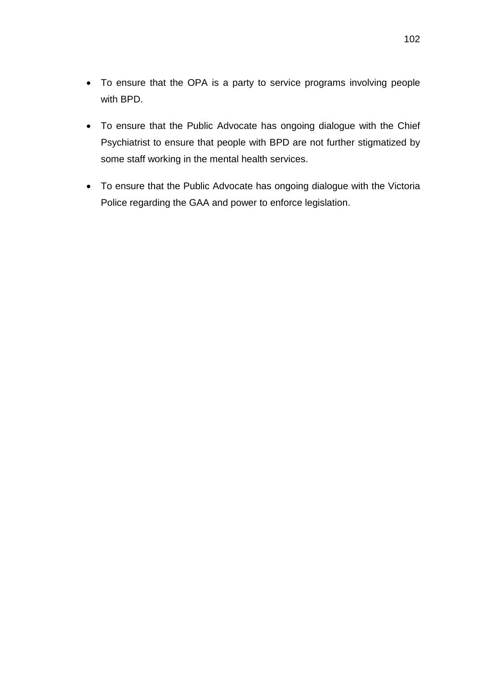- To ensure that the OPA is a party to service programs involving people with BPD.
- To ensure that the Public Advocate has ongoing dialogue with the Chief Psychiatrist to ensure that people with BPD are not further stigmatized by some staff working in the mental health services.
- To ensure that the Public Advocate has ongoing dialogue with the Victoria Police regarding the GAA and power to enforce legislation.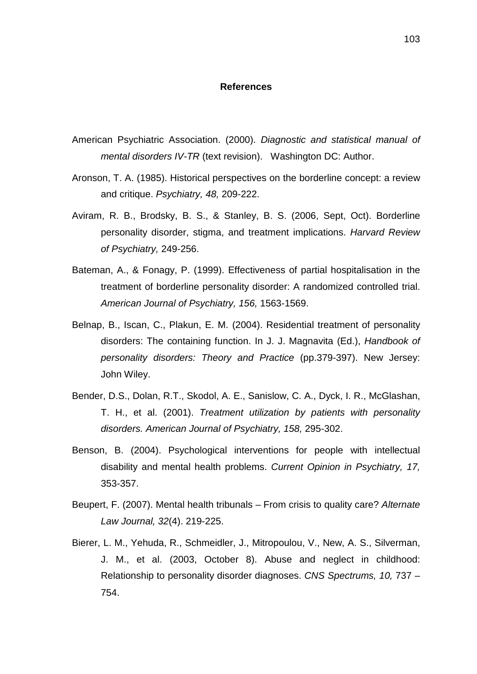#### **References**

- American Psychiatric Association. (2000). *Diagnostic and statistical manual of mental disorders IV-TR* (text revision). Washington DC: Author.
- Aronson, T. A. (1985). Historical perspectives on the borderline concept: a review and critique. *Psychiatry, 48,* 209-222.
- Aviram, R. B., Brodsky, B. S., & Stanley, B. S. (2006, Sept, Oct). Borderline personality disorder, stigma, and treatment implications. *Harvard Review of Psychiatry,* 249-256.
- Bateman, A., & Fonagy, P. (1999). Effectiveness of partial hospitalisation in the treatment of borderline personality disorder: A randomized controlled trial. *American Journal of Psychiatry, 156,* 1563-1569.
- Belnap, B., Iscan, C., Plakun, E. M. (2004). Residential treatment of personality disorders: The containing function. In J. J. Magnavita (Ed.), *Handbook of personality disorders: Theory and Practice* (pp.379-397). New Jersey: John Wiley.
- Bender, D.S., Dolan, R.T., Skodol, A. E., Sanislow, C. A., Dyck, I. R., McGlashan, T. H., et al. (2001). *Treatment utilization by patients with personality disorders. American Journal of Psychiatry, 158,* 295-302.
- Benson, B. (2004). Psychological interventions for people with intellectual disability and mental health problems. *Current Opinion in Psychiatry, 17,* 353-357.
- Beupert, F. (2007). Mental health tribunals From crisis to quality care? *Alternate Law Journal, 32*(4). 219-225.
- Bierer, L. M., Yehuda, R., Schmeidler, J., Mitropoulou, V., New, A. S., Silverman, J. M., et al. (2003, October 8). Abuse and neglect in childhood: Relationship to personality disorder diagnoses. *CNS Spectrums, 10,* 737 – 754.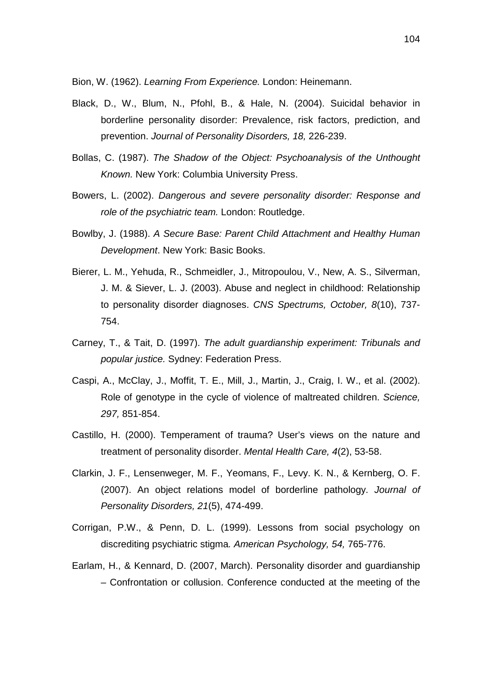Bion, W. (1962). *Learning From Experience.* London: Heinemann.

- Black, D., W., Blum, N., Pfohl, B., & Hale, N. (2004). Suicidal behavior in borderline personality disorder: Prevalence, risk factors, prediction, and prevention. *Journal of Personality Disorders, 18,* 226-239.
- Bollas, C. (1987). *The Shadow of the Object: Psychoanalysis of the Unthought Known.* New York: Columbia University Press.
- Bowers, L. (2002). *Dangerous and severe personality disorder: Response and role of the psychiatric team.* London: Routledge.
- Bowlby, J. (1988). *A Secure Base: Parent Child Attachment and Healthy Human Development*. New York: Basic Books.
- Bierer, L. M., Yehuda, R., Schmeidler, J., Mitropoulou, V., New, A. S., Silverman, J. M. & Siever, L. J. (2003). Abuse and neglect in childhood: Relationship to personality disorder diagnoses. *CNS Spectrums, October, 8*(10), 737- 754.
- Carney, T., & Tait, D. (1997). *The adult guardianship experiment: Tribunals and popular justice.* Sydney: Federation Press.
- Caspi, A., McClay, J., Moffit, T. E., Mill, J., Martin, J., Craig, I. W., et al. (2002). Role of genotype in the cycle of violence of maltreated children. *Science, 297,* 851-854.
- Castillo, H. (2000). Temperament of trauma? User's views on the nature and treatment of personality disorder. *Mental Health Care, 4*(2), 53-58.
- Clarkin, J. F., Lensenweger, M. F., Yeomans, F., Levy. K. N., & Kernberg, O. F. (2007). An object relations model of borderline pathology. *Journal of Personality Disorders, 21*(5), 474-499.
- Corrigan, P.W., & Penn, D. L. (1999). Lessons from social psychology on discrediting psychiatric stigma*. American Psychology, 54,* 765-776.
- Earlam, H., & Kennard, D. (2007, March). Personality disorder and guardianship – Confrontation or collusion. Conference conducted at the meeting of the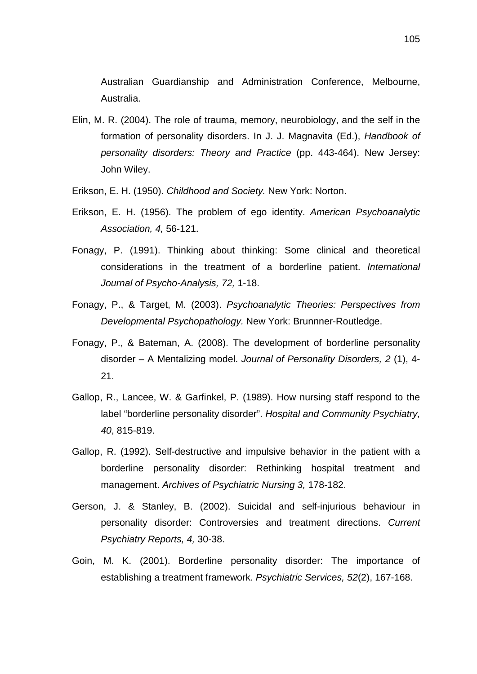Australian Guardianship and Administration Conference, Melbourne, Australia.

- Elin, M. R. (2004). The role of trauma, memory, neurobiology, and the self in the formation of personality disorders. In J. J. Magnavita (Ed.), *Handbook of personality disorders: Theory and Practice* (pp. 443-464). New Jersey: John Wiley.
- Erikson, E. H. (1950). *Childhood and Society.* New York: Norton.
- Erikson, E. H. (1956). The problem of ego identity. *American Psychoanalytic Association, 4,* 56-121.
- Fonagy, P. (1991). Thinking about thinking: Some clinical and theoretical considerations in the treatment of a borderline patient. *International Journal of Psycho-Analysis, 72,* 1-18.
- Fonagy, P., & Target, M. (2003). *Psychoanalytic Theories: Perspectives from Developmental Psychopathology.* New York: Brunnner-Routledge.
- Fonagy, P., & Bateman, A. (2008). The development of borderline personality disorder – A Mentalizing model. *Journal of Personality Disorders, 2* (1), 4- 21.
- Gallop, R., Lancee, W. & Garfinkel, P. (1989). How nursing staff respond to the label "borderline personality disorder". *Hospital and Community Psychiatry, 40*, 815-819.
- Gallop, R. (1992). Self-destructive and impulsive behavior in the patient with a borderline personality disorder: Rethinking hospital treatment and management. *Archives of Psychiatric Nursing 3,* 178-182.
- Gerson, J. & Stanley, B. (2002). Suicidal and self-injurious behaviour in personality disorder: Controversies and treatment directions. *Current Psychiatry Reports, 4,* 30-38.
- Goin, M. K. (2001). Borderline personality disorder: The importance of establishing a treatment framework. *Psychiatric Services, 52*(2), 167-168.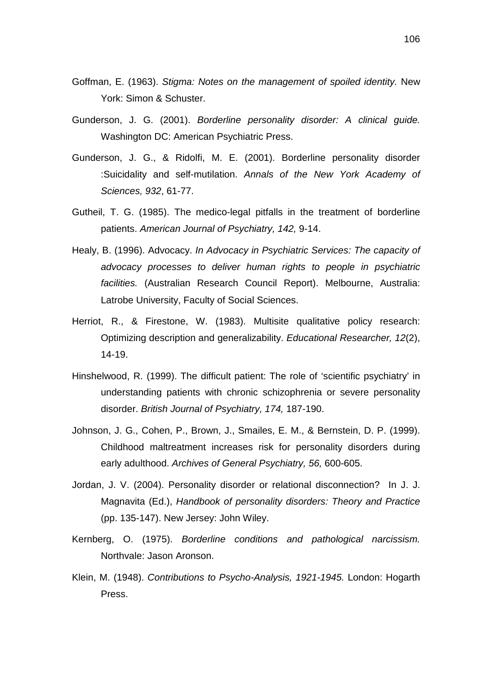- Goffman, E. (1963). *Stigma: Notes on the management of spoiled identity.* New York: Simon & Schuster.
- Gunderson, J. G. (2001). *Borderline personality disorder: A clinical guide.*  Washington DC: American Psychiatric Press.
- Gunderson, J. G., & Ridolfi, M. E. (2001). Borderline personality disorder :Suicidality and self-mutilation. *Annals of the New York Academy of Sciences, 932*, 61-77.
- Gutheil, T. G. (1985). The medico-legal pitfalls in the treatment of borderline patients. *American Journal of Psychiatry, 142,* 9-14.
- Healy, B. (1996). Advocacy. *In Advocacy in Psychiatric Services: The capacity of advocacy processes to deliver human rights to people in psychiatric facilities.* (Australian Research Council Report). Melbourne, Australia: Latrobe University, Faculty of Social Sciences.
- Herriot, R., & Firestone, W. (1983). Multisite qualitative policy research: Optimizing description and generalizability. *Educational Researcher, 12*(2), 14-19.
- Hinshelwood, R. (1999). The difficult patient: The role of 'scientific psychiatry' in understanding patients with chronic schizophrenia or severe personality disorder. *British Journal of Psychiatry, 174,* 187-190.
- Johnson, J. G., Cohen, P., Brown, J., Smailes, E. M., & Bernstein, D. P. (1999). Childhood maltreatment increases risk for personality disorders during early adulthood. *Archives of General Psychiatry, 56,* 600-605.
- Jordan, J. V. (2004). Personality disorder or relational disconnection? In J. J. Magnavita (Ed.), *Handbook of personality disorders: Theory and Practice*  (pp. 135-147). New Jersey: John Wiley.
- Kernberg, O. (1975). *Borderline conditions and pathological narcissism.* Northvale: Jason Aronson.
- Klein, M. (1948). *Contributions to Psycho-Analysis, 1921-1945.* London: Hogarth Press.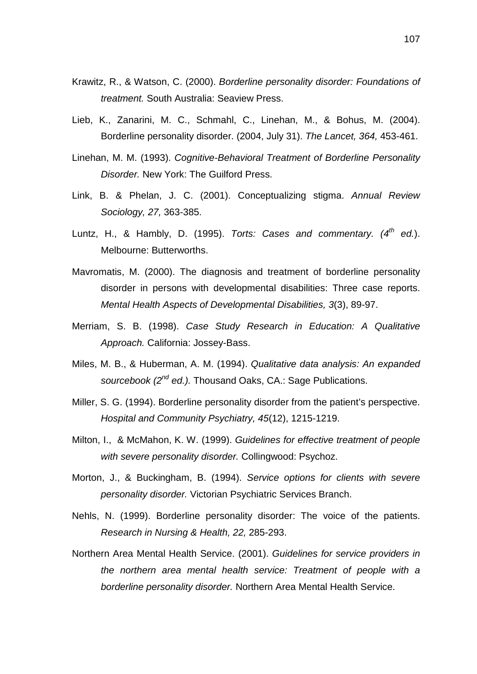- Krawitz, R., & Watson, C. (2000). *Borderline personality disorder: Foundations of treatment.* South Australia: Seaview Press.
- Lieb, K., Zanarini, M. C., Schmahl, C., Linehan, M., & Bohus, M. (2004). Borderline personality disorder. (2004, July 31). *The Lancet, 364,* 453-461.
- Linehan, M. M. (1993). *Cognitive-Behavioral Treatment of Borderline Personality Disorder.* New York: The Guilford Press.
- Link, B. & Phelan, J. C. (2001). Conceptualizing stigma. *Annual Review Sociology, 27,* 363-385.
- Luntz, H., & Hambly, D. (1995). *Torts: Cases and commentary. (4th ed.*). Melbourne: Butterworths.
- Mavromatis, M. (2000). The diagnosis and treatment of borderline personality disorder in persons with developmental disabilities: Three case reports. *Mental Health Aspects of Developmental Disabilities, 3*(3), 89-97.
- Merriam, S. B. (1998). *Case Study Research in Education: A Qualitative Approach.* California: Jossey-Bass.
- Miles, M. B., & Huberman, A. M. (1994). *Qualitative data analysis: An expanded sourcebook (2nd ed.).* Thousand Oaks, CA.: Sage Publications.
- Miller, S. G. (1994). Borderline personality disorder from the patient's perspective. *Hospital and Community Psychiatry, 45*(12), 1215-1219.
- Milton, I., & McMahon, K. W. (1999). *Guidelines for effective treatment of people with severe personality disorder.* Collingwood: Psychoz.
- Morton, J., & Buckingham, B. (1994). *Service options for clients with severe personality disorder.* Victorian Psychiatric Services Branch.
- Nehls, N. (1999). Borderline personality disorder: The voice of the patients. *Research in Nursing & Health, 22,* 285-293.
- Northern Area Mental Health Service. (2001). *Guidelines for service providers in the northern area mental health service: Treatment of people with a borderline personality disorder.* Northern Area Mental Health Service.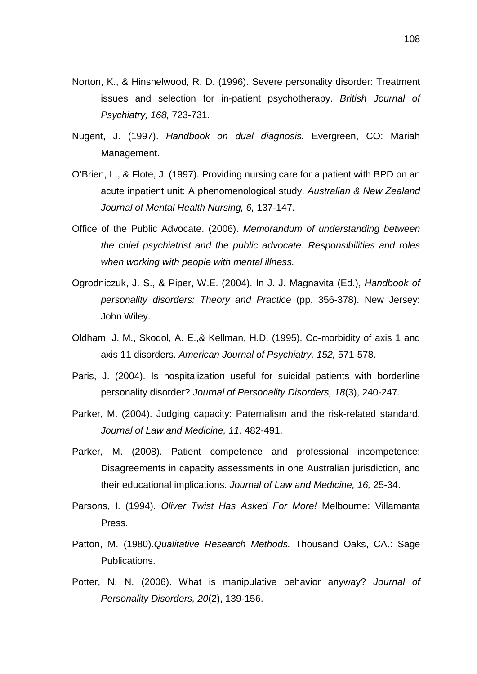- Norton, K., & Hinshelwood, R. D. (1996). Severe personality disorder: Treatment issues and selection for in-patient psychotherapy. *British Journal of Psychiatry, 168,* 723-731.
- Nugent, J. (1997). *Handbook on dual diagnosis.* Evergreen, CO: Mariah Management.
- O'Brien, L., & Flote, J. (1997). Providing nursing care for a patient with BPD on an acute inpatient unit: A phenomenological study. *Australian & New Zealand Journal of Mental Health Nursing, 6,* 137-147.
- Office of the Public Advocate. (2006). *Memorandum of understanding between the chief psychiatrist and the public advocate: Responsibilities and roles when working with people with mental illness.*
- Ogrodniczuk, J. S., & Piper, W.E. (2004). In J. J. Magnavita (Ed.), *Handbook of personality disorders: Theory and Practice* (pp. 356-378). New Jersey: John Wiley.
- Oldham, J. M., Skodol, A. E.,& Kellman, H.D. (1995). Co-morbidity of axis 1 and axis 11 disorders. *American Journal of Psychiatry, 152,* 571-578.
- Paris, J. (2004). Is hospitalization useful for suicidal patients with borderline personality disorder? *Journal of Personality Disorders, 18*(3), 240-247.
- Parker, M. (2004). Judging capacity: Paternalism and the risk-related standard. *Journal of Law and Medicine, 11*. 482-491.
- Parker, M. (2008). Patient competence and professional incompetence: Disagreements in capacity assessments in one Australian jurisdiction, and their educational implications. *Journal of Law and Medicine, 16,* 25-34.
- Parsons, I. (1994). *Oliver Twist Has Asked For More!* Melbourne: Villamanta Press.
- Patton, M. (1980).*Qualitative Research Methods.* Thousand Oaks, CA.: Sage Publications.
- Potter, N. N. (2006). What is manipulative behavior anyway? *Journal of Personality Disorders, 20*(2), 139-156.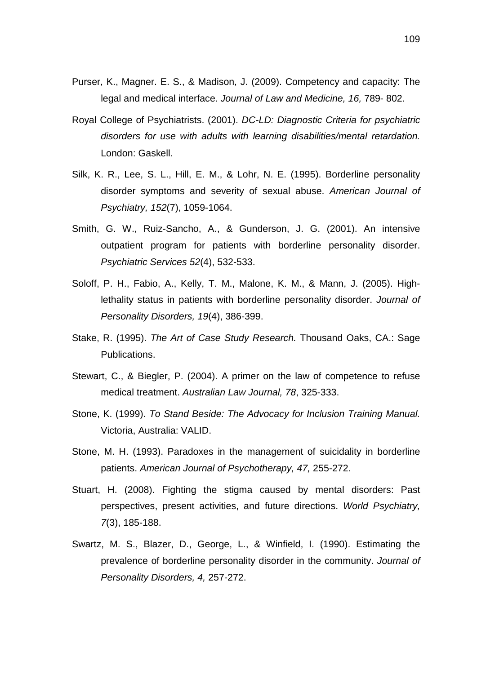- Purser, K., Magner. E. S., & Madison, J. (2009). Competency and capacity: The legal and medical interface. *Journal of Law and Medicine, 16,* 789- 802.
- Royal College of Psychiatrists. (2001). *DC-LD: Diagnostic Criteria for psychiatric disorders for use with adults with learning disabilities/mental retardation.* London: Gaskell.
- Silk, K. R., Lee, S. L., Hill, E. M., & Lohr, N. E. (1995). Borderline personality disorder symptoms and severity of sexual abuse. *American Journal of Psychiatry, 152*(7), 1059-1064.
- Smith, G. W., Ruiz-Sancho, A., & Gunderson, J. G. (2001). An intensive outpatient program for patients with borderline personality disorder. *Psychiatric Services 52*(4), 532-533.
- Soloff, P. H., Fabio, A., Kelly, T. M., Malone, K. M., & Mann, J. (2005). Highlethality status in patients with borderline personality disorder. *Journal of Personality Disorders, 19*(4), 386-399.
- Stake, R. (1995). *The Art of Case Study Research.* Thousand Oaks, CA.: Sage Publications.
- Stewart, C., & Biegler, P. (2004). A primer on the law of competence to refuse medical treatment. *Australian Law Journal, 78*, 325-333.
- Stone, K. (1999). *To Stand Beside: The Advocacy for Inclusion Training Manual.* Victoria, Australia: VALID.
- Stone, M. H. (1993). Paradoxes in the management of suicidality in borderline patients. *American Journal of Psychotherapy, 47,* 255-272.
- Stuart, H. (2008). Fighting the stigma caused by mental disorders: Past perspectives, present activities, and future directions. *World Psychiatry, 7*(3), 185-188.
- Swartz, M. S., Blazer, D., George, L., & Winfield, I. (1990). Estimating the prevalence of borderline personality disorder in the community. *Journal of Personality Disorders, 4,* 257-272.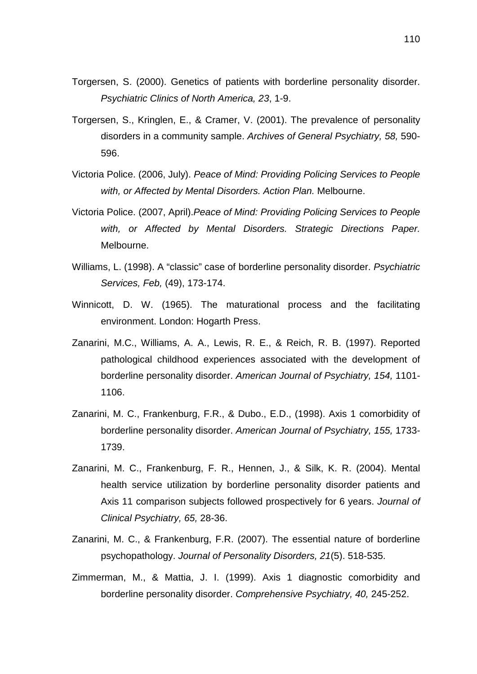- Torgersen, S. (2000). Genetics of patients with borderline personality disorder. *Psychiatric Clinics of North America, 23*, 1-9.
- Torgersen, S., Kringlen, E., & Cramer, V. (2001). The prevalence of personality disorders in a community sample. *Archives of General Psychiatry, 58,* 590- 596.
- Victoria Police. (2006, July). *Peace of Mind: Providing Policing Services to People with, or Affected by Mental Disorders. Action Plan.* Melbourne.
- Victoria Police. (2007, April).*Peace of Mind: Providing Policing Services to People with, or Affected by Mental Disorders. Strategic Directions Paper.* Melbourne.
- Williams, L. (1998). A "classic" case of borderline personality disorder. *Psychiatric Services, Feb,* (49), 173-174.
- Winnicott, D. W. (1965). The maturational process and the facilitating environment. London: Hogarth Press.
- Zanarini, M.C., Williams, A. A., Lewis, R. E., & Reich, R. B. (1997). Reported pathological childhood experiences associated with the development of borderline personality disorder. *American Journal of Psychiatry, 154,* 1101- 1106.
- Zanarini, M. C., Frankenburg, F.R., & Dubo., E.D., (1998). Axis 1 comorbidity of borderline personality disorder. *American Journal of Psychiatry, 155,* 1733- 1739.
- Zanarini, M. C., Frankenburg, F. R., Hennen, J., & Silk, K. R. (2004). Mental health service utilization by borderline personality disorder patients and Axis 11 comparison subjects followed prospectively for 6 years. *Journal of Clinical Psychiatry, 65,* 28-36.
- Zanarini, M. C., & Frankenburg, F.R. (2007). The essential nature of borderline psychopathology. *Journal of Personality Disorders, 21*(5). 518-535.
- Zimmerman, M., & Mattia, J. I. (1999). Axis 1 diagnostic comorbidity and borderline personality disorder. *Comprehensive Psychiatry, 40,* 245-252.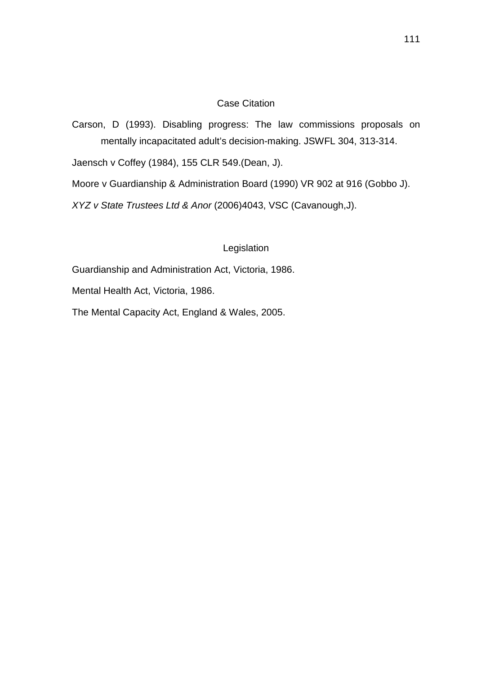#### Case Citation

Carson, D (1993). Disabling progress: The law commissions proposals on mentally incapacitated adult's decision-making. JSWFL 304, 313-314.

Jaensch v Coffey (1984), 155 CLR 549.(Dean, J).

Moore v Guardianship & Administration Board (1990) VR 902 at 916 (Gobbo J).

*XYZ v State Trustees Ltd & Anor* (2006)4043, VSC (Cavanough,J).

#### Legislation

Guardianship and Administration Act, Victoria, 1986.

Mental Health Act, Victoria, 1986.

The Mental Capacity Act, England & Wales, 2005.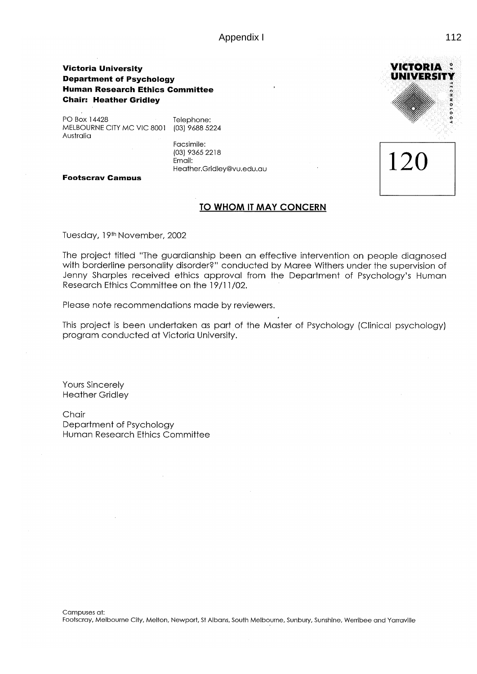Appendix I and the set of the set of the set of the set of the set of the set of the set of the set of the set of the set of the set of the set of the set of the set of the set of the set of the set of the set of the set o

#### **Victoria University Department of Psychology Human Research Ethics Committee Chair: Heather Gridley**

PO Box 14428 MELBOURNE CITY MC VIC 8001 (03) 9688 5224 Australia

Telephone:

Facsimile: (03) 9365 2218 Email: Heather.Gridley@vu.edu.au

**Footscrav Campus** 

#### TO WHOM IT MAY CONCERN

Tuesday, 19th November, 2002

The project titled "The guardianship been an effective intervention on people diagnosed with borderline personality disorder?" conducted by Maree Withers under the supervision of Jenny Sharples received ethics approval from the Department of Psychology's Human Research Ethics Committee on the 19/11/02.

Please note recommendations made by reviewers.

This project is been undertaken as part of the Master of Psychology (Clinical psychology) program conducted at Victoria University.

**Yours Sincerely Heather Gridley** 

Chair Department of Psychology Human Research Ethics Committee

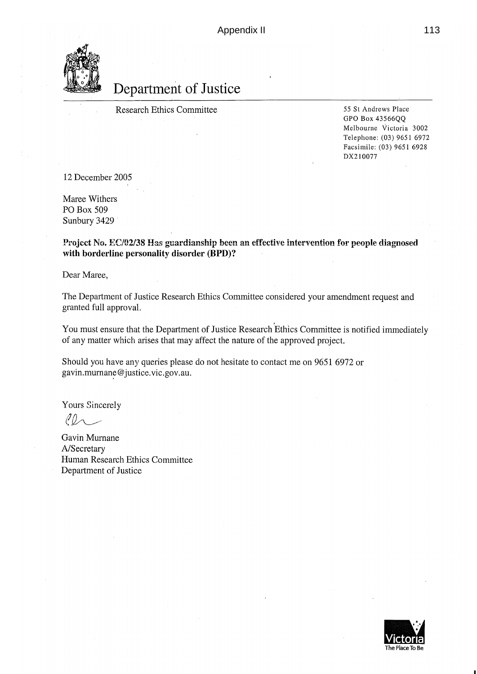

# Department of Justice

**Research Ethics Committee** 

55 St Andrews Place GPO Box 43566QQ Melbourne Victoria 3002 Telephone: (03) 9651 6972 Facsimile: (03) 9651 6928 DX210077

12 December 2005

Maree Withers PO Box 509 Sunbury 3429

Project No. EC/02/38 Has guardianship been an effective intervention for people diagnosed with borderline personality disorder (BPD)?

Dear Maree,

The Department of Justice Research Ethics Committee considered your amendment request and granted full approval.

You must ensure that the Department of Justice Research Ethics Committee is notified immediately of any matter which arises that may affect the nature of the approved project.

Should you have any queries please do not hesitate to contact me on 9651 6972 or gavin.murnane@justice.vic.gov.au.

Yours Sincerely

 $100 -$ 

Gavin Murnane A/Secretary Human Research Ethics Committee Department of Justice

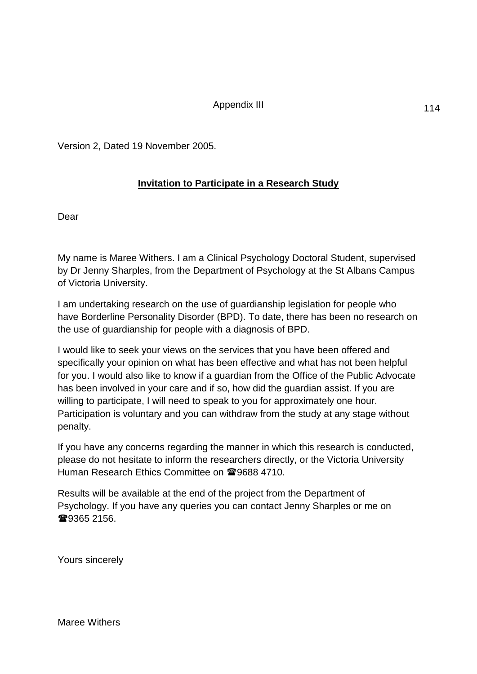### Appendix III

Version 2, Dated 19 November 2005.

# **Invitation to Participate in a Research Study**

Dear

My name is Maree Withers. I am a Clinical Psychology Doctoral Student, supervised by Dr Jenny Sharples, from the Department of Psychology at the St Albans Campus of Victoria University.

I am undertaking research on the use of guardianship legislation for people who have Borderline Personality Disorder (BPD). To date, there has been no research on the use of guardianship for people with a diagnosis of BPD.

I would like to seek your views on the services that you have been offered and specifically your opinion on what has been effective and what has not been helpful for you. I would also like to know if a guardian from the Office of the Public Advocate has been involved in your care and if so, how did the guardian assist. If you are willing to participate, I will need to speak to you for approximately one hour. Participation is voluntary and you can withdraw from the study at any stage without penalty.

If you have any concerns regarding the manner in which this research is conducted, please do not hesitate to inform the researchers directly, or the Victoria University Human Research Ethics Committee on 29688 4710.

Results will be available at the end of the project from the Department of Psychology. If you have any queries you can contact Jenny Sharples or me on **@9365 2156.** 

Yours sincerely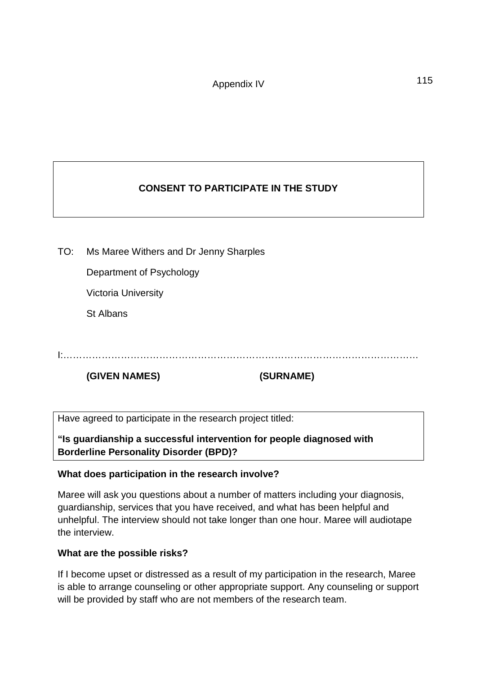# **CONSENT TO PARTICIPATE IN THE STUDY**

TO: Ms Maree Withers and Dr Jenny Sharples

Department of Psychology

Victoria University

St Albans

I:…………………………………………………………………………………………………

**(GIVEN NAMES) (SURNAME)**

Have agreed to participate in the research project titled:

**"Is guardianship a successful intervention for people diagnosed with Borderline Personality Disorder (BPD)?**

# **What does participation in the research involve?**

Maree will ask you questions about a number of matters including your diagnosis, guardianship, services that you have received, and what has been helpful and unhelpful. The interview should not take longer than one hour. Maree will audiotape the interview.

# **What are the possible risks?**

If I become upset or distressed as a result of my participation in the research, Maree is able to arrange counseling or other appropriate support. Any counseling or support will be provided by staff who are not members of the research team.